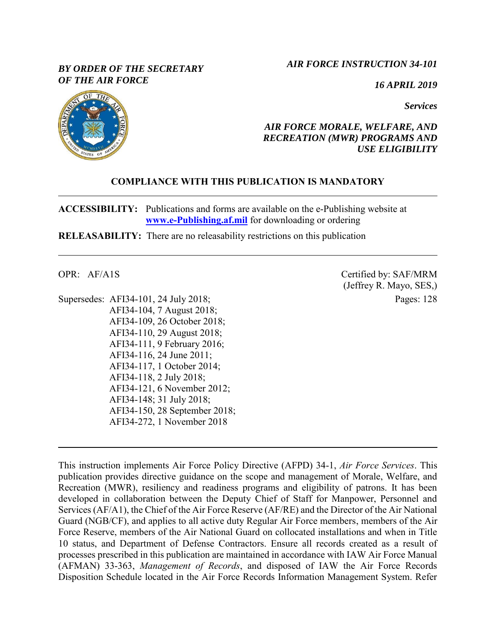### *BY ORDER OF THE SECRETARY OF THE AIR FORCE*

### *AIR FORCE INSTRUCTION 34-101*

*16 APRIL 2019*

*Services*



### *AIR FORCE MORALE, WELFARE, AND RECREATION (MWR) PROGRAMS AND USE ELIGIBILITY*

## **COMPLIANCE WITH THIS PUBLICATION IS MANDATORY**

**ACCESSIBILITY:** Publications and forms are available on the e-Publishing website at **[www.e-Publishing.af.mil](http://www.e-publishing.af.mil/)** for downloading or ordering

**RELEASABILITY:** There are no releasability restrictions on this publication

OPR: AF/A1S

Supersedes: AFI34-101, 24 July 2018; AFI34-104, 7 August 2018; AFI34-109, 26 October 2018; AFI34-110, 29 August 2018; AFI34-111, 9 February 2016; AFI34-116, 24 June 2011; AFI34-117, 1 October 2014; AFI34-118, 2 July 2018; AFI34-121, 6 November 2012; AFI34-148; 31 July 2018; AFI34-150, 28 September 2018; AFI34-272, 1 November 2018

Certified by: SAF/MRM (Jeffrey R. Mayo, SES,) Pages: 128

This instruction implements Air Force Policy Directive (AFPD) 34-1, *Air Force Services*. This publication provides directive guidance on the scope and management of Morale, Welfare, and Recreation (MWR), resiliency and readiness programs and eligibility of patrons. It has been developed in collaboration between the Deputy Chief of Staff for Manpower, Personnel and Services (AF/A1), the Chief of the Air Force Reserve (AF/RE) and the Director of the Air National Guard (NGB/CF), and applies to all active duty Regular Air Force members, members of the Air Force Reserve, members of the Air National Guard on collocated installations and when in Title 10 status, and Department of Defense Contractors. Ensure all records created as a result of processes prescribed in this publication are maintained in accordance with IAW Air Force Manual (AFMAN) 33-363, *Management of Records*, and disposed of IAW the Air Force Records Disposition Schedule located in the Air Force Records Information Management System. Refer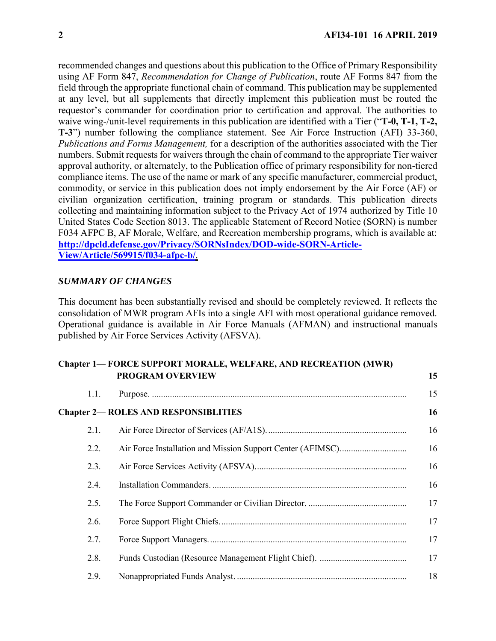recommended changes and questions about this publication to the Office of Primary Responsibility using AF Form 847, *Recommendation for Change of Publication*, route AF Forms 847 from the field through the appropriate functional chain of command. This publication may be supplemented at any level, but all supplements that directly implement this publication must be routed the requestor's commander for coordination prior to certification and approval. The authorities to waive wing-/unit-level requirements in this publication are identified with a Tier ("**T-0, T-1, T-2, T-3**") number following the compliance statement. See Air Force Instruction (AFI) 33-360, *Publications and Forms Management,* for a description of the authorities associated with the Tier numbers. Submit requests for waivers through the chain of command to the appropriate Tier waiver approval authority, or alternately, to the Publication office of primary responsibility for non-tiered compliance items. The use of the name or mark of any specific manufacturer, commercial product, commodity, or service in this publication does not imply endorsement by the Air Force (AF) or civilian organization certification, training program or standards. This publication directs collecting and maintaining information subject to the Privacy Act of 1974 authorized by Title 10 United States Code Section 8013. The applicable Statement of Record Notice (SORN) is number F034 AFPC B, AF Morale, Welfare, and Recreation membership programs, which is available at: **[http://dpcld.defense.gov/Privacy/SORNsIndex/DOD-wide-SORN-Article-](http://dpcld.defense.gov/Privacy/SORNsIndex/DOD-wide-SORN-Article-View/Article/569915/f034-afpc-b/)[View/Article/569915/f034-afpc-b/](http://dpcld.defense.gov/Privacy/SORNsIndex/DOD-wide-SORN-Article-View/Article/569915/f034-afpc-b/)**.

#### *SUMMARY OF CHANGES*

This document has been substantially revised and should be completely reviewed. It reflects the consolidation of MWR program AFIs into a single AFI with most operational guidance removed. Operational guidance is available in Air Force Manuals (AFMAN) and instructional manuals published by Air Force Services Activity (AFSVA).

### **Chapter 1— [FORCE SUPPORT MORALE, WELFARE, AND RECREATION \(MWR\)](#page-14-0)  [PROGRAM OVERVIEW](#page-14-0) [15](#page-14-0)**

| 1.1. |                                             | 15 |
|------|---------------------------------------------|----|
|      | <b>Chapter 2— ROLES AND RESPONSIBLITIES</b> | 16 |
| 2.1. |                                             | 16 |
| 2.2. |                                             | 16 |
| 2.3. |                                             | 16 |
| 2.4. |                                             | 16 |
| 2.5. |                                             | 17 |
| 2.6. |                                             | 17 |
| 2.7. |                                             | 17 |
| 2.8. |                                             | 17 |
| 2.9. |                                             | 18 |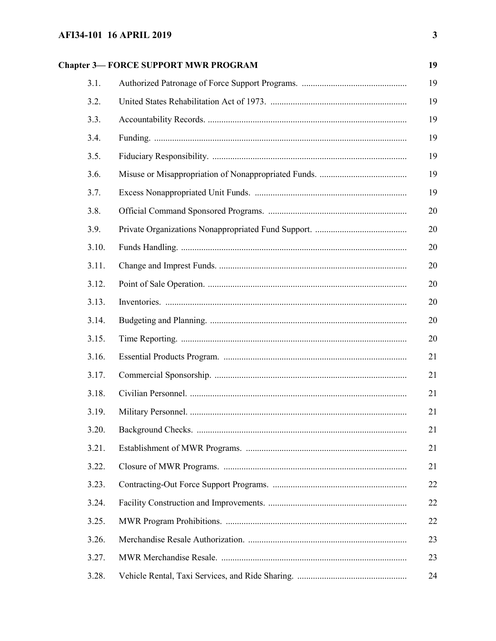| 19<br><b>Chapter 3-FORCE SUPPORT MWR PROGRAM</b> |    |  |
|--------------------------------------------------|----|--|
| 3.1.                                             | 19 |  |
| 3.2.                                             | 19 |  |
| 3.3.                                             | 19 |  |
| 3.4.                                             | 19 |  |
| 3.5.                                             | 19 |  |
| 3.6.                                             | 19 |  |
| 3.7.                                             | 19 |  |
| 3.8.                                             | 20 |  |
| 3.9.                                             | 20 |  |
| 3.10.                                            | 20 |  |
| 3.11.                                            | 20 |  |
| 3.12.                                            | 20 |  |
| 3.13.                                            | 20 |  |
| 3.14.                                            | 20 |  |
| 3.15.                                            | 20 |  |
| 3.16.                                            | 21 |  |
| 3.17.                                            | 21 |  |
| 3.18.                                            | 21 |  |
| 3.19.                                            | 21 |  |
| 3.20.                                            | 21 |  |
| 3.21.                                            | 21 |  |
| 3.22.                                            | 21 |  |
| 3.23.                                            | 22 |  |
| 3.24.                                            | 22 |  |
| 3.25.                                            | 22 |  |
| 3.26.                                            | 23 |  |
| 3.27.                                            | 23 |  |
| 3.28.                                            | 24 |  |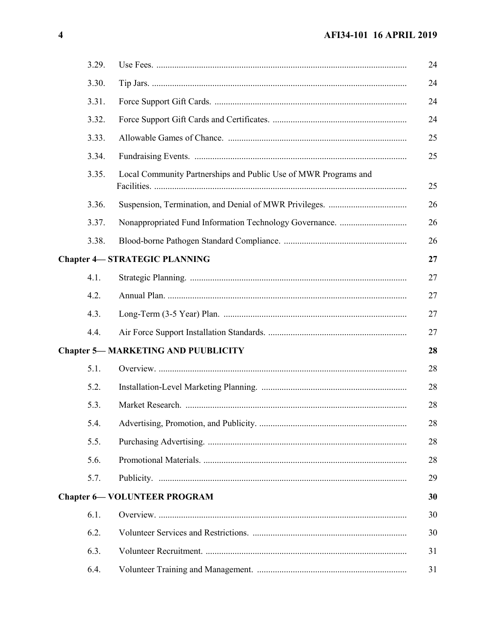| 3.29. |                                                                 |
|-------|-----------------------------------------------------------------|
| 3.30. |                                                                 |
| 3.31. |                                                                 |
| 3.32. |                                                                 |
| 3.33. |                                                                 |
| 3.34. |                                                                 |
| 3.35. | Local Community Partnerships and Public Use of MWR Programs and |
| 3.36. |                                                                 |
| 3.37. |                                                                 |
| 3.38. |                                                                 |
|       | <b>Chapter 4-STRATEGIC PLANNING</b>                             |
| 4.1.  |                                                                 |
| 4.2.  |                                                                 |
| 4.3.  |                                                                 |
| 4.4.  |                                                                 |
|       | <b>Chapter 5-MARKETING AND PUUBLICITY</b>                       |
| 5.1.  |                                                                 |
| 5.2.  |                                                                 |
| 5.3.  |                                                                 |
| 5.4.  |                                                                 |
| 5.5.  |                                                                 |
| 5.6.  |                                                                 |
| 5.7.  |                                                                 |
|       | <b>Chapter 6- VOLUNTEER PROGRAM</b>                             |
| 6.1.  |                                                                 |
| 6.2.  |                                                                 |
| 6.3.  |                                                                 |
| 6.4.  |                                                                 |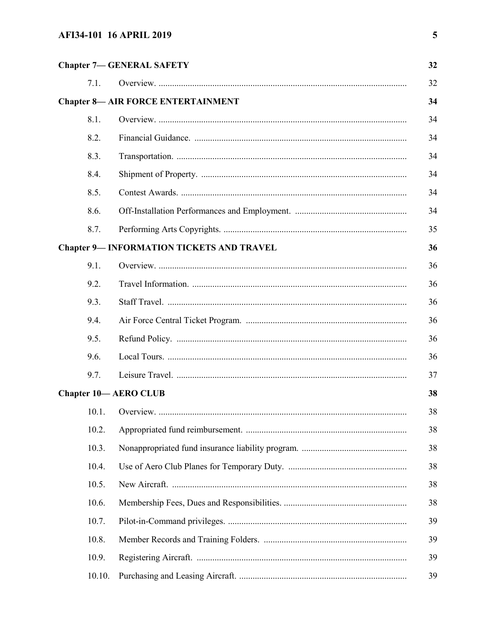|        | <b>Chapter 7-GENERAL SAFETY</b>                  |
|--------|--------------------------------------------------|
| 7.1.   |                                                  |
|        | <b>Chapter 8- AIR FORCE ENTERTAINMENT</b>        |
| 8.1.   |                                                  |
| 8.2.   |                                                  |
| 8.3.   |                                                  |
| 8.4.   |                                                  |
| 8.5.   |                                                  |
| 8.6.   |                                                  |
| 8.7.   |                                                  |
|        | <b>Chapter 9- INFORMATION TICKETS AND TRAVEL</b> |
| 9.1.   |                                                  |
| 9.2.   |                                                  |
| 9.3.   |                                                  |
| 9.4.   |                                                  |
| 9.5.   |                                                  |
| 9.6.   |                                                  |
| 9.7.   |                                                  |
|        | <b>Chapter 10-AERO CLUB</b>                      |
| 10.1.  |                                                  |
| 10.2.  |                                                  |
| 10.3.  |                                                  |
| 10.4.  |                                                  |
| 10.5.  |                                                  |
| 10.6.  |                                                  |
| 10.7.  |                                                  |
| 10.8.  |                                                  |
| 10.9.  |                                                  |
| 10.10. |                                                  |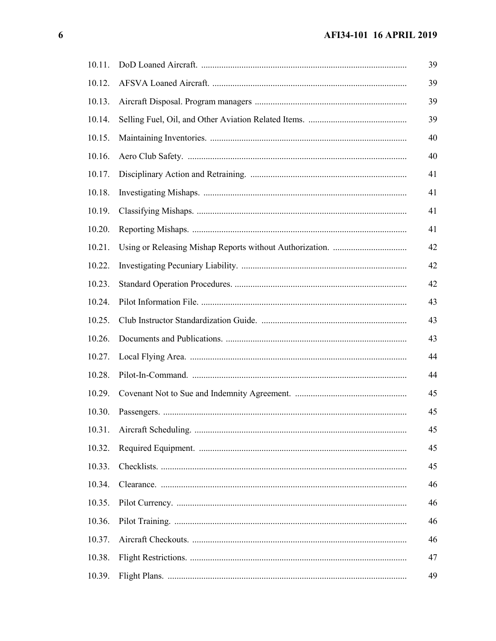| 10.11. |  |
|--------|--|
| 10.12. |  |
| 10.13. |  |
| 10.14. |  |
| 10.15. |  |
| 10.16. |  |
| 10.17. |  |
| 10.18. |  |
| 10.19. |  |
| 10.20. |  |
| 10.21. |  |
| 10.22. |  |
| 10.23. |  |
| 10.24. |  |
| 10.25. |  |
| 10.26. |  |
| 10.27. |  |
| 10.28. |  |
| 10.29. |  |
| 10.30. |  |
| 10.31. |  |
| 10.32. |  |
| 10.33. |  |
| 10.34. |  |
| 10.35. |  |
| 10.36. |  |
| 10.37. |  |
| 10.38. |  |
| 10.39. |  |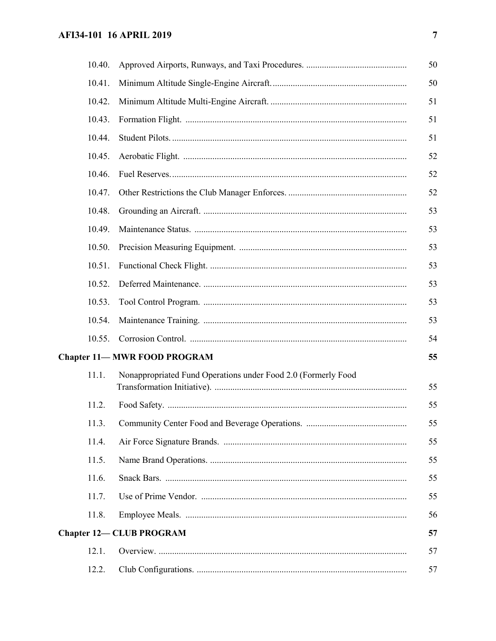| 10.40. |                                                               | 50 |
|--------|---------------------------------------------------------------|----|
| 10.41. |                                                               | 50 |
| 10.42. |                                                               | 51 |
| 10.43. |                                                               | 51 |
| 10.44. |                                                               | 51 |
| 10.45. |                                                               | 52 |
| 10.46. |                                                               | 52 |
| 10.47. |                                                               | 52 |
| 10.48. |                                                               | 53 |
| 10.49. |                                                               | 53 |
| 10.50. |                                                               | 53 |
| 10.51. |                                                               | 53 |
| 10.52. |                                                               | 53 |
| 10.53. |                                                               | 53 |
| 10.54. |                                                               | 53 |
| 10.55. |                                                               | 54 |
|        | <b>Chapter 11-MWR FOOD PROGRAM</b>                            | 55 |
| 11.1.  | Nonappropriated Fund Operations under Food 2.0 (Formerly Food | 55 |
| 11.2.  |                                                               | 55 |
| 11.3.  |                                                               | 55 |
| 11.4.  |                                                               | 55 |
| 11.5.  |                                                               | 55 |
| 11.6.  |                                                               | 55 |
| 11.7.  |                                                               | 55 |
| 11.8.  |                                                               | 56 |
|        | <b>Chapter 12- CLUB PROGRAM</b>                               | 57 |
| 12.1.  |                                                               | 57 |
| 12.2.  |                                                               | 57 |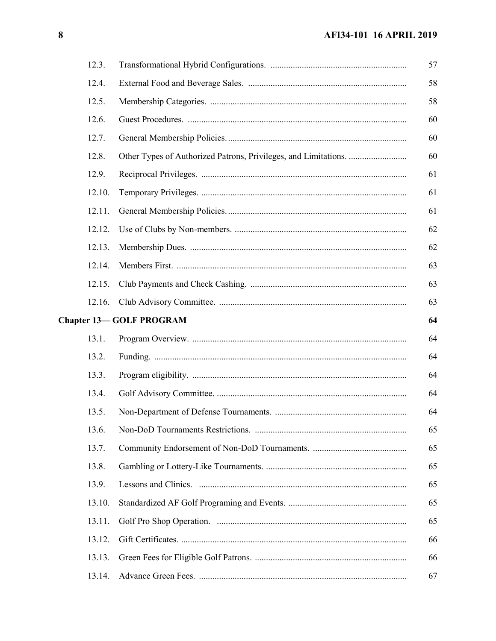| 12.3.  |                                |
|--------|--------------------------------|
| 12.4.  |                                |
| 12.5.  |                                |
| 12.6.  |                                |
| 12.7.  |                                |
| 12.8.  |                                |
| 12.9.  |                                |
| 12.10. |                                |
| 12.11. |                                |
| 12.12. |                                |
| 12.13. |                                |
| 12.14. |                                |
| 12.15. |                                |
| 12.16. |                                |
|        | <b>Chapter 13-GOLF PROGRAM</b> |
| 13.1.  |                                |
| 13.2.  |                                |
| 13.3.  |                                |
| 13.4.  |                                |
| 13.5.  |                                |
| 13.6.  |                                |
| 13.7.  |                                |
| 13.8.  |                                |
| 13.9.  |                                |
| 13.10. |                                |
| 13.11. |                                |
| 13.12. |                                |
| 13.13. |                                |
| 13.14. |                                |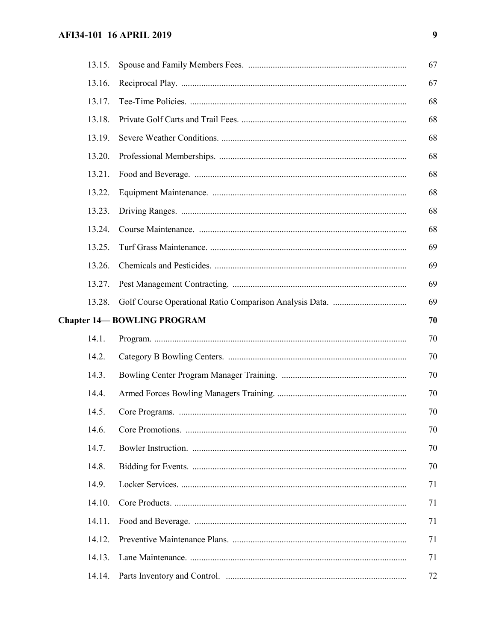| 13.15. |                                   | 67 |
|--------|-----------------------------------|----|
| 13.16. |                                   | 67 |
| 13.17. |                                   | 68 |
| 13.18. |                                   | 68 |
| 13.19. |                                   | 68 |
| 13.20. |                                   | 68 |
| 13.21. |                                   | 68 |
| 13.22. |                                   | 68 |
| 13.23. |                                   | 68 |
| 13.24. |                                   | 68 |
| 13.25. |                                   | 69 |
| 13.26. |                                   | 69 |
| 13.27. |                                   | 69 |
| 13.28. |                                   | 69 |
|        | <b>Chapter 14-BOWLING PROGRAM</b> | 70 |
| 14.1.  |                                   | 70 |
| 14.2.  |                                   | 70 |
| 14.3.  |                                   | 70 |
| 14.4.  |                                   | 70 |
| 14.5.  |                                   | 70 |
| 14.6.  |                                   | 70 |
| 14.7.  |                                   | 70 |
| 14.8.  |                                   | 70 |
| 14.9.  |                                   | 71 |
| 14.10. |                                   | 71 |
| 14.11. |                                   | 71 |
| 14.12. |                                   | 71 |
| 14.13. |                                   | 71 |
| 14.14. |                                   | 72 |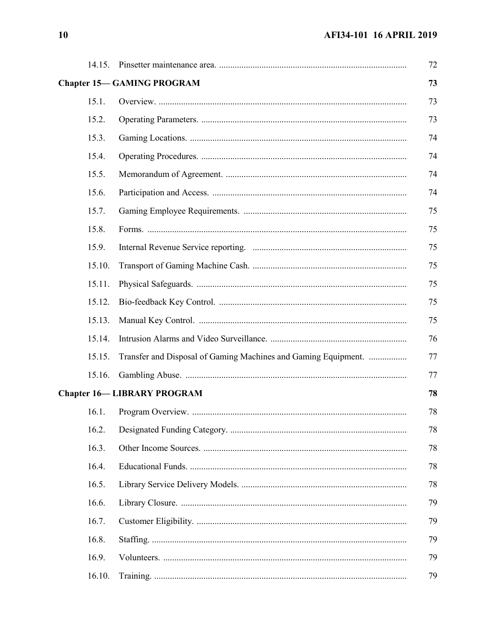| 14.15. |                                                                | 72 |
|--------|----------------------------------------------------------------|----|
|        | <b>Chapter 15-GAMING PROGRAM</b>                               | 73 |
| 15.1.  |                                                                | 73 |
| 15.2.  |                                                                | 73 |
| 15.3.  |                                                                | 74 |
| 15.4.  |                                                                | 74 |
| 15.5.  |                                                                | 74 |
| 15.6.  |                                                                | 74 |
| 15.7.  |                                                                | 75 |
| 15.8.  |                                                                | 75 |
| 15.9.  |                                                                | 75 |
| 15.10. |                                                                | 75 |
| 15.11. |                                                                | 75 |
| 15.12. |                                                                | 75 |
| 15.13. |                                                                | 75 |
| 15.14. |                                                                | 76 |
| 15.15. | Transfer and Disposal of Gaming Machines and Gaming Equipment. | 77 |
| 15.16. |                                                                | 77 |
|        | <b>Chapter 16-LIBRARY PROGRAM</b>                              | 78 |
| 16.1.  |                                                                | 78 |
| 16.2.  |                                                                | 78 |
| 16.3.  |                                                                | 78 |
| 16.4.  |                                                                | 78 |
| 16.5.  |                                                                | 78 |
| 16.6.  |                                                                | 79 |
| 16.7.  |                                                                | 79 |
| 16.8.  |                                                                | 79 |
| 16.9.  |                                                                | 79 |
| 16.10. |                                                                | 79 |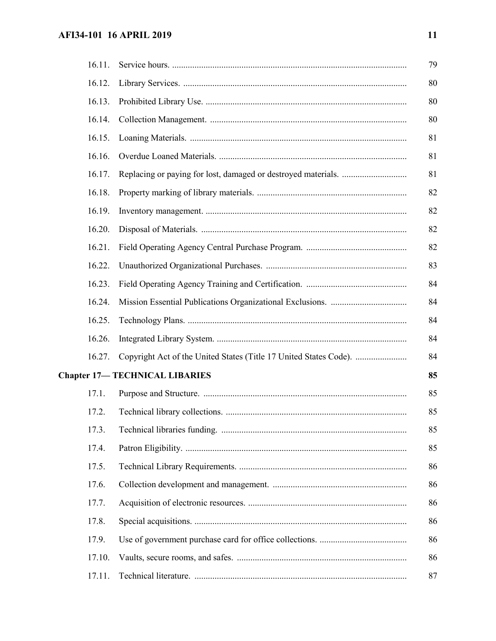# **AFI34-101 16 APRIL 2019 11**

| 16.11. |                                                                   | 79 |
|--------|-------------------------------------------------------------------|----|
| 16.12. |                                                                   | 80 |
| 16.13. |                                                                   | 80 |
| 16.14. |                                                                   | 80 |
| 16.15. |                                                                   | 81 |
| 16.16. |                                                                   | 81 |
| 16.17. |                                                                   | 81 |
| 16.18. |                                                                   | 82 |
| 16.19. |                                                                   | 82 |
| 16.20. |                                                                   | 82 |
| 16.21. |                                                                   | 82 |
| 16.22. |                                                                   | 83 |
| 16.23. |                                                                   | 84 |
| 16.24. |                                                                   | 84 |
| 16.25. |                                                                   | 84 |
| 16.26. |                                                                   | 84 |
| 16.27. | Copyright Act of the United States (Title 17 United States Code). | 84 |
|        | <b>Chapter 17-TECHNICAL LIBARIES</b>                              | 85 |
| 17.1.  |                                                                   | 85 |
| 17.2.  |                                                                   | 85 |
| 17.3.  |                                                                   | 85 |
| 17.4.  |                                                                   | 85 |
| 17.5.  |                                                                   | 86 |
| 17.6.  |                                                                   | 86 |
| 17.7.  |                                                                   | 86 |
| 17.8.  |                                                                   | 86 |
| 17.9.  |                                                                   | 86 |
| 17.10. |                                                                   | 86 |
| 17.11. |                                                                   | 87 |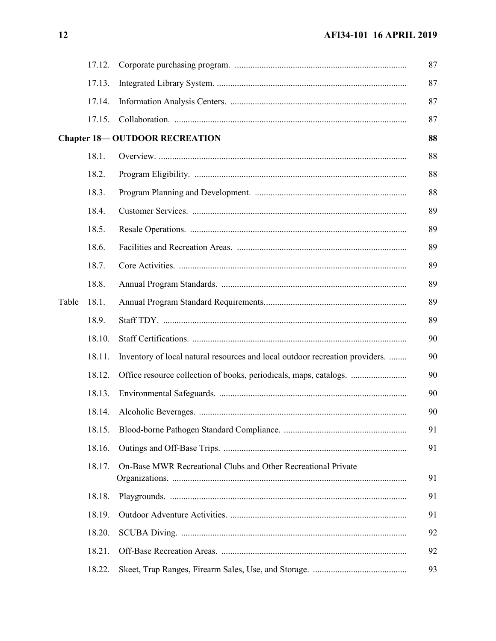|       | 17.12. |                                                                              |
|-------|--------|------------------------------------------------------------------------------|
|       | 17.13. |                                                                              |
|       | 17.14. |                                                                              |
|       | 17.15. |                                                                              |
|       |        | <b>Chapter 18-OUTDOOR RECREATION</b>                                         |
|       | 18.1.  |                                                                              |
|       | 18.2.  |                                                                              |
|       | 18.3.  |                                                                              |
|       | 18.4.  |                                                                              |
|       | 18.5.  |                                                                              |
|       | 18.6.  |                                                                              |
|       | 18.7.  |                                                                              |
|       | 18.8.  |                                                                              |
| Table | 18.1.  |                                                                              |
|       | 18.9.  |                                                                              |
|       | 18.10. |                                                                              |
|       | 18.11. | Inventory of local natural resources and local outdoor recreation providers. |
|       | 18.12. |                                                                              |
|       | 18.13. |                                                                              |
|       | 18.14. |                                                                              |
|       | 18.15. |                                                                              |
|       | 18.16. |                                                                              |
|       | 18.17. | On-Base MWR Recreational Clubs and Other Recreational Private                |
|       | 18.18. |                                                                              |
|       | 18.19. |                                                                              |
|       | 18.20. |                                                                              |
|       | 18.21. |                                                                              |
|       | 18.22. |                                                                              |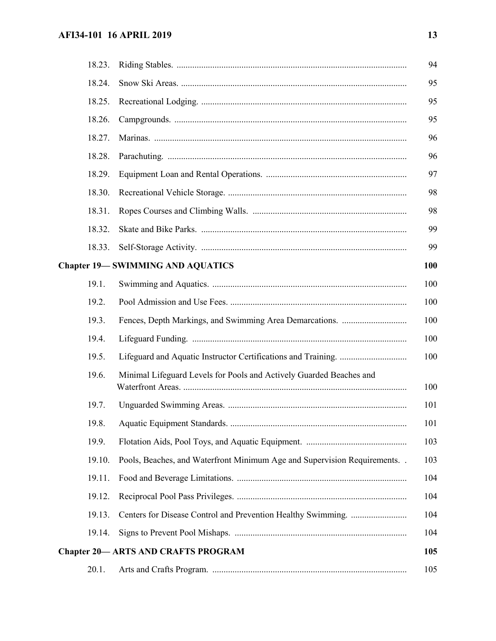# **AFI34-101 16 APRIL 2019 13**

| 18.23. |                                                                            | 94  |
|--------|----------------------------------------------------------------------------|-----|
| 18.24. |                                                                            | 95  |
| 18.25. |                                                                            | 95  |
| 18.26. |                                                                            | 95  |
| 18.27. |                                                                            | 96  |
| 18.28. |                                                                            | 96  |
| 18.29. |                                                                            | 97  |
| 18.30. |                                                                            | 98  |
| 18.31. |                                                                            | 98  |
| 18.32. |                                                                            | 99  |
| 18.33. |                                                                            | 99  |
|        | <b>Chapter 19-SWIMMING AND AQUATICS</b>                                    | 100 |
| 19.1.  |                                                                            | 100 |
| 19.2.  |                                                                            | 100 |
| 19.3.  |                                                                            | 100 |
| 19.4.  |                                                                            | 100 |
| 19.5.  |                                                                            | 100 |
| 19.6.  | Minimal Lifeguard Levels for Pools and Actively Guarded Beaches and        | 100 |
| 19.7.  |                                                                            | 101 |
|        |                                                                            | 101 |
| 19.9.  |                                                                            | 103 |
| 19.10. | Pools, Beaches, and Waterfront Minimum Age and Supervision Requirements. . | 103 |
| 19.11. |                                                                            | 104 |
| 19.12. |                                                                            | 104 |
| 19.13. |                                                                            | 104 |
| 19.14. |                                                                            | 104 |
|        | <b>Chapter 20— ARTS AND CRAFTS PROGRAM</b>                                 | 105 |
| 20.1.  |                                                                            | 105 |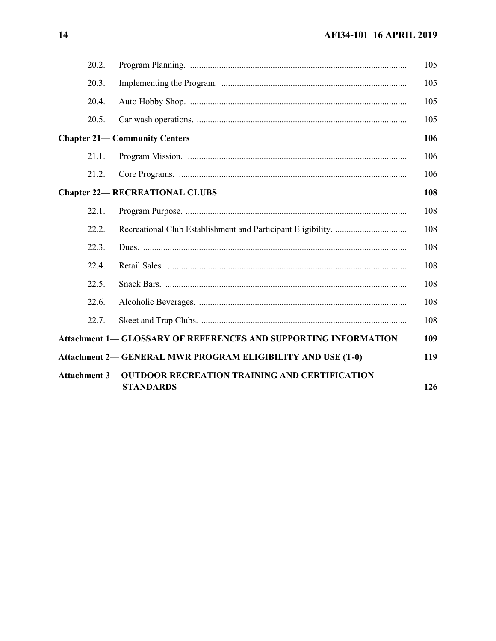| 20.2. |       |                                                                        | 105 |
|-------|-------|------------------------------------------------------------------------|-----|
| 20.3. |       |                                                                        | 105 |
|       | 20.4. |                                                                        | 105 |
|       | 20.5. |                                                                        | 105 |
|       |       | <b>Chapter 21- Community Centers</b>                                   | 106 |
|       | 21.1. |                                                                        | 106 |
|       | 21.2. |                                                                        | 106 |
|       |       | <b>Chapter 22-RECREATIONAL CLUBS</b>                                   | 108 |
| 22.1. |       |                                                                        | 108 |
|       | 22.2. |                                                                        | 108 |
|       | 22.3. |                                                                        | 108 |
|       | 22.4. |                                                                        | 108 |
| 22.5. |       |                                                                        | 108 |
| 22.6. |       |                                                                        | 108 |
|       | 22.7. |                                                                        | 108 |
|       |       | <b>Attachment 1– GLOSSARY OF REFERENCES AND SUPPORTING INFORMATION</b> | 109 |
|       |       | <b>Attachment 2— GENERAL MWR PROGRAM ELIGIBILITY AND USE (T-0)</b>     | 119 |
|       |       | <b>Attachment 3— OUTDOOR RECREATION TRAINING AND CERTIFICATION</b>     |     |
|       |       | <b>STANDARDS</b>                                                       | 126 |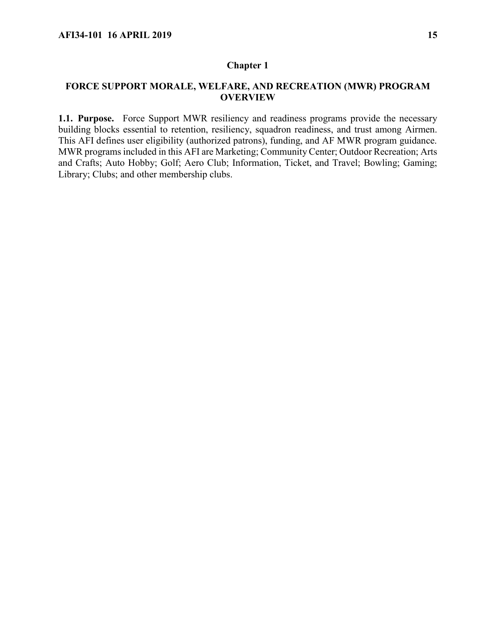#### <span id="page-14-0"></span>**FORCE SUPPORT MORALE, WELFARE, AND RECREATION (MWR) PROGRAM OVERVIEW**

<span id="page-14-1"></span>**1.1. Purpose.** Force Support MWR resiliency and readiness programs provide the necessary building blocks essential to retention, resiliency, squadron readiness, and trust among Airmen. This AFI defines user eligibility (authorized patrons), funding, and AF MWR program guidance. MWR programs included in this AFI are Marketing; Community Center; Outdoor Recreation; Arts and Crafts; Auto Hobby; Golf; Aero Club; Information, Ticket, and Travel; Bowling; Gaming; Library; Clubs; and other membership clubs.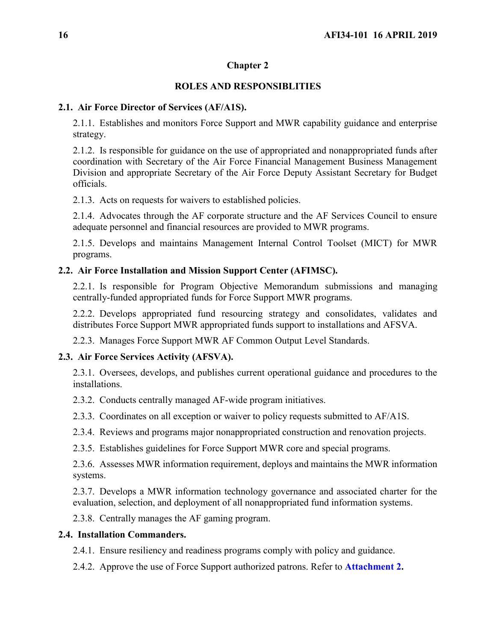# **ROLES AND RESPONSIBLITIES**

## <span id="page-15-1"></span><span id="page-15-0"></span>**2.1. Air Force Director of Services (AF/A1S).**

2.1.1. Establishes and monitors Force Support and MWR capability guidance and enterprise strategy.

2.1.2. Is responsible for guidance on the use of appropriated and nonappropriated funds after coordination with Secretary of the Air Force Financial Management Business Management Division and appropriate Secretary of the Air Force Deputy Assistant Secretary for Budget officials.

2.1.3. Acts on requests for waivers to established policies.

2.1.4. Advocates through the AF corporate structure and the AF Services Council to ensure adequate personnel and financial resources are provided to MWR programs.

2.1.5. Develops and maintains Management Internal Control Toolset (MICT) for MWR programs.

# <span id="page-15-2"></span>**2.2. Air Force Installation and Mission Support Center (AFIMSC).**

2.2.1. Is responsible for Program Objective Memorandum submissions and managing centrally-funded appropriated funds for Force Support MWR programs.

2.2.2. Develops appropriated fund resourcing strategy and consolidates, validates and distributes Force Support MWR appropriated funds support to installations and AFSVA.

2.2.3. Manages Force Support MWR AF Common Output Level Standards.

# <span id="page-15-3"></span>**2.3. Air Force Services Activity (AFSVA).**

2.3.1. Oversees, develops, and publishes current operational guidance and procedures to the installations.

2.3.2. Conducts centrally managed AF-wide program initiatives.

2.3.3. Coordinates on all exception or waiver to policy requests submitted to AF/A1S.

2.3.4. Reviews and programs major nonappropriated construction and renovation projects.

2.3.5. Establishes guidelines for Force Support MWR core and special programs.

2.3.6. Assesses MWR information requirement, deploys and maintains the MWR information systems.

2.3.7. Develops a MWR information technology governance and associated charter for the evaluation, selection, and deployment of all nonappropriated fund information systems.

2.3.8. Centrally manages the AF gaming program.

# <span id="page-15-4"></span>**2.4. Installation Commanders.**

2.4.1. Ensure resiliency and readiness programs comply with policy and guidance.

2.4.2. Approve the use of Force Support authorized patrons. Refer to **[Attachment 2.](#page-118-0)**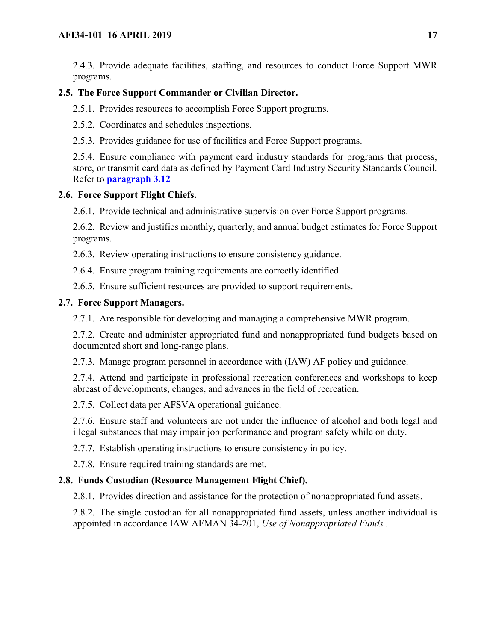2.4.3. Provide adequate facilities, staffing, and resources to conduct Force Support MWR programs.

# <span id="page-16-0"></span>**2.5. The Force Support Commander or Civilian Director.**

2.5.1. Provides resources to accomplish Force Support programs.

2.5.2. Coordinates and schedules inspections.

2.5.3. Provides guidance for use of facilities and Force Support programs.

2.5.4. Ensure compliance with payment card industry standards for programs that process, store, or transmit card data as defined by Payment Card Industry Security Standards Council. Refer to **[paragraph 3.12](#page-19-4)**

## <span id="page-16-1"></span>**2.6. Force Support Flight Chiefs.**

2.6.1. Provide technical and administrative supervision over Force Support programs.

2.6.2. Review and justifies monthly, quarterly, and annual budget estimates for Force Support programs.

2.6.3. Review operating instructions to ensure consistency guidance.

2.6.4. Ensure program training requirements are correctly identified.

2.6.5. Ensure sufficient resources are provided to support requirements.

## <span id="page-16-2"></span>**2.7. Force Support Managers.**

2.7.1. Are responsible for developing and managing a comprehensive MWR program.

2.7.2. Create and administer appropriated fund and nonappropriated fund budgets based on documented short and long-range plans.

2.7.3. Manage program personnel in accordance with (IAW) AF policy and guidance.

2.7.4. Attend and participate in professional recreation conferences and workshops to keep abreast of developments, changes, and advances in the field of recreation.

2.7.5. Collect data per AFSVA operational guidance.

2.7.6. Ensure staff and volunteers are not under the influence of alcohol and both legal and illegal substances that may impair job performance and program safety while on duty.

2.7.7. Establish operating instructions to ensure consistency in policy.

2.7.8. Ensure required training standards are met.

# <span id="page-16-3"></span>**2.8. Funds Custodian (Resource Management Flight Chief).**

2.8.1. Provides direction and assistance for the protection of nonappropriated fund assets.

<span id="page-16-4"></span>2.8.2. The single custodian for all nonappropriated fund assets, unless another individual is appointed in accordance IAW AFMAN 34-201, *Use of Nonappropriated Funds..*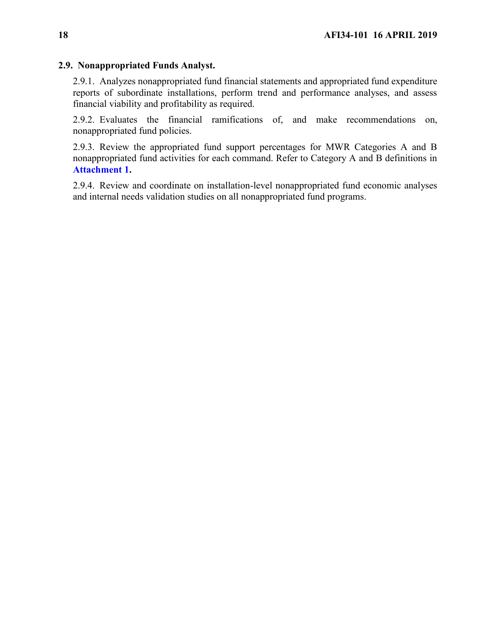#### **2.9. Nonappropriated Funds Analyst.**

2.9.1. Analyzes nonappropriated fund financial statements and appropriated fund expenditure reports of subordinate installations, perform trend and performance analyses, and assess financial viability and profitability as required.

2.9.2. Evaluates the financial ramifications of, and make recommendations on, nonappropriated fund policies.

2.9.3. Review the appropriated fund support percentages for MWR Categories A and B nonappropriated fund activities for each command. Refer to Category A and B definitions in **[Attachment 1.](#page-108-0)**

2.9.4. Review and coordinate on installation-level nonappropriated fund economic analyses and internal needs validation studies on all nonappropriated fund programs.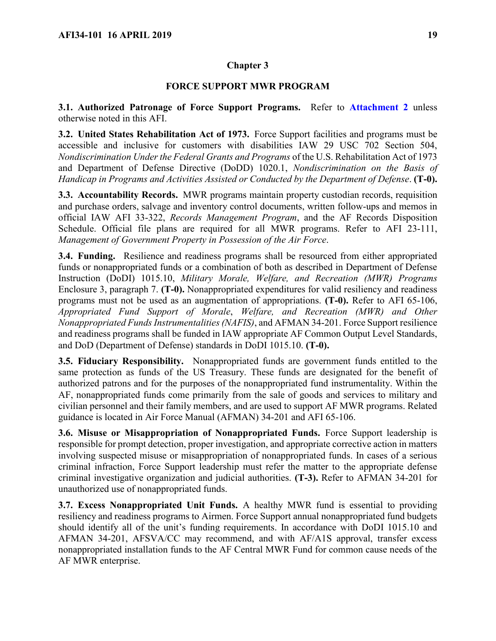### **FORCE SUPPORT MWR PROGRAM**

<span id="page-18-1"></span><span id="page-18-0"></span>**3.1. Authorized Patronage of Force Support Programs.** Refer to **[Attachment 2](#page-118-0)** unless otherwise noted in this AFI.

<span id="page-18-2"></span>**3.2. United States Rehabilitation Act of 1973.** Force Support facilities and programs must be accessible and inclusive for customers with disabilities IAW 29 USC 702 Section 504, *Nondiscrimination Under the Federal Grants and Programs* of the U.S. Rehabilitation Act of 1973 and Department of Defense Directive (DoDD) 1020.1, *Nondiscrimination on the Basis of Handicap in Programs and Activities Assisted or Conducted by the Department of Defense*. **(T-0).**

<span id="page-18-3"></span>**3.3. Accountability Records.** MWR programs maintain property custodian records, requisition and purchase orders, salvage and inventory control documents, written follow-ups and memos in official IAW AFI 33-322, *Records Management Program*, and the AF Records Disposition Schedule. Official file plans are required for all MWR programs. Refer to AFI 23-111, *Management of Government Property in Possession of the Air Force*.

<span id="page-18-4"></span>**3.4. Funding.** Resilience and readiness programs shall be resourced from either appropriated funds or nonappropriated funds or a combination of both as described in Department of Defense Instruction (DoDI) 1015.10, *Military Morale, Welfare, and Recreation (MWR) Programs* Enclosure 3, paragraph 7. **(T-0).** Nonappropriated expenditures for valid resiliency and readiness programs must not be used as an augmentation of appropriations. **(T-0).** Refer to AFI 65-106, *Appropriated Fund Support of Morale*, *Welfare, and Recreation (MWR) and Other Nonappropriated Funds Instrumentalities (NAFIS)*, and AFMAN 34-201. Force Support resilience and readiness programs shall be funded in IAW appropriate AF Common Output Level Standards, and DoD (Department of Defense) standards in DoDI 1015.10. **(T-0).**

<span id="page-18-5"></span>**3.5. Fiduciary Responsibility.** Nonappropriated funds are government funds entitled to the same protection as funds of the US Treasury. These funds are designated for the benefit of authorized patrons and for the purposes of the nonappropriated fund instrumentality. Within the AF, nonappropriated funds come primarily from the sale of goods and services to military and civilian personnel and their family members, and are used to support AF MWR programs. Related guidance is located in Air Force Manual (AFMAN) 34-201 and AFI 65-106.

<span id="page-18-6"></span>**3.6. Misuse or Misappropriation of Nonappropriated Funds.** Force Support leadership is responsible for prompt detection, proper investigation, and appropriate corrective action in matters involving suspected misuse or misappropriation of nonappropriated funds. In cases of a serious criminal infraction, Force Support leadership must refer the matter to the appropriate defense criminal investigative organization and judicial authorities. **(T-3).** Refer to AFMAN 34-201 for unauthorized use of nonappropriated funds.

<span id="page-18-7"></span>**3.7. Excess Nonappropriated Unit Funds.** A healthy MWR fund is essential to providing resiliency and readiness programs to Airmen. Force Support annual nonappropriated fund budgets should identify all of the unit's funding requirements. In accordance with DoDI 1015.10 and AFMAN 34-201, AFSVA/CC may recommend, and with AF/A1S approval, transfer excess nonappropriated installation funds to the AF Central MWR Fund for common cause needs of the AF MWR enterprise.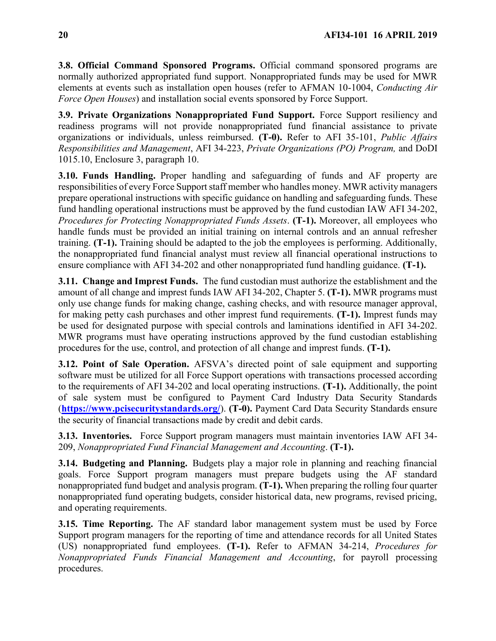<span id="page-19-0"></span>**3.8. Official Command Sponsored Programs.** Official command sponsored programs are normally authorized appropriated fund support. Nonappropriated funds may be used for MWR elements at events such as installation open houses (refer to AFMAN 10-1004, *Conducting Air Force Open Houses*) and installation social events sponsored by Force Support.

<span id="page-19-1"></span>**3.9. Private Organizations Nonappropriated Fund Support.** Force Support resiliency and readiness programs will not provide nonappropriated fund financial assistance to private organizations or individuals, unless reimbursed. **(T-0).** Refer to AFI 35-101, *Public Affairs Responsibilities and Management*, AFI 34-223, *Private Organizations (PO) Program,* and DoDI 1015.10, Enclosure 3, paragraph 10.

<span id="page-19-2"></span>**3.10. Funds Handling.** Proper handling and safeguarding of funds and AF property are responsibilities of every Force Support staff member who handles money. MWR activity managers prepare operational instructions with specific guidance on handling and safeguarding funds. These fund handling operational instructions must be approved by the fund custodian IAW AFI 34-202, *Procedures for Protecting Nonappropriated Funds Assets*. **(T-1).** Moreover, all employees who handle funds must be provided an initial training on internal controls and an annual refresher training. **(T-1).** Training should be adapted to the job the employees is performing. Additionally, the nonappropriated fund financial analyst must review all financial operational instructions to ensure compliance with AFI 34-202 and other nonappropriated fund handling guidance. **(T-1).**

<span id="page-19-3"></span>**3.11. Change and Imprest Funds.** The fund custodian must authorize the establishment and the amount of all change and imprest funds IAW AFI 34-202, Chapter 5. **(T-1).** MWR programs must only use change funds for making change, cashing checks, and with resource manager approval, for making petty cash purchases and other imprest fund requirements. **(T-1).** Imprest funds may be used for designated purpose with special controls and laminations identified in AFI 34-202. MWR programs must have operating instructions approved by the fund custodian establishing procedures for the use, control, and protection of all change and imprest funds. **(T-1).**

<span id="page-19-4"></span>**3.12. Point of Sale Operation.** AFSVA's directed point of sale equipment and supporting software must be utilized for all Force Support operations with transactions processed according to the requirements of AFI 34-202 and local operating instructions. **(T-1).** Additionally, the point of sale system must be configured to Payment Card Industry Data Security Standards (**<https://www.pcisecuritystandards.org/>**). **(T-0).** Payment Card Data Security Standards ensure the security of financial transactions made by credit and debit cards.

<span id="page-19-5"></span>**3.13. Inventories.** Force Support program managers must maintain inventories IAW AFI 34- 209, *Nonappropriated Fund Financial Management and Accounting*. **(T-1).**

<span id="page-19-6"></span>**3.14. Budgeting and Planning.** Budgets play a major role in planning and reaching financial goals. Force Support program managers must prepare budgets using the AF standard nonappropriated fund budget and analysis program. **(T-1).** When preparing the rolling four quarter nonappropriated fund operating budgets, consider historical data, new programs, revised pricing, and operating requirements.

<span id="page-19-7"></span>**3.15. Time Reporting.** The AF standard labor management system must be used by Force Support program managers for the reporting of time and attendance records for all United States (US) nonappropriated fund employees. **(T-1).** Refer to AFMAN 34-214, *Procedures for Nonappropriated Funds Financial Management and Accounting*, for payroll processing procedures.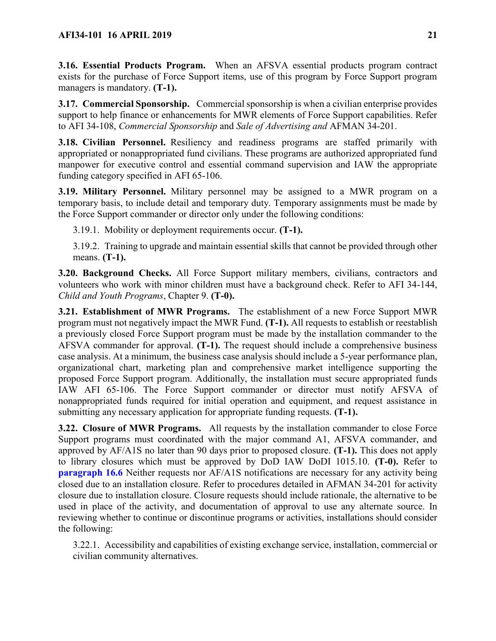<span id="page-20-0"></span>**3.16. Essential Products Program.** When an AFSVA essential products program contract exists for the purchase of Force Support items, use of this program by Force Support program managers is mandatory. **(T-1).**

<span id="page-20-1"></span>**3.17. Commercial Sponsorship.** Commercial sponsorship is when a civilian enterprise provides support to help finance or enhancements for MWR elements of Force Support capabilities. Refer to AFI 34-108, *Commercial Sponsorship* and *Sale of Advertising and* AFMAN 34-201.

<span id="page-20-2"></span>**3.18. Civilian Personnel.** Resiliency and readiness programs are staffed primarily with appropriated or nonappropriated fund civilians. These programs are authorized appropriated fund manpower for executive control and essential command supervision and IAW the appropriate funding category specified in AFI 65-106.

<span id="page-20-3"></span>**3.19. Military Personnel.** Military personnel may be assigned to a MWR program on a temporary basis, to include detail and temporary duty. Temporary assignments must be made by the Force Support commander or director only under the following conditions:

3.19.1. Mobility or deployment requirements occur. **(T-1).**

3.19.2. Training to upgrade and maintain essential skills that cannot be provided through other means. **(T-1).**

<span id="page-20-4"></span>**3.20. Background Checks.** All Force Support military members, civilians, contractors and volunteers who work with minor children must have a background check. Refer to AFI 34-144, *Child and Youth Programs*, Chapter 9. **(T-0).**

<span id="page-20-5"></span>**3.21. Establishment of MWR Programs.** The establishment of a new Force Support MWR program must not negatively impact the MWR Fund. **(T-1).** All requests to establish or reestablish a previously closed Force Support program must be made by the installation commander to the AFSVA commander for approval. **(T-1).** The request should include a comprehensive business case analysis. At a minimum, the business case analysis should include a 5-year performance plan, organizational chart, marketing plan and comprehensive market intelligence supporting the proposed Force Support program. Additionally, the installation must secure appropriated funds IAW AFI 65-106. The Force Support commander or director must notify AFSVA of nonappropriated funds required for initial operation and equipment, and request assistance in submitting any necessary application for appropriate funding requests. **(T-1).**

<span id="page-20-6"></span>**3.22. Closure of MWR Programs.** All requests by the installation commander to close Force Support programs must coordinated with the major command A1, AFSVA commander, and approved by AF/A1S no later than 90 days prior to proposed closure. **(T-1).** This does not apply to library closures which must be approved by DoD IAW DoDI 1015.10. **(T-0).** Refer to **[paragraph 16.6](#page-78-0)** Neither requests nor AF/A1S notifications are necessary for any activity being closed due to an installation closure. Refer to procedures detailed in AFMAN 34-201 for activity closure due to installation closure. Closure requests should include rationale, the alternative to be used in place of the activity, and documentation of approval to use any alternate source. In reviewing whether to continue or discontinue programs or activities, installations should consider the following:

3.22.1. Accessibility and capabilities of existing exchange service, installation, commercial or civilian community alternatives.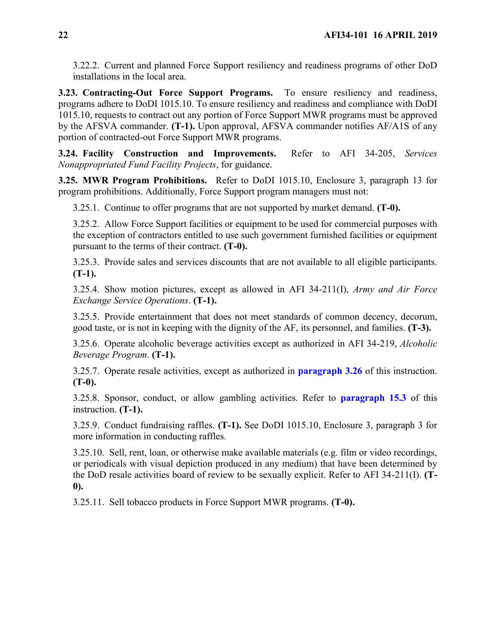3.22.2. Current and planned Force Support resiliency and readiness programs of other DoD installations in the local area.

<span id="page-21-0"></span>**3.23. Contracting-Out Force Support Programs.** To ensure resiliency and readiness, programs adhere to DoDI 1015.10. To ensure resiliency and readiness and compliance with DoDI 1015.10, requests to contract out any portion of Force Support MWR programs must be approved by the AFSVA commander. **(T-1).** Upon approval, AFSVA commander notifies AF/A1S of any portion of contracted-out Force Support MWR programs.

<span id="page-21-1"></span>**3.24. Facility Construction and Improvements.** Refer to AFI 34-205, *Services Nonappropriated Fund Facility Projects*, for guidance.

<span id="page-21-2"></span>**3.25. MWR Program Prohibitions.** Refer to DoDI 1015.10, Enclosure 3, paragraph 13 for program prohibitions. Additionally, Force Support program managers must not:

3.25.1. Continue to offer programs that are not supported by market demand. **(T-0).**

3.25.2. Allow Force Support facilities or equipment to be used for commercial purposes with the exception of contractors entitled to use such government furnished facilities or equipment pursuant to the terms of their contract. **(T-0).**

3.25.3. Provide sales and services discounts that are not available to all eligible participants. **(T-1).**

3.25.4. Show motion pictures, except as allowed in AFI 34-211(I), *Army and Air Force Exchange Service Operations*. **(T-1).**

3.25.5. Provide entertainment that does not meet standards of common decency, decorum, good taste, or is not in keeping with the dignity of the AF, its personnel, and families. **(T-3).**

3.25.6. Operate alcoholic beverage activities except as authorized in AFI 34-219, *Alcoholic Beverage Program*. **(T-1).**

3.25.7. Operate resale activities, except as authorized in **[paragraph 3.26](#page-21-3)** of this instruction. **(T-0).**

3.25.8. Sponsor, conduct, or allow gambling activities. Refer to **[paragraph 15.3](#page-73-0)** of this instruction. **(T-1).**

3.25.9. Conduct fundraising raffles. **(T-1).** See DoDI 1015.10, Enclosure 3, paragraph 3 for more information in conducting raffles.

3.25.10. Sell, rent, loan, or otherwise make available materials (e.g. film or video recordings, or periodicals with visual depiction produced in any medium) that have been determined by the DoD resale activities board of review to be sexually explicit. Refer to AFI 34-211(I). **(T-0).**

<span id="page-21-3"></span>3.25.11. Sell tobacco products in Force Support MWR programs. **(T-0).**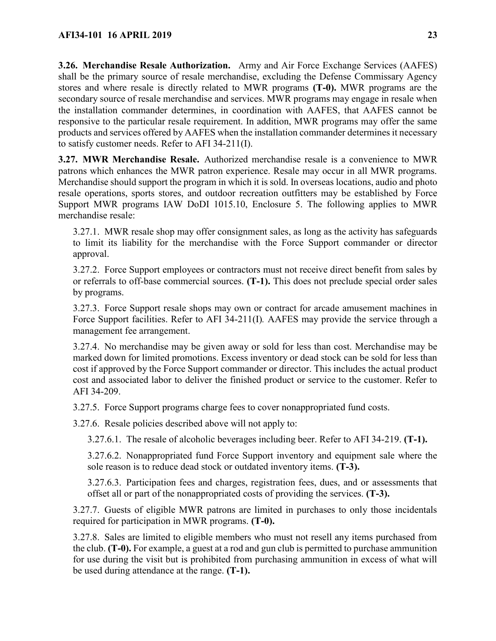**3.26. Merchandise Resale Authorization.** Army and Air Force Exchange Services (AAFES) shall be the primary source of resale merchandise, excluding the Defense Commissary Agency stores and where resale is directly related to MWR programs **(T-0).** MWR programs are the secondary source of resale merchandise and services. MWR programs may engage in resale when the installation commander determines, in coordination with AAFES, that AAFES cannot be responsive to the particular resale requirement. In addition, MWR programs may offer the same products and services offered by AAFES when the installation commander determines it necessary to satisfy customer needs. Refer to AFI 34-211(I).

<span id="page-22-0"></span>**3.27. MWR Merchandise Resale.** Authorized merchandise resale is a convenience to MWR patrons which enhances the MWR patron experience. Resale may occur in all MWR programs. Merchandise should support the program in which it is sold. In overseas locations, audio and photo resale operations, sports stores, and outdoor recreation outfitters may be established by Force Support MWR programs IAW DoDI 1015.10, Enclosure 5. The following applies to MWR merchandise resale:

3.27.1. MWR resale shop may offer consignment sales, as long as the activity has safeguards to limit its liability for the merchandise with the Force Support commander or director approval.

3.27.2. Force Support employees or contractors must not receive direct benefit from sales by or referrals to off-base commercial sources. **(T-1).** This does not preclude special order sales by programs.

3.27.3. Force Support resale shops may own or contract for arcade amusement machines in Force Support facilities. Refer to AFI 34-211(I)*.* AAFES may provide the service through a management fee arrangement.

3.27.4. No merchandise may be given away or sold for less than cost. Merchandise may be marked down for limited promotions. Excess inventory or dead stock can be sold for less than cost if approved by the Force Support commander or director. This includes the actual product cost and associated labor to deliver the finished product or service to the customer. Refer to AFI 34-209.

3.27.5. Force Support programs charge fees to cover nonappropriated fund costs.

3.27.6. Resale policies described above will not apply to:

3.27.6.1. The resale of alcoholic beverages including beer. Refer to AFI 34-219. **(T-1).**

3.27.6.2. Nonappropriated fund Force Support inventory and equipment sale where the sole reason is to reduce dead stock or outdated inventory items. **(T-3).**

3.27.6.3. Participation fees and charges, registration fees, dues, and or assessments that offset all or part of the nonappropriated costs of providing the services. **(T-3).**

3.27.7. Guests of eligible MWR patrons are limited in purchases to only those incidentals required for participation in MWR programs. **(T-0).**

3.27.8. Sales are limited to eligible members who must not resell any items purchased from the club. **(T-0).** For example, a guest at a rod and gun club is permitted to purchase ammunition for use during the visit but is prohibited from purchasing ammunition in excess of what will be used during attendance at the range. **(T-1).**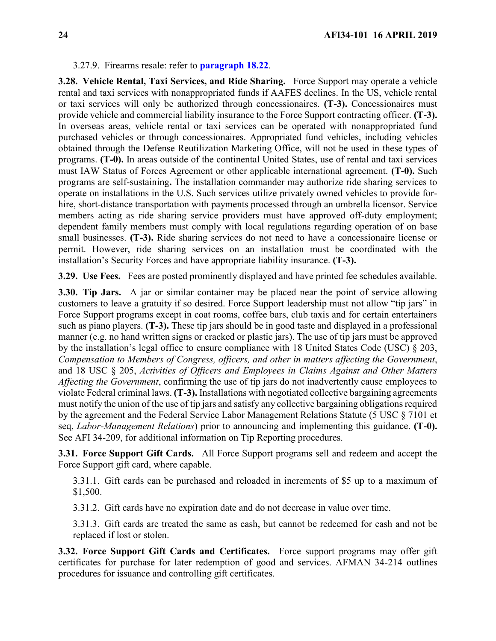#### 3.27.9. Firearms resale: refer to **[paragraph 18.22](#page-92-0)**.

<span id="page-23-0"></span>**3.28. Vehicle Rental, Taxi Services, and Ride Sharing.** Force Support may operate a vehicle rental and taxi services with nonappropriated funds if AAFES declines. In the US, vehicle rental or taxi services will only be authorized through concessionaires. **(T-3).** Concessionaires must provide vehicle and commercial liability insurance to the Force Support contracting officer. **(T-3).** In overseas areas, vehicle rental or taxi services can be operated with nonappropriated fund purchased vehicles or through concessionaires. Appropriated fund vehicles, including vehicles obtained through the Defense Reutilization Marketing Office, will not be used in these types of programs. **(T-0).** In areas outside of the continental United States, use of rental and taxi services must IAW Status of Forces Agreement or other applicable international agreement. **(T-0).** Such programs are self-sustaining**.** The installation commander may authorize ride sharing services to operate on installations in the U.S. Such services utilize privately owned vehicles to provide forhire, short-distance transportation with payments processed through an umbrella licensor. Service members acting as ride sharing service providers must have approved off-duty employment; dependent family members must comply with local regulations regarding operation of on base small businesses. **(T-3).** Ride sharing services do not need to have a concessionaire license or permit. However, ride sharing services on an installation must be coordinated with the installation's Security Forces and have appropriate liability insurance. **(T-3).**

<span id="page-23-1"></span>**3.29. Use Fees.** Fees are posted prominently displayed and have printed fee schedules available.

<span id="page-23-2"></span>**3.30. Tip Jars.** A jar or similar container may be placed near the point of service allowing customers to leave a gratuity if so desired. Force Support leadership must not allow "tip jars" in Force Support programs except in coat rooms, coffee bars, club taxis and for certain entertainers such as piano players. **(T-3).** These tip jars should be in good taste and displayed in a professional manner (e.g. no hand written signs or cracked or plastic jars). The use of tip jars must be approved by the installation's legal office to ensure compliance with 18 United States Code (USC) § 203, *Compensation to Members of Congress, officers, and other in matters affecting the Government*, and 18 USC § 205, *Activities of Officers and Employees in Claims Against and Other Matters Affecting the Government*, confirming the use of tip jars do not inadvertently cause employees to violate Federal criminal laws. **(T-3).** Installations with negotiated collective bargaining agreements must notify the union of the use of tip jars and satisfy any collective bargaining obligations required by the agreement and the Federal Service Labor Management Relations Statute (5 USC § 7101 et seq, *Labor-Management Relations*) prior to announcing and implementing this guidance. **(T-0).**  See AFI 34-209, for additional information on Tip Reporting procedures.

<span id="page-23-3"></span>**3.31. Force Support Gift Cards.** All Force Support programs sell and redeem and accept the Force Support gift card, where capable.

3.31.1. Gift cards can be purchased and reloaded in increments of \$5 up to a maximum of \$1,500.

3.31.2. Gift cards have no expiration date and do not decrease in value over time.

3.31.3. Gift cards are treated the same as cash, but cannot be redeemed for cash and not be replaced if lost or stolen.

<span id="page-23-4"></span>**3.32. Force Support Gift Cards and Certificates.** Force support programs may offer gift certificates for purchase for later redemption of good and services. AFMAN 34-214 outlines procedures for issuance and controlling gift certificates.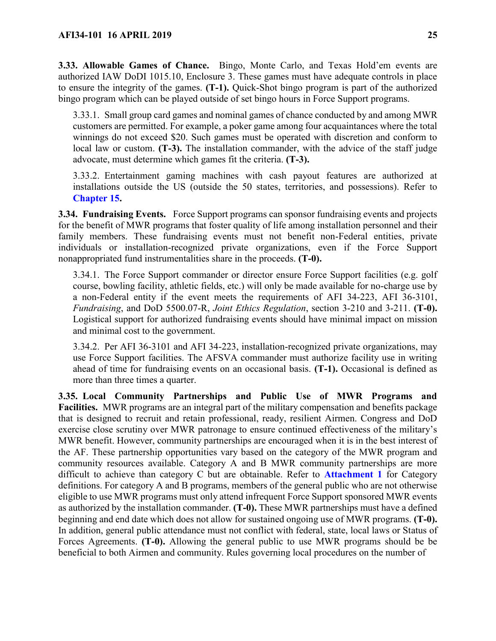<span id="page-24-0"></span>**3.33. Allowable Games of Chance.** Bingo, Monte Carlo, and Texas Hold'em events are authorized IAW DoDI 1015.10, Enclosure 3. These games must have adequate controls in place to ensure the integrity of the games. **(T-1).** Quick-Shot bingo program is part of the authorized bingo program which can be played outside of set bingo hours in Force Support programs.

3.33.1. Small group card games and nominal games of chance conducted by and among MWR customers are permitted. For example, a poker game among four acquaintances where the total winnings do not exceed \$20. Such games must be operated with discretion and conform to local law or custom. **(T-3).** The installation commander, with the advice of the staff judge advocate, must determine which games fit the criteria. **(T-3).**

3.33.2. Entertainment gaming machines with cash payout features are authorized at installations outside the US (outside the 50 states, territories, and possessions). Refer to **[Chapter 15.](#page-72-0)**

<span id="page-24-1"></span>**3.34. Fundraising Events.** Force Support programs can sponsor fundraising events and projects for the benefit of MWR programs that foster quality of life among installation personnel and their family members. These fundraising events must not benefit non-Federal entities, private individuals or installation-recognized private organizations, even if the Force Support nonappropriated fund instrumentalities share in the proceeds. **(T-0).**

3.34.1. The Force Support commander or director ensure Force Support facilities (e.g. golf course, bowling facility, athletic fields, etc.) will only be made available for no-charge use by a non-Federal entity if the event meets the requirements of AFI 34-223, AFI 36-3101, *Fundraising*, and DoD 5500.07-R, *Joint Ethics Regulation*, section 3-210 and 3-211. **(T-0).** Logistical support for authorized fundraising events should have minimal impact on mission and minimal cost to the government.

3.34.2. Per AFI 36-3101 and AFI 34-223, installation-recognized private organizations, may use Force Support facilities. The AFSVA commander must authorize facility use in writing ahead of time for fundraising events on an occasional basis. **(T-1).** Occasional is defined as more than three times a quarter.

<span id="page-24-2"></span>**3.35. Local Community Partnerships and Public Use of MWR Programs and Facilities.** MWR programs are an integral part of the military compensation and benefits package that is designed to recruit and retain professional, ready, resilient Airmen. Congress and DoD exercise close scrutiny over MWR patronage to ensure continued effectiveness of the military's MWR benefit. However, community partnerships are encouraged when it is in the best interest of the AF. These partnership opportunities vary based on the category of the MWR program and community resources available. Category A and B MWR community partnerships are more difficult to achieve than category C but are obtainable. Refer to **[Attachment 1](#page-108-0)** for Category definitions. For category A and B programs, members of the general public who are not otherwise eligible to use MWR programs must only attend infrequent Force Support sponsored MWR events as authorized by the installation commander. **(T-0).** These MWR partnerships must have a defined beginning and end date which does not allow for sustained ongoing use of MWR programs. **(T-0).** In addition, general public attendance must not conflict with federal, state, local laws or Status of Forces Agreements. **(T-0).** Allowing the general public to use MWR programs should be be beneficial to both Airmen and community. Rules governing local procedures on the number of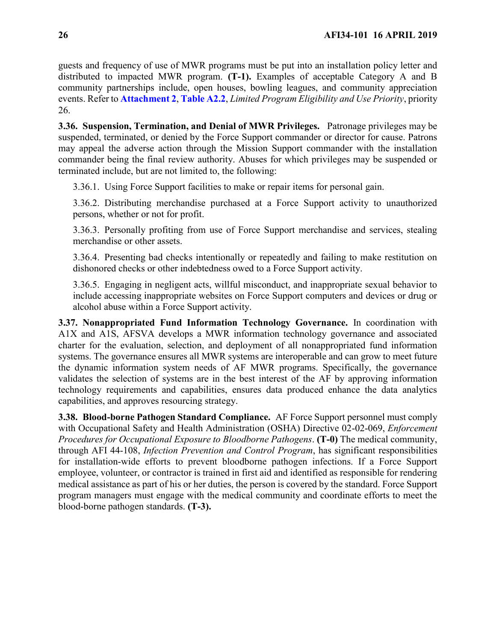guests and frequency of use of MWR programs must be put into an installation policy letter and distributed to impacted MWR program. **(T-1).** Examples of acceptable Category A and B community partnerships include, open houses, bowling leagues, and community appreciation events. Refer to **[Attachment 2](#page-118-0)**, **[Table A2.2](#page-121-0)**, *Limited Program Eligibility and Use Priority*, priority 26.

<span id="page-25-0"></span>**3.36. Suspension, Termination, and Denial of MWR Privileges.** Patronage privileges may be suspended, terminated, or denied by the Force Support commander or director for cause. Patrons may appeal the adverse action through the Mission Support commander with the installation commander being the final review authority. Abuses for which privileges may be suspended or terminated include, but are not limited to, the following:

3.36.1. Using Force Support facilities to make or repair items for personal gain.

3.36.2. Distributing merchandise purchased at a Force Support activity to unauthorized persons, whether or not for profit.

3.36.3. Personally profiting from use of Force Support merchandise and services, stealing merchandise or other assets.

3.36.4. Presenting bad checks intentionally or repeatedly and failing to make restitution on dishonored checks or other indebtedness owed to a Force Support activity.

3.36.5. Engaging in negligent acts, willful misconduct, and inappropriate sexual behavior to include accessing inappropriate websites on Force Support computers and devices or drug or alcohol abuse within a Force Support activity.

<span id="page-25-1"></span>**3.37. Nonappropriated Fund Information Technology Governance.** In coordination with A1X and A1S, AFSVA develops a MWR information technology governance and associated charter for the evaluation, selection, and deployment of all nonappropriated fund information systems. The governance ensures all MWR systems are interoperable and can grow to meet future the dynamic information system needs of AF MWR programs. Specifically, the governance validates the selection of systems are in the best interest of the AF by approving information technology requirements and capabilities, ensures data produced enhance the data analytics capabilities, and approves resourcing strategy.

<span id="page-25-2"></span>**3.38. Blood-borne Pathogen Standard Compliance.** AF Force Support personnel must comply with Occupational Safety and Health Administration (OSHA) Directive 02-02-069, *Enforcement Procedures for Occupational Exposure to Bloodborne Pathogens*. **(T-0)** The medical community, through AFI 44-108, *Infection Prevention and Control Program*, has significant responsibilities for installation-wide efforts to prevent bloodborne pathogen infections. If a Force Support employee, volunteer, or contractor is trained in first aid and identified as responsible for rendering medical assistance as part of his or her duties, the person is covered by the standard. Force Support program managers must engage with the medical community and coordinate efforts to meet the blood-borne pathogen standards. **(T-3).**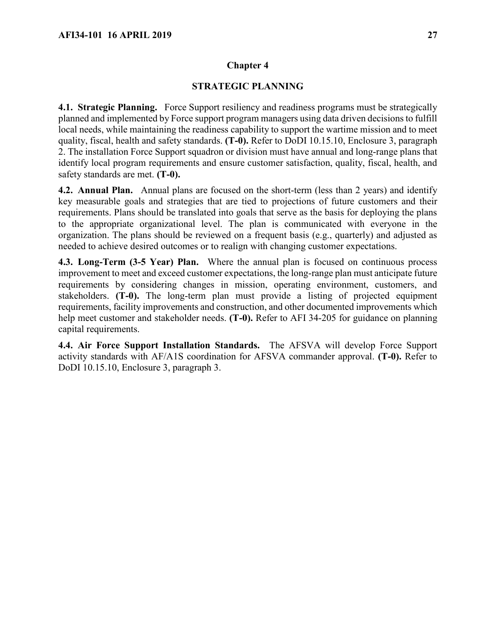### **STRATEGIC PLANNING**

<span id="page-26-1"></span><span id="page-26-0"></span>**4.1. Strategic Planning.** Force Support resiliency and readiness programs must be strategically planned and implemented by Force support program managers using data driven decisions to fulfill local needs, while maintaining the readiness capability to support the wartime mission and to meet quality, fiscal, health and safety standards. **(T-0).** Refer to DoDI 10.15.10, Enclosure 3, paragraph 2. The installation Force Support squadron or division must have annual and long-range plans that identify local program requirements and ensure customer satisfaction, quality, fiscal, health, and safety standards are met. **(T-0).**

<span id="page-26-2"></span>**4.2. Annual Plan.** Annual plans are focused on the short-term (less than 2 years) and identify key measurable goals and strategies that are tied to projections of future customers and their requirements. Plans should be translated into goals that serve as the basis for deploying the plans to the appropriate organizational level. The plan is communicated with everyone in the organization. The plans should be reviewed on a frequent basis (e.g., quarterly) and adjusted as needed to achieve desired outcomes or to realign with changing customer expectations.

<span id="page-26-3"></span>**4.3. Long-Term (3-5 Year) Plan.** Where the annual plan is focused on continuous process improvement to meet and exceed customer expectations, the long-range plan must anticipate future requirements by considering changes in mission, operating environment, customers, and stakeholders. **(T-0).** The long-term plan must provide a listing of projected equipment requirements, facility improvements and construction, and other documented improvements which help meet customer and stakeholder needs. **(T-0).** Refer to AFI 34-205 for guidance on planning capital requirements.

<span id="page-26-4"></span>**4.4. Air Force Support Installation Standards.** The AFSVA will develop Force Support activity standards with AF/A1S coordination for AFSVA commander approval. **(T-0).** Refer to DoDI 10.15.10, Enclosure 3, paragraph 3.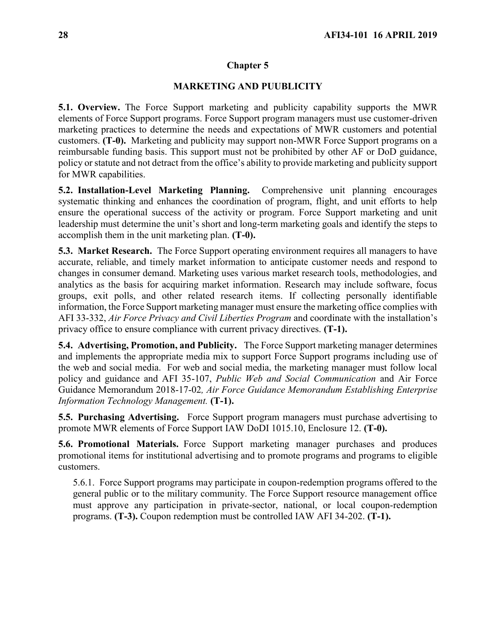#### **MARKETING AND PUUBLICITY**

<span id="page-27-1"></span><span id="page-27-0"></span>**5.1. Overview.** The Force Support marketing and publicity capability supports the MWR elements of Force Support programs. Force Support program managers must use customer-driven marketing practices to determine the needs and expectations of MWR customers and potential customers. **(T-0).** Marketing and publicity may support non-MWR Force Support programs on a reimbursable funding basis. This support must not be prohibited by other AF or DoD guidance, policy or statute and not detract from the office's ability to provide marketing and publicity support for MWR capabilities.

<span id="page-27-2"></span>**5.2. Installation-Level Marketing Planning.** Comprehensive unit planning encourages systematic thinking and enhances the coordination of program, flight, and unit efforts to help ensure the operational success of the activity or program. Force Support marketing and unit leadership must determine the unit's short and long-term marketing goals and identify the steps to accomplish them in the unit marketing plan. **(T-0).**

<span id="page-27-3"></span>**5.3. Market Research.** The Force Support operating environment requires all managers to have accurate, reliable, and timely market information to anticipate customer needs and respond to changes in consumer demand. Marketing uses various market research tools, methodologies, and analytics as the basis for acquiring market information. Research may include software, focus groups, exit polls, and other related research items. If collecting personally identifiable information, the Force Support marketing manager must ensure the marketing office complies with AFI 33-332, *Air Force Privacy and Civil Liberties Program* and coordinate with the installation's privacy office to ensure compliance with current privacy directives. **(T-1).**

<span id="page-27-4"></span>**5.4. Advertising, Promotion, and Publicity.** The Force Support marketing manager determines and implements the appropriate media mix to support Force Support programs including use of the web and social media. For web and social media, the marketing manager must follow local policy and guidance and AFI 35-107, *Public Web and Social Communication* and Air Force Guidance Memorandum 2018-17-02*, Air Force Guidance Memorandum Establishing Enterprise Information Technology Management.* **(T-1).**

<span id="page-27-5"></span>**5.5. Purchasing Advertising.** Force Support program managers must purchase advertising to promote MWR elements of Force Support IAW DoDI 1015.10, Enclosure 12. **(T-0).**

<span id="page-27-6"></span>**5.6. Promotional Materials.** Force Support marketing manager purchases and produces promotional items for institutional advertising and to promote programs and programs to eligible customers.

5.6.1. Force Support programs may participate in coupon-redemption programs offered to the general public or to the military community. The Force Support resource management office must approve any participation in private-sector, national, or local coupon-redemption programs. **(T-3).** Coupon redemption must be controlled IAW AFI 34-202. **(T-1).**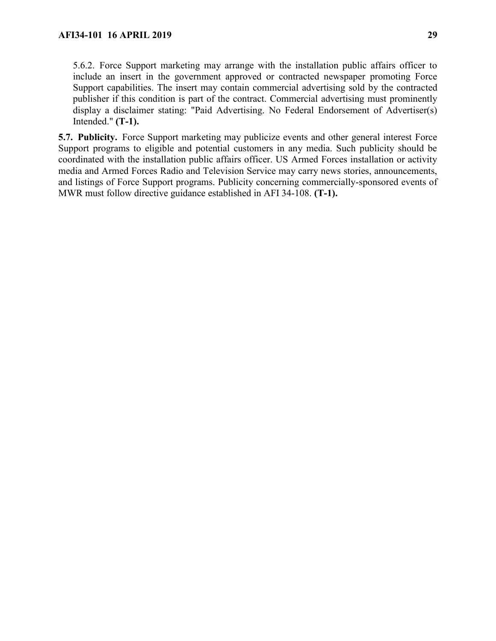5.6.2. Force Support marketing may arrange with the installation public affairs officer to include an insert in the government approved or contracted newspaper promoting Force Support capabilities. The insert may contain commercial advertising sold by the contracted publisher if this condition is part of the contract. Commercial advertising must prominently display a disclaimer stating: "Paid Advertising. No Federal Endorsement of Advertiser(s) Intended." **(T-1).**

<span id="page-28-0"></span>**5.7. Publicity.** Force Support marketing may publicize events and other general interest Force Support programs to eligible and potential customers in any media. Such publicity should be coordinated with the installation public affairs officer. US Armed Forces installation or activity media and Armed Forces Radio and Television Service may carry news stories, announcements, and listings of Force Support programs. Publicity concerning commercially-sponsored events of MWR must follow directive guidance established in AFI 34-108. **(T-1).**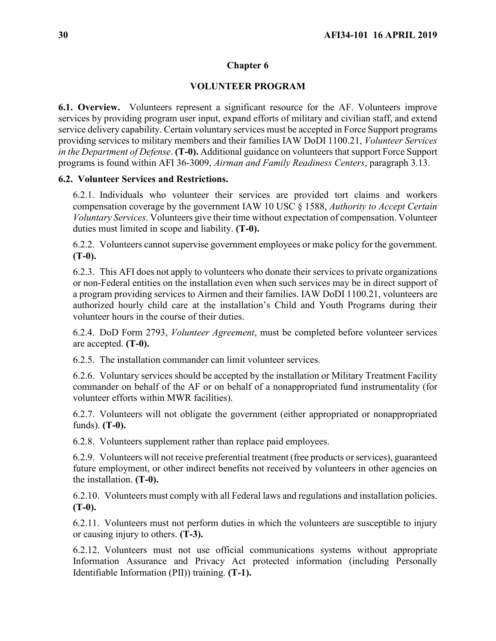## **VOLUNTEER PROGRAM**

<span id="page-29-1"></span><span id="page-29-0"></span>**6.1. Overview.** Volunteers represent a significant resource for the AF. Volunteers improve services by providing program user input, expand efforts of military and civilian staff, and extend service delivery capability. Certain voluntary services must be accepted in Force Support programs providing services to military members and their families IAW DoDI 1100.21, *Volunteer Services in the Department of Defense*. **(T-0).** Additional guidance on volunteers that support Force Support programs is found within AFI 36-3009, *Airman and Family Readiness Centers*, paragraph 3.13.

## <span id="page-29-2"></span>**6.2. Volunteer Services and Restrictions.**

6.2.1. Individuals who volunteer their services are provided tort claims and workers compensation coverage by the government IAW 10 USC § 1588, *Authority to Accept Certain Voluntary Services*. Volunteers give their time without expectation of compensation. Volunteer duties must limited in scope and liability. **(T-0).**

6.2.2. Volunteers cannot supervise government employees or make policy for the government. **(T-0).**

6.2.3. This AFI does not apply to volunteers who donate their services to private organizations or non-Federal entities on the installation even when such services may be in direct support of a program providing services to Airmen and their families. IAW DoDI 1100.21, volunteers are authorized hourly child care at the installation's Child and Youth Programs during their volunteer hours in the course of their duties.

6.2.4. DoD Form 2793, *Volunteer Agreement*, must be completed before volunteer services are accepted. **(T-0).**

6.2.5. The installation commander can limit volunteer services.

6.2.6. Voluntary services should be accepted by the installation or Military Treatment Facility commander on behalf of the AF or on behalf of a nonappropriated fund instrumentality (for volunteer efforts within MWR facilities).

6.2.7. Volunteers will not obligate the government (either appropriated or nonappropriated funds). **(T-0).**

6.2.8. Volunteers supplement rather than replace paid employees.

6.2.9. Volunteers will not receive preferential treatment (free products or services), guaranteed future employment, or other indirect benefits not received by volunteers in other agencies on the installation. **(T-0).**

6.2.10. Volunteers must comply with all Federal laws and regulations and installation policies. **(T-0).**

6.2.11. Volunteers must not perform duties in which the volunteers are susceptible to injury or causing injury to others. **(T-3).**

6.2.12. Volunteers must not use official communications systems without appropriate Information Assurance and Privacy Act protected information (including Personally Identifiable Information (PII)) training. **(T-1).**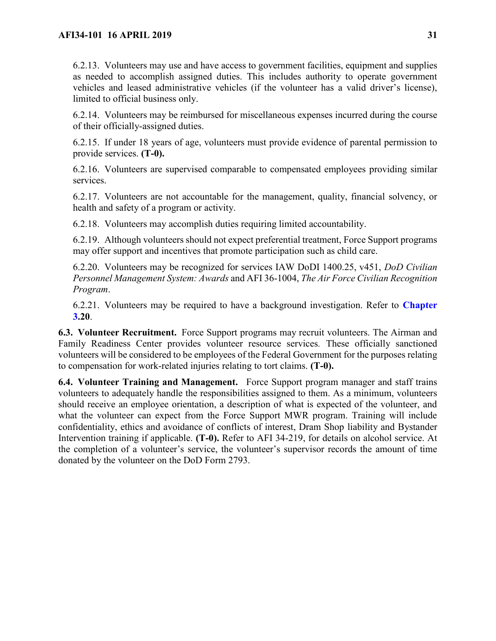6.2.13. Volunteers may use and have access to government facilities, equipment and supplies as needed to accomplish assigned duties. This includes authority to operate government vehicles and leased administrative vehicles (if the volunteer has a valid driver's license), limited to official business only.

6.2.14. Volunteers may be reimbursed for miscellaneous expenses incurred during the course of their officially-assigned duties.

6.2.15. If under 18 years of age, volunteers must provide evidence of parental permission to provide services. **(T-0).**

6.2.16. Volunteers are supervised comparable to compensated employees providing similar services.

6.2.17. Volunteers are not accountable for the management, quality, financial solvency, or health and safety of a program or activity.

6.2.18. Volunteers may accomplish duties requiring limited accountability.

6.2.19. Although volunteers should not expect preferential treatment, Force Support programs may offer support and incentives that promote participation such as child care.

6.2.20. Volunteers may be recognized for services IAW DoDI 1400.25, v451, *DoD Civilian Personnel Management System: Awards* and AFI 36-1004, *The Air Force Civilian Recognition Program*.

6.2.21. Volunteers may be required to have a background investigation. Refer to **[Chapter](#page-18-0)  [3.](#page-18-0)20**.

<span id="page-30-0"></span>**6.3. Volunteer Recruitment.** Force Support programs may recruit volunteers. The Airman and Family Readiness Center provides volunteer resource services*.* These officially sanctioned volunteers will be considered to be employees of the Federal Government for the purposes relating to compensation for work-related injuries relating to tort claims. **(T-0).**

<span id="page-30-1"></span>**6.4. Volunteer Training and Management.** Force Support program manager and staff trains volunteers to adequately handle the responsibilities assigned to them. As a minimum, volunteers should receive an employee orientation, a description of what is expected of the volunteer, and what the volunteer can expect from the Force Support MWR program. Training will include confidentiality, ethics and avoidance of conflicts of interest, Dram Shop liability and Bystander Intervention training if applicable. **(T-0).** Refer to AFI 34-219, for details on alcohol service. At the completion of a volunteer's service, the volunteer's supervisor records the amount of time donated by the volunteer on the DoD Form 2793.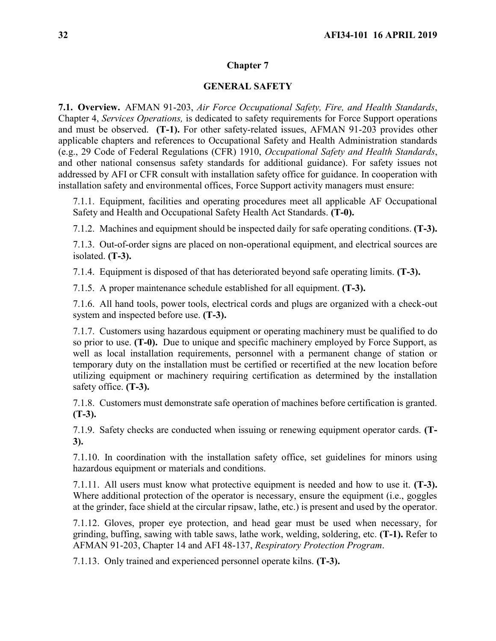### **GENERAL SAFETY**

<span id="page-31-1"></span><span id="page-31-0"></span>**7.1. Overview.** AFMAN 91-203, *Air Force Occupational Safety, Fire, and Health Standards*, Chapter 4, *Services Operations,* is dedicated to safety requirements for Force Support operations and must be observed. **(T-1).** For other safety-related issues, AFMAN 91-203 provides other applicable chapters and references to Occupational Safety and Health Administration standards (e.g., 29 Code of Federal Regulations (CFR) 1910, *Occupational Safety and Health Standards*, and other national consensus safety standards for additional guidance). For safety issues not addressed by AFI or CFR consult with installation safety office for guidance. In cooperation with installation safety and environmental offices, Force Support activity managers must ensure:

7.1.1. Equipment, facilities and operating procedures meet all applicable AF Occupational Safety and Health and Occupational Safety Health Act Standards. **(T-0).**

7.1.2. Machines and equipment should be inspected daily for safe operating conditions. **(T-3).**

7.1.3. Out-of-order signs are placed on non-operational equipment, and electrical sources are isolated. **(T-3).**

7.1.4. Equipment is disposed of that has deteriorated beyond safe operating limits. **(T-3).**

7.1.5. A proper maintenance schedule established for all equipment. **(T-3).**

7.1.6. All hand tools, power tools, electrical cords and plugs are organized with a check-out system and inspected before use. **(T-3).**

7.1.7. Customers using hazardous equipment or operating machinery must be qualified to do so prior to use. **(T-0).** Due to unique and specific machinery employed by Force Support, as well as local installation requirements, personnel with a permanent change of station or temporary duty on the installation must be certified or recertified at the new location before utilizing equipment or machinery requiring certification as determined by the installation safety office. **(T-3).** 

7.1.8. Customers must demonstrate safe operation of machines before certification is granted. **(T-3).**

7.1.9. Safety checks are conducted when issuing or renewing equipment operator cards. **(T-3).**

7.1.10. In coordination with the installation safety office, set guidelines for minors using hazardous equipment or materials and conditions.

7.1.11. All users must know what protective equipment is needed and how to use it. **(T-3).**  Where additional protection of the operator is necessary, ensure the equipment (i.e., goggles at the grinder, face shield at the circular ripsaw, lathe, etc.) is present and used by the operator.

7.1.12. Gloves, proper eye protection, and head gear must be used when necessary, for grinding, buffing, sawing with table saws, lathe work, welding, soldering, etc. **(T-1).** Refer to AFMAN 91-203, Chapter 14 and AFI 48-137, *Respiratory Protection Program*.

7.1.13. Only trained and experienced personnel operate kilns. **(T-3).**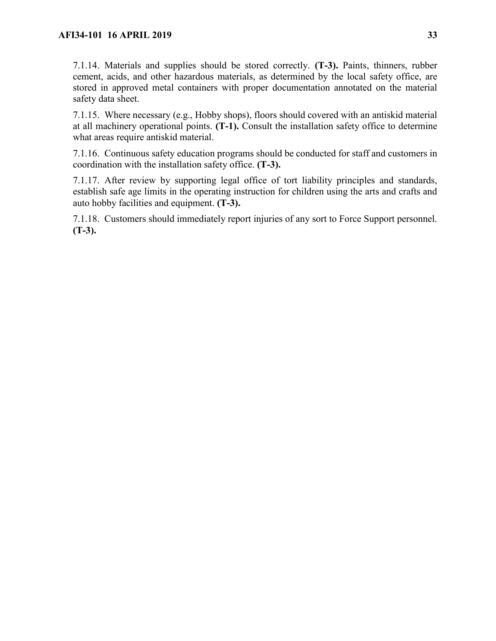7.1.14. Materials and supplies should be stored correctly. **(T-3).** Paints, thinners, rubber cement, acids, and other hazardous materials, as determined by the local safety office, are stored in approved metal containers with proper documentation annotated on the material safety data sheet.

7.1.15. Where necessary (e.g., Hobby shops), floors should covered with an antiskid material at all machinery operational points. **(T-1).** Consult the installation safety office to determine what areas require antiskid material.

7.1.16. Continuous safety education programs should be conducted for staff and customers in coordination with the installation safety office. **(T-3).**

7.1.17. After review by supporting legal office of tort liability principles and standards, establish safe age limits in the operating instruction for children using the arts and crafts and auto hobby facilities and equipment. **(T-3).**

7.1.18. Customers should immediately report injuries of any sort to Force Support personnel. **(T-3).**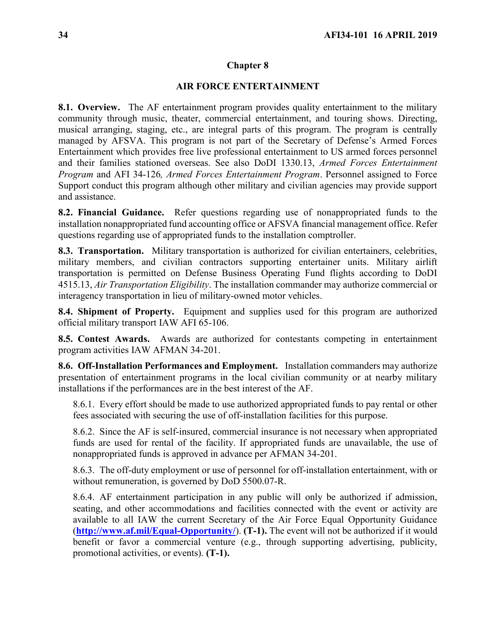# **AIR FORCE ENTERTAINMENT**

<span id="page-33-1"></span><span id="page-33-0"></span>**8.1. Overview.** The AF entertainment program provides quality entertainment to the military community through music, theater, commercial entertainment, and touring shows. Directing, musical arranging, staging, etc., are integral parts of this program. The program is centrally managed by AFSVA. This program is not part of the Secretary of Defense's Armed Forces Entertainment which provides free live professional entertainment to US armed forces personnel and their families stationed overseas. See also DoDI 1330.13, *Armed Forces Entertainment Program* and AFI 34-126*, Armed Forces Entertainment Program*. Personnel assigned to Force Support conduct this program although other military and civilian agencies may provide support and assistance.

<span id="page-33-2"></span>**8.2. Financial Guidance.** Refer questions regarding use of nonappropriated funds to the installation nonappropriated fund accounting office or AFSVA financial management office. Refer questions regarding use of appropriated funds to the installation comptroller.

<span id="page-33-3"></span>**8.3. Transportation.** Military transportation is authorized for civilian entertainers, celebrities, military members, and civilian contractors supporting entertainer units. Military airlift transportation is permitted on Defense Business Operating Fund flights according to DoDI 4515.13, *Air Transportation Eligibility*. The installation commander may authorize commercial or interagency transportation in lieu of military-owned motor vehicles.

<span id="page-33-4"></span>**8.4. Shipment of Property.** Equipment and supplies used for this program are authorized official military transport IAW AFI 65-106.

<span id="page-33-5"></span>**8.5. Contest Awards.** Awards are authorized for contestants competing in entertainment program activities IAW AFMAN 34-201.

<span id="page-33-6"></span>**8.6. Off-Installation Performances and Employment.** Installation commanders may authorize presentation of entertainment programs in the local civilian community or at nearby military installations if the performances are in the best interest of the AF.

8.6.1. Every effort should be made to use authorized appropriated funds to pay rental or other fees associated with securing the use of off-installation facilities for this purpose.

8.6.2. Since the AF is self-insured, commercial insurance is not necessary when appropriated funds are used for rental of the facility. If appropriated funds are unavailable, the use of nonappropriated funds is approved in advance per AFMAN 34-201.

8.6.3. The off-duty employment or use of personnel for off-installation entertainment, with or without remuneration, is governed by DoD 5500.07-R.

8.6.4. AF entertainment participation in any public will only be authorized if admission, seating, and other accommodations and facilities connected with the event or activity are available to all IAW the current Secretary of the Air Force Equal Opportunity Guidance (**<http://www.af.mil/Equal-Opportunity/>**). **(T-1).** The event will not be authorized if it would benefit or favor a commercial venture (e.g., through supporting advertising, publicity, promotional activities, or events). **(T-1).**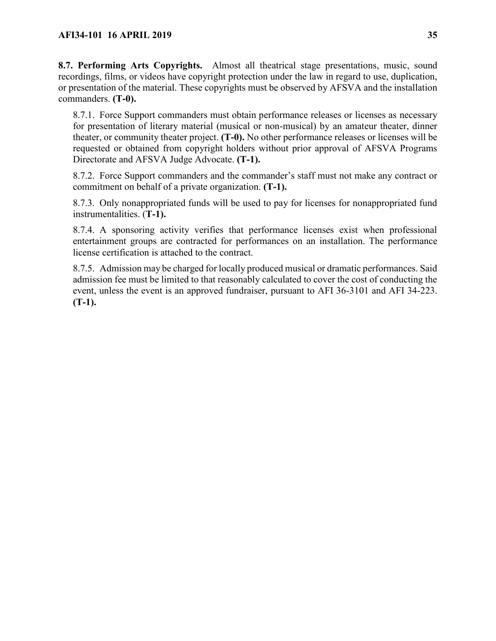<span id="page-34-0"></span>**8.7. Performing Arts Copyrights.** Almost all theatrical stage presentations, music, sound recordings, films, or videos have copyright protection under the law in regard to use, duplication, or presentation of the material. These copyrights must be observed by AFSVA and the installation commanders. **(T-0).**

8.7.1. Force Support commanders must obtain performance releases or licenses as necessary for presentation of literary material (musical or non-musical) by an amateur theater, dinner theater, or community theater project. **(T-0).** No other performance releases or licenses will be requested or obtained from copyright holders without prior approval of AFSVA Programs Directorate and AFSVA Judge Advocate. **(T-1).**

8.7.2. Force Support commanders and the commander's staff must not make any contract or commitment on behalf of a private organization. **(T-1).**

8.7.3. Only nonappropriated funds will be used to pay for licenses for nonappropriated fund instrumentalities. (**T-1).**

8.7.4. A sponsoring activity verifies that performance licenses exist when professional entertainment groups are contracted for performances on an installation. The performance license certification is attached to the contract.

8.7.5. Admission may be charged for locally produced musical or dramatic performances. Said admission fee must be limited to that reasonably calculated to cover the cost of conducting the event, unless the event is an approved fundraiser, pursuant to AFI 36-3101 and AFI 34-223. **(T-1).**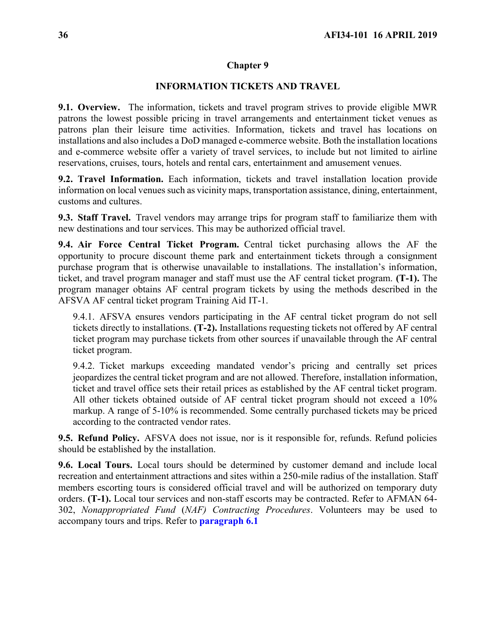### **INFORMATION TICKETS AND TRAVEL**

<span id="page-35-1"></span><span id="page-35-0"></span>**9.1. Overview.** The information, tickets and travel program strives to provide eligible MWR patrons the lowest possible pricing in travel arrangements and entertainment ticket venues as patrons plan their leisure time activities. Information, tickets and travel has locations on installations and also includes a DoD managed e-commerce website. Both the installation locations and e-commerce website offer a variety of travel services, to include but not limited to airline reservations, cruises, tours, hotels and rental cars, entertainment and amusement venues.

<span id="page-35-2"></span>**9.2. Travel Information.** Each information, tickets and travel installation location provide information on local venues such as vicinity maps, transportation assistance, dining, entertainment, customs and cultures.

<span id="page-35-3"></span>**9.3. Staff Travel.** Travel vendors may arrange trips for program staff to familiarize them with new destinations and tour services. This may be authorized official travel.

<span id="page-35-4"></span>**9.4. Air Force Central Ticket Program.** Central ticket purchasing allows the AF the opportunity to procure discount theme park and entertainment tickets through a consignment purchase program that is otherwise unavailable to installations. The installation's information, ticket, and travel program manager and staff must use the AF central ticket program. **(T-1).** The program manager obtains AF central program tickets by using the methods described in the AFSVA AF central ticket program Training Aid IT-1.

9.4.1. AFSVA ensures vendors participating in the AF central ticket program do not sell tickets directly to installations. **(T-2).** Installations requesting tickets not offered by AF central ticket program may purchase tickets from other sources if unavailable through the AF central ticket program.

9.4.2. Ticket markups exceeding mandated vendor's pricing and centrally set prices jeopardizes the central ticket program and are not allowed. Therefore, installation information, ticket and travel office sets their retail prices as established by the AF central ticket program. All other tickets obtained outside of AF central ticket program should not exceed a 10% markup. A range of 5-10% is recommended. Some centrally purchased tickets may be priced according to the contracted vendor rates.

<span id="page-35-5"></span>**9.5. Refund Policy.** AFSVA does not issue, nor is it responsible for, refunds. Refund policies should be established by the installation.

<span id="page-35-7"></span><span id="page-35-6"></span>**9.6. Local Tours.** Local tours should be determined by customer demand and include local recreation and entertainment attractions and sites within a 250-mile radius of the installation. Staff members escorting tours is considered official travel and will be authorized on temporary duty orders. **(T-1).** Local tour services and non-staff escorts may be contracted. Refer to AFMAN 64- 302, *Nonappropriated Fund* (*NAF) Contracting Procedures*. Volunteers may be used to accompany tours and trips. Refer to **[paragraph 6.1](#page-29-1)**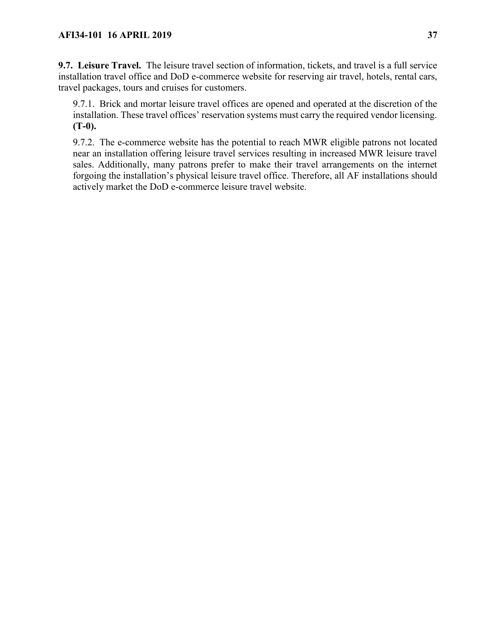**9.7. Leisure Travel.** The leisure travel section of information, tickets, and travel is a full service installation travel office and DoD e-commerce website for reserving air travel, hotels, rental cars, travel packages, tours and cruises for customers.

9.7.1. Brick and mortar leisure travel offices are opened and operated at the discretion of the installation. These travel offices' reservation systems must carry the required vendor licensing. **(T-0).**

9.7.2. The e-commerce website has the potential to reach MWR eligible patrons not located near an installation offering leisure travel services resulting in increased MWR leisure travel sales. Additionally, many patrons prefer to make their travel arrangements on the internet forgoing the installation's physical leisure travel office. Therefore, all AF installations should actively market the DoD e-commerce leisure travel website.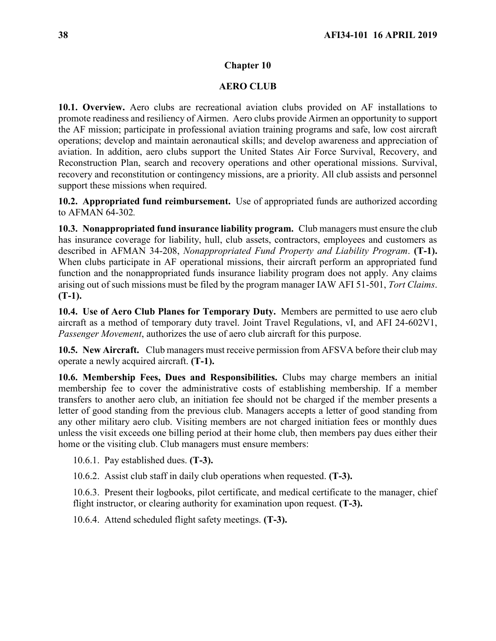#### **Chapter 10**

#### **AERO CLUB**

**10.1. Overview.** Aero clubs are recreational aviation clubs provided on AF installations to promote readiness and resiliency of Airmen. Aero clubs provide Airmen an opportunity to support the AF mission; participate in professional aviation training programs and safe, low cost aircraft operations; develop and maintain aeronautical skills; and develop awareness and appreciation of aviation. In addition, aero clubs support the United States Air Force Survival, Recovery, and Reconstruction Plan, search and recovery operations and other operational missions. Survival, recovery and reconstitution or contingency missions, are a priority. All club assists and personnel support these missions when required.

**10.2. Appropriated fund reimbursement.** Use of appropriated funds are authorized according to AFMAN 64-302*.*

**10.3. Nonappropriated fund insurance liability program.** Club managers must ensure the club has insurance coverage for liability, hull, club assets, contractors, employees and customers as described in AFMAN 34-208, *Nonappropriated Fund Property and Liability Program*. **(T-1).**  When clubs participate in AF operational missions, their aircraft perform an appropriated fund function and the nonappropriated funds insurance liability program does not apply. Any claims arising out of such missions must be filed by the program manager IAW AFI 51-501, *Tort Claims*. **(T-1).**

**10.4. Use of Aero Club Planes for Temporary Duty.** Members are permitted to use aero club aircraft as a method of temporary duty travel. Joint Travel Regulations, vI, and AFI 24-602V1, *Passenger Movement*, authorizes the use of aero club aircraft for this purpose.

**10.5. New Aircraft.** Club managers must receive permission from AFSVA before their club may operate a newly acquired aircraft. **(T-1).**

**10.6. Membership Fees, Dues and Responsibilities.** Clubs may charge members an initial membership fee to cover the administrative costs of establishing membership. If a member transfers to another aero club, an initiation fee should not be charged if the member presents a letter of good standing from the previous club. Managers accepts a letter of good standing from any other military aero club. Visiting members are not charged initiation fees or monthly dues unless the visit exceeds one billing period at their home club, then members pay dues either their home or the visiting club. Club managers must ensure members:

10.6.1. Pay established dues. **(T-3).**

10.6.2. Assist club staff in daily club operations when requested. **(T-3).**

10.6.3. Present their logbooks, pilot certificate, and medical certificate to the manager, chief flight instructor, or clearing authority for examination upon request. **(T-3).**

10.6.4. Attend scheduled flight safety meetings. **(T-3).**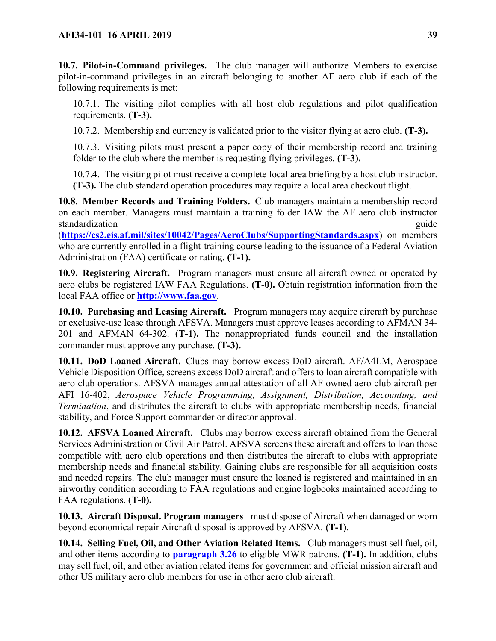**10.7. Pilot-in-Command privileges.** The club manager will authorize Members to exercise pilot-in-command privileges in an aircraft belonging to another AF aero club if each of the following requirements is met:

10.7.1. The visiting pilot complies with all host club regulations and pilot qualification requirements. **(T-3).**

10.7.2. Membership and currency is validated prior to the visitor flying at aero club. **(T-3).** 

10.7.3. Visiting pilots must present a paper copy of their membership record and training folder to the club where the member is requesting flying privileges. **(T-3).**

10.7.4. The visiting pilot must receive a complete local area briefing by a host club instructor. **(T-3).** The club standard operation procedures may require a local area checkout flight.

**10.8. Member Records and Training Folders.** Club managers maintain a membership record on each member. Managers must maintain a training folder IAW the AF aero club instructor standardization guide standardization guide standardization guide standardization guide guide guide guide guide

(**<https://cs2.eis.af.mil/sites/10042/Pages/AeroClubs/SupportingStandards.aspx>**) on members who are currently enrolled in a flight-training course leading to the issuance of a Federal Aviation Administration (FAA) certificate or rating. **(T-1).**

**10.9. Registering Aircraft.** Program managers must ensure all aircraft owned or operated by aero clubs be registered IAW FAA Regulations. **(T-0).** Obtain registration information from the local FAA office or **[http://www.faa.gov](http://www.faa.gov/)**.

**10.10. Purchasing and Leasing Aircraft.** Program managers may acquire aircraft by purchase or exclusive-use lease through AFSVA. Managers must approve leases according to AFMAN 34- 201 and AFMAN 64-302. **(T-1).** The nonappropriated funds council and the installation commander must approve any purchase. **(T-3).**

**10.11. DoD Loaned Aircraft.** Clubs may borrow excess DoD aircraft. AF/A4LM, Aerospace Vehicle Disposition Office, screens excess DoD aircraft and offers to loan aircraft compatible with aero club operations. AFSVA manages annual attestation of all AF owned aero club aircraft per AFI 16-402, *Aerospace Vehicle Programming, Assignment, Distribution, Accounting, and Termination*, and distributes the aircraft to clubs with appropriate membership needs, financial stability, and Force Support commander or director approval.

**10.12. AFSVA Loaned Aircraft.** Clubs may borrow excess aircraft obtained from the General Services Administration or Civil Air Patrol. AFSVA screens these aircraft and offers to loan those compatible with aero club operations and then distributes the aircraft to clubs with appropriate membership needs and financial stability. Gaining clubs are responsible for all acquisition costs and needed repairs. The club manager must ensure the loaned is registered and maintained in an airworthy condition according to FAA regulations and engine logbooks maintained according to FAA regulations. **(T-0).**

**10.13. Aircraft Disposal. Program managers** must dispose of Aircraft when damaged or worn beyond economical repair Aircraft disposal is approved by AFSVA. **(T-1).**

**10.14. Selling Fuel, Oil, and Other Aviation Related Items.** Club managers must sell fuel, oil, and other items according to **[paragraph 3.26](#page-21-0)** to eligible MWR patrons. **(T-1).** In addition, clubs may sell fuel, oil, and other aviation related items for government and official mission aircraft and other US military aero club members for use in other aero club aircraft.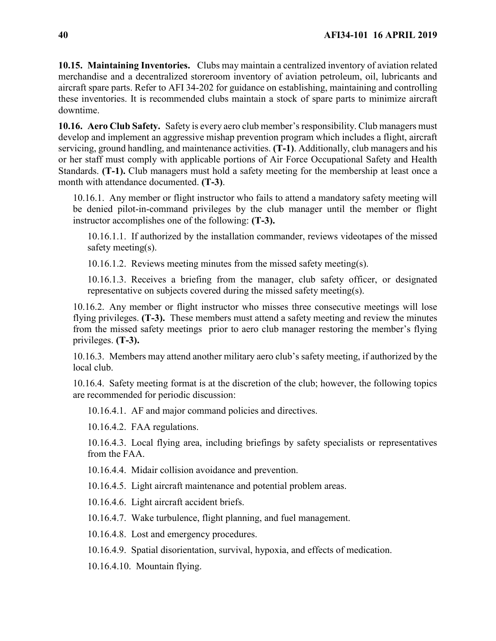**10.15. Maintaining Inventories.** Clubs may maintain a centralized inventory of aviation related merchandise and a decentralized storeroom inventory of aviation petroleum, oil, lubricants and aircraft spare parts. Refer to AFI 34-202 for guidance on establishing, maintaining and controlling these inventories. It is recommended clubs maintain a stock of spare parts to minimize aircraft downtime.

**10.16. Aero Club Safety.** Safety is every aero club member's responsibility. Club managers must develop and implement an aggressive mishap prevention program which includes a flight, aircraft servicing, ground handling, and maintenance activities. **(T-1)**. Additionally, club managers and his or her staff must comply with applicable portions of Air Force Occupational Safety and Health Standards. **(T-1).** Club managers must hold a safety meeting for the membership at least once a month with attendance documented. **(T-3)**.

10.16.1. Any member or flight instructor who fails to attend a mandatory safety meeting will be denied pilot-in-command privileges by the club manager until the member or flight instructor accomplishes one of the following: **(T-3).**

10.16.1.1. If authorized by the installation commander, reviews videotapes of the missed safety meeting(s).

10.16.1.2. Reviews meeting minutes from the missed safety meeting(s).

10.16.1.3. Receives a briefing from the manager, club safety officer, or designated representative on subjects covered during the missed safety meeting(s).

10.16.2. Any member or flight instructor who misses three consecutive meetings will lose flying privileges. **(T-3).** These members must attend a safety meeting and review the minutes from the missed safety meetings prior to aero club manager restoring the member's flying privileges. **(T-3).**

10.16.3. Members may attend another military aero club's safety meeting, if authorized by the local club.

10.16.4. Safety meeting format is at the discretion of the club; however, the following topics are recommended for periodic discussion:

10.16.4.1. AF and major command policies and directives.

10.16.4.2. FAA regulations.

10.16.4.3. Local flying area, including briefings by safety specialists or representatives from the FAA.

10.16.4.4. Midair collision avoidance and prevention.

10.16.4.5. Light aircraft maintenance and potential problem areas.

10.16.4.6. Light aircraft accident briefs.

10.16.4.7. Wake turbulence, flight planning, and fuel management.

10.16.4.8. Lost and emergency procedures.

10.16.4.9. Spatial disorientation, survival, hypoxia, and effects of medication.

10.16.4.10. Mountain flying.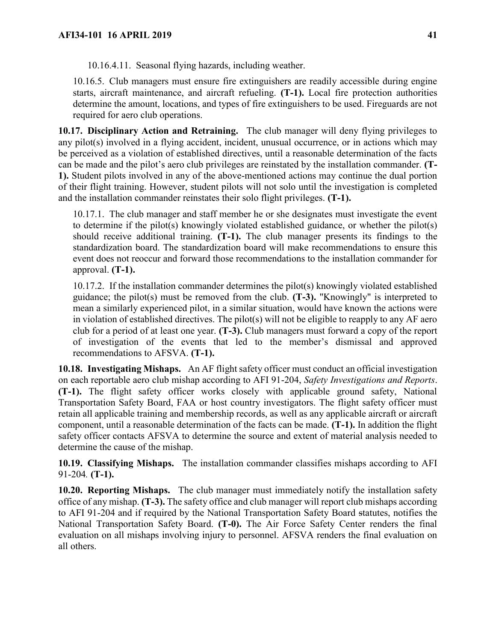10.16.4.11. Seasonal flying hazards, including weather.

10.16.5. Club managers must ensure fire extinguishers are readily accessible during engine starts, aircraft maintenance, and aircraft refueling. **(T-1).** Local fire protection authorities determine the amount, locations, and types of fire extinguishers to be used. Fireguards are not required for aero club operations.

**10.17. Disciplinary Action and Retraining.** The club manager will deny flying privileges to any pilot(s) involved in a flying accident, incident, unusual occurrence, or in actions which may be perceived as a violation of established directives, until a reasonable determination of the facts can be made and the pilot's aero club privileges are reinstated by the installation commander. **(T-1).** Student pilots involved in any of the above-mentioned actions may continue the dual portion of their flight training. However, student pilots will not solo until the investigation is completed and the installation commander reinstates their solo flight privileges. **(T-1).**

10.17.1. The club manager and staff member he or she designates must investigate the event to determine if the pilot(s) knowingly violated established guidance, or whether the pilot(s) should receive additional training. **(T-1).** The club manager presents its findings to the standardization board. The standardization board will make recommendations to ensure this event does not reoccur and forward those recommendations to the installation commander for approval. **(T-1).**

10.17.2. If the installation commander determines the pilot(s) knowingly violated established guidance; the pilot(s) must be removed from the club. **(T-3).** "Knowingly" is interpreted to mean a similarly experienced pilot, in a similar situation, would have known the actions were in violation of established directives. The pilot(s) will not be eligible to reapply to any AF aero club for a period of at least one year. **(T-3).** Club managers must forward a copy of the report of investigation of the events that led to the member's dismissal and approved recommendations to AFSVA. **(T-1).**

**10.18. Investigating Mishaps.** An AF flight safety officer must conduct an official investigation on each reportable aero club mishap according to AFI 91-204, *Safety Investigations and Reports*. **(T-1).** The flight safety officer works closely with applicable ground safety, National Transportation Safety Board, FAA or host country investigators. The flight safety officer must retain all applicable training and membership records, as well as any applicable aircraft or aircraft component, until a reasonable determination of the facts can be made. **(T-1).** In addition the flight safety officer contacts AFSVA to determine the source and extent of material analysis needed to determine the cause of the mishap.

**10.19. Classifying Mishaps.** The installation commander classifies mishaps according to AFI 91-204*.* **(T-1).**

**10.20. Reporting Mishaps.** The club manager must immediately notify the installation safety office of any mishap. **(T-3).** The safety office and club manager will report club mishaps according to AFI 91-204 and if required by the National Transportation Safety Board statutes, notifies the National Transportation Safety Board. **(T-0).** The Air Force Safety Center renders the final evaluation on all mishaps involving injury to personnel. AFSVA renders the final evaluation on all others.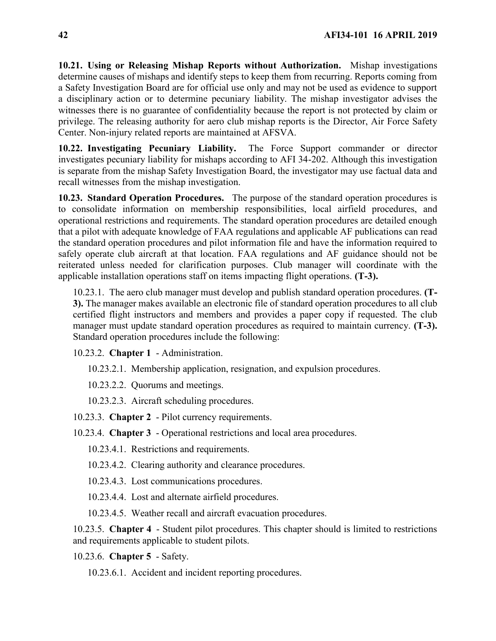**10.21. Using or Releasing Mishap Reports without Authorization.** Mishap investigations determine causes of mishaps and identify steps to keep them from recurring. Reports coming from a Safety Investigation Board are for official use only and may not be used as evidence to support a disciplinary action or to determine pecuniary liability. The mishap investigator advises the witnesses there is no guarantee of confidentiality because the report is not protected by claim or privilege. The releasing authority for aero club mishap reports is the Director, Air Force Safety Center. Non-injury related reports are maintained at AFSVA.

**10.22. Investigating Pecuniary Liability.** The Force Support commander or director investigates pecuniary liability for mishaps according to AFI 34-202. Although this investigation is separate from the mishap Safety Investigation Board, the investigator may use factual data and recall witnesses from the mishap investigation.

**10.23. Standard Operation Procedures.** The purpose of the standard operation procedures is to consolidate information on membership responsibilities, local airfield procedures, and operational restrictions and requirements. The standard operation procedures are detailed enough that a pilot with adequate knowledge of FAA regulations and applicable AF publications can read the standard operation procedures and pilot information file and have the information required to safely operate club aircraft at that location. FAA regulations and AF guidance should not be reiterated unless needed for clarification purposes. Club manager will coordinate with the applicable installation operations staff on items impacting flight operations. **(T-3).** 

10.23.1. The aero club manager must develop and publish standard operation procedures. **(T-3).** The manager makes available an electronic file of standard operation procedures to all club certified flight instructors and members and provides a paper copy if requested. The club manager must update standard operation procedures as required to maintain currency. **(T-3).** Standard operation procedures include the following:

10.23.2. **Chapter 1** - Administration.

10.23.2.1. Membership application, resignation, and expulsion procedures.

10.23.2.2. Quorums and meetings.

10.23.2.3. Aircraft scheduling procedures.

10.23.3. **Chapter 2** - Pilot currency requirements.

10.23.4. **Chapter 3** - Operational restrictions and local area procedures.

10.23.4.1. Restrictions and requirements.

10.23.4.2. Clearing authority and clearance procedures.

10.23.4.3. Lost communications procedures.

10.23.4.4. Lost and alternate airfield procedures.

10.23.4.5. Weather recall and aircraft evacuation procedures.

10.23.5. **Chapter 4** - Student pilot procedures. This chapter should is limited to restrictions and requirements applicable to student pilots.

10.23.6. **Chapter 5** - Safety.

10.23.6.1. Accident and incident reporting procedures.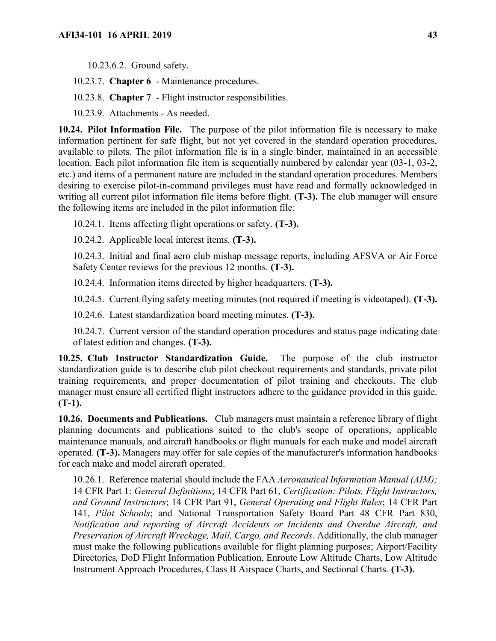10.23.6.2. Ground safety.

10.23.7. **Chapter 6** - Maintenance procedures.

10.23.8. **Chapter 7** - Flight instructor responsibilities.

10.23.9. Attachments - As needed.

**10.24. Pilot Information File.** The purpose of the pilot information file is necessary to make information pertinent for safe flight, but not yet covered in the standard operation procedures, available to pilots. The pilot information file is in a single binder, maintained in an accessible location. Each pilot information file item is sequentially numbered by calendar year (03-1, 03-2, etc.) and items of a permanent nature are included in the standard operation procedures. Members desiring to exercise pilot-in-command privileges must have read and formally acknowledged in writing all current pilot information file items before flight. **(T-3).** The club manager will ensure the following items are included in the pilot information file:

10.24.1. Items affecting flight operations or safety. **(T-3).**

10.24.2. Applicable local interest items. **(T-3).**

10.24.3. Initial and final aero club mishap message reports, including AFSVA or Air Force Safety Center reviews for the previous 12 months. **(T-3).**

10.24.4. Information items directed by higher headquarters. **(T-3).**

10.24.5. Current flying safety meeting minutes (not required if meeting is videotaped). **(T-3).**

10.24.6. Latest standardization board meeting minutes. **(T-3).**

10.24.7. Current version of the standard operation procedures and status page indicating date of latest edition and changes. **(T-3).**

**10.25. Club Instructor Standardization Guide.** The purpose of the club instructor standardization guide is to describe club pilot checkout requirements and standards, private pilot training requirements, and proper documentation of pilot training and checkouts. The club manager must ensure all certified flight instructors adhere to the guidance provided in this guide. **(T-1).**

**10.26. Documents and Publications.** Club managers must maintain a reference library of flight planning documents and publications suited to the club's scope of operations, applicable maintenance manuals, and aircraft handbooks or flight manuals for each make and model aircraft operated. **(T-3).** Managers may offer for sale copies of the manufacturer's information handbooks for each make and model aircraft operated.

10.26.1. Reference material should include the FAA *Aeronautical Information Manual (AIM);*  14 CFR Part 1: *General Definitions*; 14 CFR Part 61, *Certification: Pilots, Flight Instructors, and Ground Instructors*; 14 CFR Part 91, *General Operating and Flight Rules*; 14 CFR Part 141, *Pilot Schools*; and National Transportation Safety Board Part 48 CFR Part 830, *Notification and reporting of Aircraft Accidents or Incidents and Overdue Aircraft, and Preservation of Aircraft Wreckage, Mail, Cargo, and Records*. Additionally, the club manager must make the following publications available for flight planning purposes; Airport/Facility Directories*,* DoD Flight Information Publication, Enroute Low Altitude Charts, Low Altitude Instrument Approach Procedures, Class B Airspace Charts, and Sectional Charts*.* **(T-3).**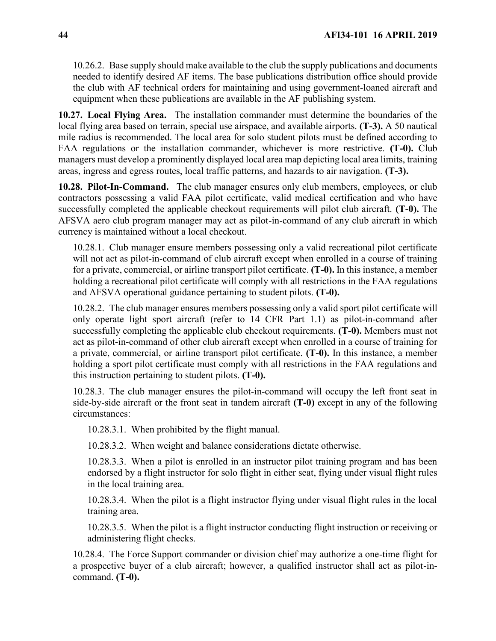10.26.2. Base supply should make available to the club the supply publications and documents needed to identify desired AF items. The base publications distribution office should provide the club with AF technical orders for maintaining and using government-loaned aircraft and equipment when these publications are available in the AF publishing system.

**10.27. Local Flying Area.** The installation commander must determine the boundaries of the local flying area based on terrain, special use airspace, and available airports. **(T-3).** A 50 nautical mile radius is recommended. The local area for solo student pilots must be defined according to FAA regulations or the installation commander, whichever is more restrictive. **(T-0).** Club managers must develop a prominently displayed local area map depicting local area limits, training areas, ingress and egress routes, local traffic patterns, and hazards to air navigation. **(T-3).**

**10.28. Pilot-In-Command.** The club manager ensures only club members, employees, or club contractors possessing a valid FAA pilot certificate, valid medical certification and who have successfully completed the applicable checkout requirements will pilot club aircraft. **(T-0).** The AFSVA aero club program manager may act as pilot-in-command of any club aircraft in which currency is maintained without a local checkout.

10.28.1. Club manager ensure members possessing only a valid recreational pilot certificate will not act as pilot-in-command of club aircraft except when enrolled in a course of training for a private, commercial, or airline transport pilot certificate. **(T-0).** In this instance, a member holding a recreational pilot certificate will comply with all restrictions in the FAA regulations and AFSVA operational guidance pertaining to student pilots. **(T-0).**

10.28.2. The club manager ensures members possessing only a valid sport pilot certificate will only operate light sport aircraft (refer to 14 CFR Part 1.1) as pilot-in-command after successfully completing the applicable club checkout requirements. **(T-0).** Members must not act as pilot-in-command of other club aircraft except when enrolled in a course of training for a private, commercial, or airline transport pilot certificate. **(T-0).** In this instance, a member holding a sport pilot certificate must comply with all restrictions in the FAA regulations and this instruction pertaining to student pilots. **(T-0).**

10.28.3. The club manager ensures the pilot-in-command will occupy the left front seat in side-by-side aircraft or the front seat in tandem aircraft **(T-0)** except in any of the following circumstances:

10.28.3.1. When prohibited by the flight manual.

10.28.3.2. When weight and balance considerations dictate otherwise.

10.28.3.3. When a pilot is enrolled in an instructor pilot training program and has been endorsed by a flight instructor for solo flight in either seat, flying under visual flight rules in the local training area.

10.28.3.4. When the pilot is a flight instructor flying under visual flight rules in the local training area.

10.28.3.5. When the pilot is a flight instructor conducting flight instruction or receiving or administering flight checks.

10.28.4. The Force Support commander or division chief may authorize a one-time flight for a prospective buyer of a club aircraft; however, a qualified instructor shall act as pilot-incommand. **(T-0).**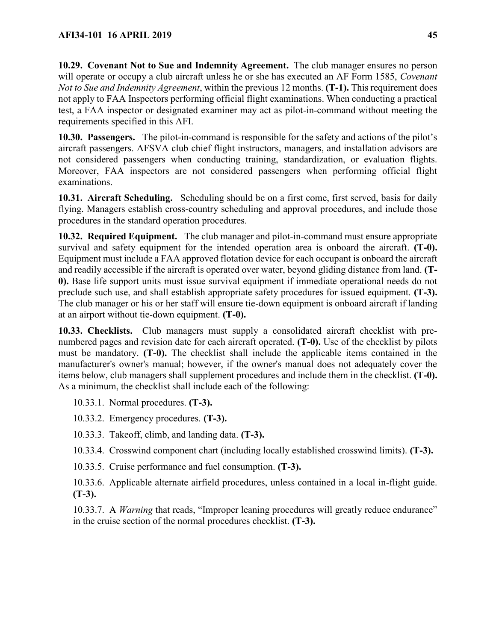**10.29. Covenant Not to Sue and Indemnity Agreement.** The club manager ensures no person will operate or occupy a club aircraft unless he or she has executed an AF Form 1585, *Covenant Not to Sue and Indemnity Agreement*, within the previous 12 months. **(T-1).** This requirement does not apply to FAA Inspectors performing official flight examinations. When conducting a practical test, a FAA inspector or designated examiner may act as pilot-in-command without meeting the requirements specified in this AFI.

**10.30. Passengers.** The pilot-in-command is responsible for the safety and actions of the pilot's aircraft passengers. AFSVA club chief flight instructors, managers, and installation advisors are not considered passengers when conducting training, standardization, or evaluation flights. Moreover, FAA inspectors are not considered passengers when performing official flight examinations.

**10.31. Aircraft Scheduling.** Scheduling should be on a first come, first served, basis for daily flying. Managers establish cross-country scheduling and approval procedures, and include those procedures in the standard operation procedures.

**10.32. Required Equipment.** The club manager and pilot-in-command must ensure appropriate survival and safety equipment for the intended operation area is onboard the aircraft. **(T-0).**  Equipment must include a FAA approved flotation device for each occupant is onboard the aircraft and readily accessible if the aircraft is operated over water, beyond gliding distance from land. **(T-0).** Base life support units must issue survival equipment if immediate operational needs do not preclude such use, and shall establish appropriate safety procedures for issued equipment. **(T-3).** The club manager or his or her staff will ensure tie-down equipment is onboard aircraft if landing at an airport without tie-down equipment. **(T-0).**

**10.33. Checklists.** Club managers must supply a consolidated aircraft checklist with prenumbered pages and revision date for each aircraft operated. **(T-0).** Use of the checklist by pilots must be mandatory. **(T-0).** The checklist shall include the applicable items contained in the manufacturer's owner's manual; however, if the owner's manual does not adequately cover the items below, club managers shall supplement procedures and include them in the checklist. **(T-0).**  As a minimum, the checklist shall include each of the following:

10.33.1. Normal procedures. **(T-3).**

10.33.2. Emergency procedures. **(T-3).**

- 10.33.3. Takeoff, climb, and landing data. **(T-3).**
- 10.33.4. Crosswind component chart (including locally established crosswind limits). **(T-3).**
- 10.33.5. Cruise performance and fuel consumption. **(T-3).**

10.33.6. Applicable alternate airfield procedures, unless contained in a local in-flight guide. **(T-3).**

10.33.7. A *Warning* that reads, "Improper leaning procedures will greatly reduce endurance" in the cruise section of the normal procedures checklist. **(T-3).**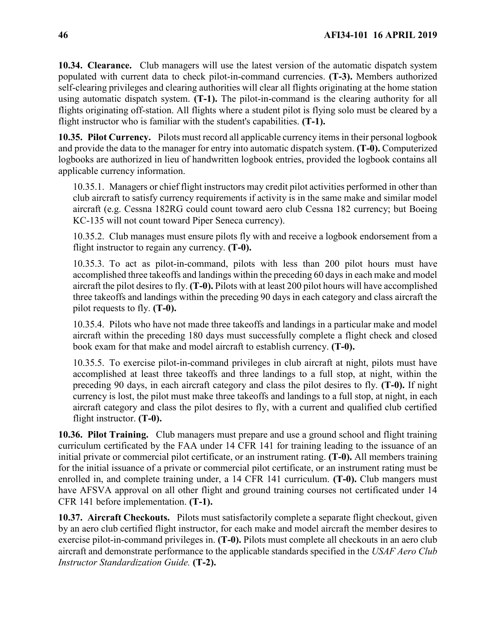**10.34. Clearance.** Club managers will use the latest version of the automatic dispatch system populated with current data to check pilot-in-command currencies. **(T-3).** Members authorized self-clearing privileges and clearing authorities will clear all flights originating at the home station using automatic dispatch system. **(T-1).** The pilot-in-command is the clearing authority for all flights originating off-station. All flights where a student pilot is flying solo must be cleared by a flight instructor who is familiar with the student's capabilities. **(T-1).**

**10.35. Pilot Currency.** Pilots must record all applicable currency items in their personal logbook and provide the data to the manager for entry into automatic dispatch system. **(T-0).** Computerized logbooks are authorized in lieu of handwritten logbook entries, provided the logbook contains all applicable currency information.

10.35.1. Managers or chief flight instructors may credit pilot activities performed in other than club aircraft to satisfy currency requirements if activity is in the same make and similar model aircraft (e.g. Cessna 182RG could count toward aero club Cessna 182 currency; but Boeing KC-135 will not count toward Piper Seneca currency).

10.35.2. Club manages must ensure pilots fly with and receive a logbook endorsement from a flight instructor to regain any currency. **(T-0).** 

10.35.3. To act as pilot-in-command, pilots with less than 200 pilot hours must have accomplished three takeoffs and landings within the preceding 60 days in each make and model aircraft the pilot desires to fly. **(T-0).** Pilots with at least 200 pilot hours will have accomplished three takeoffs and landings within the preceding 90 days in each category and class aircraft the pilot requests to fly. **(T-0).**

10.35.4. Pilots who have not made three takeoffs and landings in a particular make and model aircraft within the preceding 180 days must successfully complete a flight check and closed book exam for that make and model aircraft to establish currency. **(T-0).**

10.35.5. To exercise pilot-in-command privileges in club aircraft at night, pilots must have accomplished at least three takeoffs and three landings to a full stop, at night, within the preceding 90 days, in each aircraft category and class the pilot desires to fly. **(T-0).** If night currency is lost, the pilot must make three takeoffs and landings to a full stop, at night, in each aircraft category and class the pilot desires to fly, with a current and qualified club certified flight instructor. **(T-0).**

**10.36. Pilot Training.** Club managers must prepare and use a ground school and flight training curriculum certificated by the FAA under 14 CFR 141 for training leading to the issuance of an initial private or commercial pilot certificate, or an instrument rating. **(T-0).** All members training for the initial issuance of a private or commercial pilot certificate, or an instrument rating must be enrolled in, and complete training under, a 14 CFR 141 curriculum. **(T-0).** Club mangers must have AFSVA approval on all other flight and ground training courses not certificated under 14 CFR 141 before implementation. **(T-1).**

**10.37. Aircraft Checkouts.** Pilots must satisfactorily complete a separate flight checkout, given by an aero club certified flight instructor, for each make and model aircraft the member desires to exercise pilot-in-command privileges in. **(T-0).** Pilots must complete all checkouts in an aero club aircraft and demonstrate performance to the applicable standards specified in the *USAF Aero Club Instructor Standardization Guide.* **(T-2).**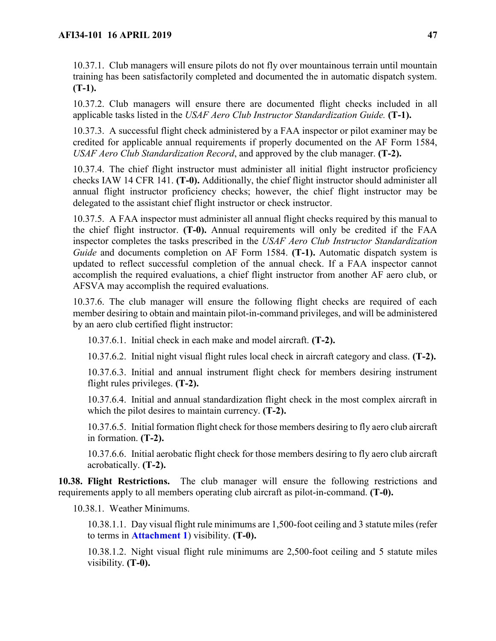10.37.1. Club managers will ensure pilots do not fly over mountainous terrain until mountain training has been satisfactorily completed and documented the in automatic dispatch system. **(T-1).**

10.37.2. Club managers will ensure there are documented flight checks included in all applicable tasks listed in the *USAF Aero Club Instructor Standardization Guide.* **(T-1).**

10.37.3. A successful flight check administered by a FAA inspector or pilot examiner may be credited for applicable annual requirements if properly documented on the AF Form 1584, *USAF Aero Club Standardization Record*, and approved by the club manager. **(T-2).**

10.37.4. The chief flight instructor must administer all initial flight instructor proficiency checks IAW 14 CFR 141. **(T-0).** Additionally, the chief flight instructor should administer all annual flight instructor proficiency checks; however, the chief flight instructor may be delegated to the assistant chief flight instructor or check instructor.

10.37.5. A FAA inspector must administer all annual flight checks required by this manual to the chief flight instructor. **(T-0).** Annual requirements will only be credited if the FAA inspector completes the tasks prescribed in the *USAF Aero Club Instructor Standardization Guide* and documents completion on AF Form 1584. **(T-1).** Automatic dispatch system is updated to reflect successful completion of the annual check. If a FAA inspector cannot accomplish the required evaluations, a chief flight instructor from another AF aero club, or AFSVA may accomplish the required evaluations.

10.37.6. The club manager will ensure the following flight checks are required of each member desiring to obtain and maintain pilot-in-command privileges, and will be administered by an aero club certified flight instructor:

10.37.6.1. Initial check in each make and model aircraft. **(T-2).**

10.37.6.2. Initial night visual flight rules local check in aircraft category and class. **(T-2).**

10.37.6.3. Initial and annual instrument flight check for members desiring instrument flight rules privileges. **(T-2).**

10.37.6.4. Initial and annual standardization flight check in the most complex aircraft in which the pilot desires to maintain currency. **(T-2).**

10.37.6.5. Initial formation flight check for those members desiring to fly aero club aircraft in formation. **(T-2).**

10.37.6.6. Initial aerobatic flight check for those members desiring to fly aero club aircraft acrobatically. **(T-2).**

<span id="page-46-0"></span>**10.38. Flight Restrictions.** The club manager will ensure the following restrictions and requirements apply to all members operating club aircraft as pilot-in-command. **(T-0).**

10.38.1. Weather Minimums.

10.38.1.1. Day visual flight rule minimums are 1,500-foot ceiling and 3 statute miles (refer to terms in **[Attachment 1](#page-108-0)**) visibility. **(T-0).**

10.38.1.2. Night visual flight rule minimums are 2,500-foot ceiling and 5 statute miles visibility. **(T-0).**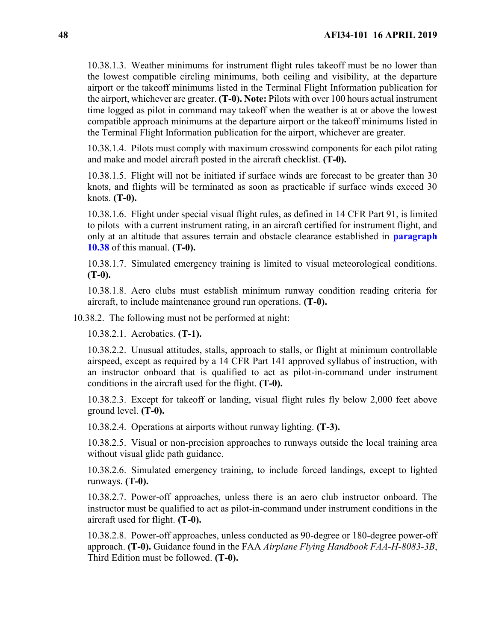10.38.1.3. Weather minimums for instrument flight rules takeoff must be no lower than the lowest compatible circling minimums, both ceiling and visibility, at the departure airport or the takeoff minimums listed in the Terminal Flight Information publication for the airport, whichever are greater. **(T-0). Note:** Pilots with over 100 hours actual instrument time logged as pilot in command may takeoff when the weather is at or above the lowest compatible approach minimums at the departure airport or the takeoff minimums listed in the Terminal Flight Information publication for the airport, whichever are greater.

10.38.1.4. Pilots must comply with maximum crosswind components for each pilot rating and make and model aircraft posted in the aircraft checklist. **(T-0).**

10.38.1.5. Flight will not be initiated if surface winds are forecast to be greater than 30 knots, and flights will be terminated as soon as practicable if surface winds exceed 30 knots. **(T-0).**

10.38.1.6. Flight under special visual flight rules, as defined in 14 CFR Part 91, is limited to pilots with a current instrument rating, in an aircraft certified for instrument flight, and only at an altitude that assures terrain and obstacle clearance established in **[paragraph](#page-46-0)  [10.38](#page-46-0)** of this manual. **(T-0).**

10.38.1.7. Simulated emergency training is limited to visual meteorological conditions. **(T-0).**

10.38.1.8. Aero clubs must establish minimum runway condition reading criteria for aircraft, to include maintenance ground run operations. **(T-0).**

10.38.2. The following must not be performed at night:

10.38.2.1. Aerobatics. **(T-1).**

10.38.2.2. Unusual attitudes, stalls, approach to stalls, or flight at minimum controllable airspeed, except as required by a 14 CFR Part 141 approved syllabus of instruction, with an instructor onboard that is qualified to act as pilot-in-command under instrument conditions in the aircraft used for the flight. **(T-0).**

10.38.2.3. Except for takeoff or landing, visual flight rules fly below 2,000 feet above ground level. **(T-0).**

10.38.2.4. Operations at airports without runway lighting. **(T-3).**

10.38.2.5. Visual or non-precision approaches to runways outside the local training area without visual glide path guidance.

10.38.2.6. Simulated emergency training, to include forced landings, except to lighted runways. **(T-0).**

10.38.2.7. Power-off approaches, unless there is an aero club instructor onboard. The instructor must be qualified to act as pilot-in-command under instrument conditions in the aircraft used for flight. **(T-0).**

10.38.2.8. Power-off approaches, unless conducted as 90-degree or 180-degree power-off approach. **(T-0).** Guidance found in the FAA *Airplane Flying Handbook FAA-H-8083-3B*, Third Edition must be followed. **(T-0).**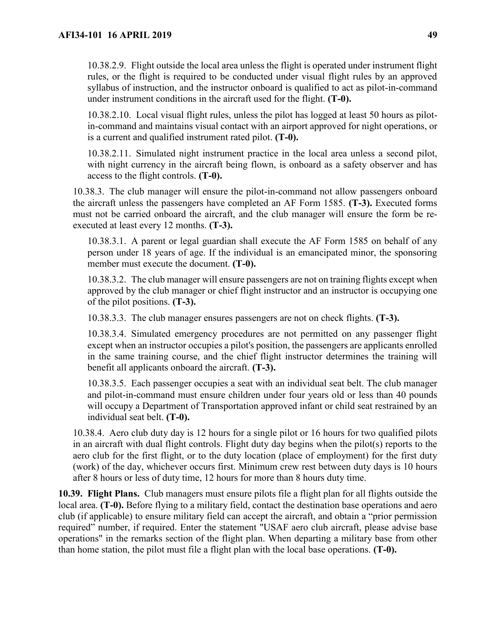10.38.2.9. Flight outside the local area unless the flight is operated under instrument flight rules, or the flight is required to be conducted under visual flight rules by an approved syllabus of instruction, and the instructor onboard is qualified to act as pilot-in-command under instrument conditions in the aircraft used for the flight. **(T-0).**

10.38.2.10. Local visual flight rules, unless the pilot has logged at least 50 hours as pilotin-command and maintains visual contact with an airport approved for night operations, or is a current and qualified instrument rated pilot. **(T-0).**

10.38.2.11. Simulated night instrument practice in the local area unless a second pilot, with night currency in the aircraft being flown, is onboard as a safety observer and has access to the flight controls. **(T-0).**

10.38.3. The club manager will ensure the pilot-in-command not allow passengers onboard the aircraft unless the passengers have completed an AF Form 1585. **(T-3).** Executed forms must not be carried onboard the aircraft, and the club manager will ensure the form be reexecuted at least every 12 months. **(T-3).**

10.38.3.1. A parent or legal guardian shall execute the AF Form 1585 on behalf of any person under 18 years of age. If the individual is an emancipated minor, the sponsoring member must execute the document. **(T-0).** 

10.38.3.2. The club manager will ensure passengers are not on training flights except when approved by the club manager or chief flight instructor and an instructor is occupying one of the pilot positions. **(T-3).**

10.38.3.3. The club manager ensures passengers are not on check flights. **(T-3).**

10.38.3.4. Simulated emergency procedures are not permitted on any passenger flight except when an instructor occupies a pilot's position, the passengers are applicants enrolled in the same training course, and the chief flight instructor determines the training will benefit all applicants onboard the aircraft. **(T-3).**

10.38.3.5. Each passenger occupies a seat with an individual seat belt. The club manager and pilot-in-command must ensure children under four years old or less than 40 pounds will occupy a Department of Transportation approved infant or child seat restrained by an individual seat belt. **(T-0).**

10.38.4. Aero club duty day is 12 hours for a single pilot or 16 hours for two qualified pilots in an aircraft with dual flight controls. Flight duty day begins when the pilot(s) reports to the aero club for the first flight, or to the duty location (place of employment) for the first duty (work) of the day, whichever occurs first. Minimum crew rest between duty days is 10 hours after 8 hours or less of duty time, 12 hours for more than 8 hours duty time.

**10.39. Flight Plans.** Club managers must ensure pilots file a flight plan for all flights outside the local area. **(T-0).** Before flying to a military field, contact the destination base operations and aero club (if applicable) to ensure military field can accept the aircraft, and obtain a "prior permission required" number, if required. Enter the statement "USAF aero club aircraft, please advise base operations" in the remarks section of the flight plan. When departing a military base from other than home station, the pilot must file a flight plan with the local base operations. **(T-0).**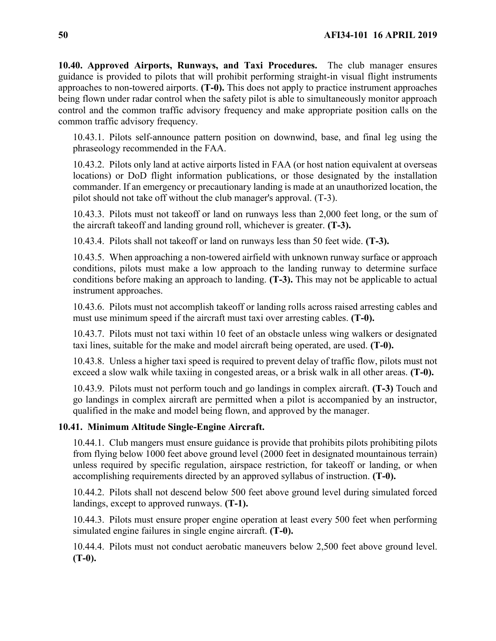**10.40. Approved Airports, Runways, and Taxi Procedures.** The club manager ensures guidance is provided to pilots that will prohibit performing straight-in visual flight instruments approaches to non-towered airports. **(T-0).** This does not apply to practice instrument approaches being flown under radar control when the safety pilot is able to simultaneously monitor approach control and the common traffic advisory frequency and make appropriate position calls on the common traffic advisory frequency.

10.43.1. Pilots self-announce pattern position on downwind, base, and final leg using the phraseology recommended in the FAA.

10.43.2. Pilots only land at active airports listed in FAA (or host nation equivalent at overseas locations) or DoD flight information publications, or those designated by the installation commander. If an emergency or precautionary landing is made at an unauthorized location, the pilot should not take off without the club manager's approval. (T-3).

10.43.3. Pilots must not takeoff or land on runways less than 2,000 feet long, or the sum of the aircraft takeoff and landing ground roll, whichever is greater. **(T-3).**

10.43.4. Pilots shall not takeoff or land on runways less than 50 feet wide. **(T-3).**

10.43.5. When approaching a non-towered airfield with unknown runway surface or approach conditions, pilots must make a low approach to the landing runway to determine surface conditions before making an approach to landing. **(T-3).** This may not be applicable to actual instrument approaches.

10.43.6. Pilots must not accomplish takeoff or landing rolls across raised arresting cables and must use minimum speed if the aircraft must taxi over arresting cables. **(T-0).**

10.43.7. Pilots must not taxi within 10 feet of an obstacle unless wing walkers or designated taxi lines, suitable for the make and model aircraft being operated, are used. **(T-0).**

10.43.8. Unless a higher taxi speed is required to prevent delay of traffic flow, pilots must not exceed a slow walk while taxiing in congested areas, or a brisk walk in all other areas. **(T-0).**

10.43.9. Pilots must not perform touch and go landings in complex aircraft. **(T-3)** Touch and go landings in complex aircraft are permitted when a pilot is accompanied by an instructor, qualified in the make and model being flown, and approved by the manager.

## **10.41. Minimum Altitude Single-Engine Aircraft.**

10.44.1. Club mangers must ensure guidance is provide that prohibits pilots prohibiting pilots from flying below 1000 feet above ground level (2000 feet in designated mountainous terrain) unless required by specific regulation, airspace restriction, for takeoff or landing, or when accomplishing requirements directed by an approved syllabus of instruction. **(T-0).**

10.44.2. Pilots shall not descend below 500 feet above ground level during simulated forced landings, except to approved runways. **(T-1).**

10.44.3. Pilots must ensure proper engine operation at least every 500 feet when performing simulated engine failures in single engine aircraft. **(T-0).**

10.44.4. Pilots must not conduct aerobatic maneuvers below 2,500 feet above ground level. **(T-0).**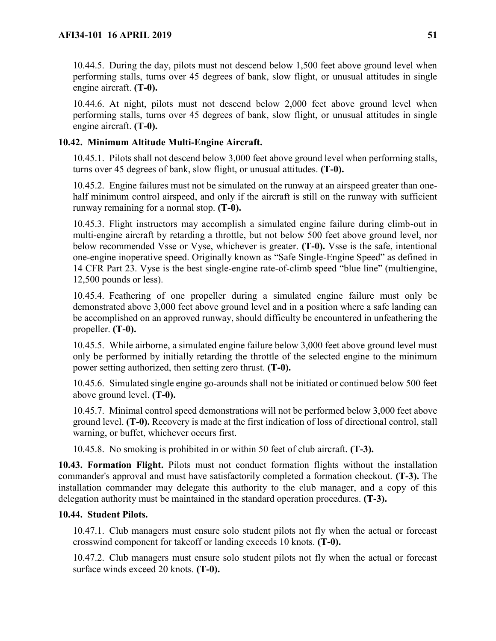10.44.5. During the day, pilots must not descend below 1,500 feet above ground level when performing stalls, turns over 45 degrees of bank, slow flight, or unusual attitudes in single engine aircraft. **(T-0).**

10.44.6. At night, pilots must not descend below 2,000 feet above ground level when performing stalls, turns over 45 degrees of bank, slow flight, or unusual attitudes in single engine aircraft. **(T-0).**

# **10.42. Minimum Altitude Multi-Engine Aircraft.**

10.45.1. Pilots shall not descend below 3,000 feet above ground level when performing stalls, turns over 45 degrees of bank, slow flight, or unusual attitudes. **(T-0).**

10.45.2. Engine failures must not be simulated on the runway at an airspeed greater than onehalf minimum control airspeed, and only if the aircraft is still on the runway with sufficient runway remaining for a normal stop. **(T-0).**

10.45.3. Flight instructors may accomplish a simulated engine failure during climb-out in multi-engine aircraft by retarding a throttle, but not below 500 feet above ground level, nor below recommended Vsse or Vyse, whichever is greater. **(T-0).** Vsse is the safe, intentional one-engine inoperative speed. Originally known as "Safe Single-Engine Speed" as defined in 14 CFR Part 23. Vyse is the best single-engine rate-of-climb speed "blue line" (multiengine, 12,500 pounds or less).

10.45.4. Feathering of one propeller during a simulated engine failure must only be demonstrated above 3,000 feet above ground level and in a position where a safe landing can be accomplished on an approved runway, should difficulty be encountered in unfeathering the propeller. **(T-0).**

10.45.5. While airborne, a simulated engine failure below 3,000 feet above ground level must only be performed by initially retarding the throttle of the selected engine to the minimum power setting authorized, then setting zero thrust. **(T-0).**

10.45.6. Simulated single engine go-arounds shall not be initiated or continued below 500 feet above ground level. **(T-0).**

10.45.7. Minimal control speed demonstrations will not be performed below 3,000 feet above ground level. **(T-0).** Recovery is made at the first indication of loss of directional control, stall warning, or buffet, whichever occurs first.

10.45.8. No smoking is prohibited in or within 50 feet of club aircraft. **(T-3).**

**10.43. Formation Flight.** Pilots must not conduct formation flights without the installation commander's approval and must have satisfactorily completed a formation checkout. **(T-3).** The installation commander may delegate this authority to the club manager, and a copy of this delegation authority must be maintained in the standard operation procedures. **(T-3).**

## **10.44. Student Pilots.**

10.47.1. Club managers must ensure solo student pilots not fly when the actual or forecast crosswind component for takeoff or landing exceeds 10 knots. **(T-0).**

10.47.2. Club managers must ensure solo student pilots not fly when the actual or forecast surface winds exceed 20 knots. **(T-0).**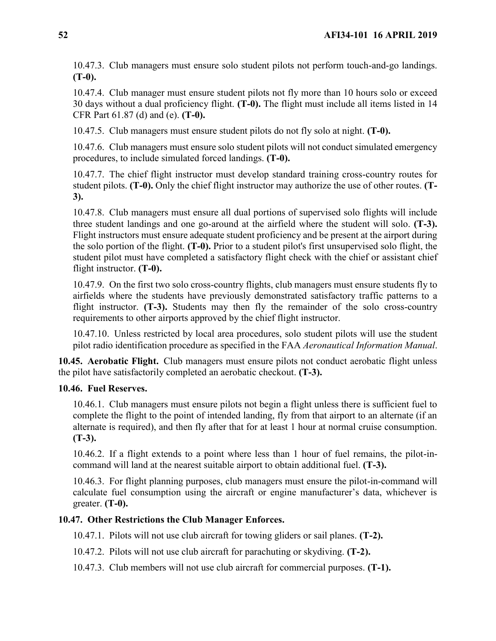10.47.3. Club managers must ensure solo student pilots not perform touch-and-go landings. **(T-0).**

10.47.4. Club manager must ensure student pilots not fly more than 10 hours solo or exceed 30 days without a dual proficiency flight. **(T-0).** The flight must include all items listed in 14 CFR Part 61.87 (d) and (e). **(T-0).**

10.47.5. Club managers must ensure student pilots do not fly solo at night. **(T-0).**

10.47.6. Club managers must ensure solo student pilots will not conduct simulated emergency procedures, to include simulated forced landings. **(T-0).**

10.47.7. The chief flight instructor must develop standard training cross-country routes for student pilots. **(T-0).** Only the chief flight instructor may authorize the use of other routes. **(T-3).**

10.47.8. Club managers must ensure all dual portions of supervised solo flights will include three student landings and one go-around at the airfield where the student will solo. **(T-3).**  Flight instructors must ensure adequate student proficiency and be present at the airport during the solo portion of the flight. **(T-0).** Prior to a student pilot's first unsupervised solo flight, the student pilot must have completed a satisfactory flight check with the chief or assistant chief flight instructor. **(T-0).**

10.47.9. On the first two solo cross-country flights, club managers must ensure students fly to airfields where the students have previously demonstrated satisfactory traffic patterns to a flight instructor. **(T-3).** Students may then fly the remainder of the solo cross-country requirements to other airports approved by the chief flight instructor.

10.47.10. Unless restricted by local area procedures, solo student pilots will use the student pilot radio identification procedure as specified in the FAA *Aeronautical Information Manual*.

**10.45. Aerobatic Flight.** Club managers must ensure pilots not conduct aerobatic flight unless the pilot have satisfactorily completed an aerobatic checkout. **(T-3).**

### **10.46. Fuel Reserves.**

10.46.1. Club managers must ensure pilots not begin a flight unless there is sufficient fuel to complete the flight to the point of intended landing, fly from that airport to an alternate (if an alternate is required), and then fly after that for at least 1 hour at normal cruise consumption. **(T-3).**

10.46.2. If a flight extends to a point where less than 1 hour of fuel remains, the pilot-incommand will land at the nearest suitable airport to obtain additional fuel. **(T-3).**

10.46.3. For flight planning purposes, club managers must ensure the pilot-in-command will calculate fuel consumption using the aircraft or engine manufacturer's data, whichever is greater. **(T-0).**

### **10.47. Other Restrictions the Club Manager Enforces.**

10.47.1. Pilots will not use club aircraft for towing gliders or sail planes. **(T-2).**

10.47.2. Pilots will not use club aircraft for parachuting or skydiving. **(T-2).**

10.47.3. Club members will not use club aircraft for commercial purposes. **(T-1).**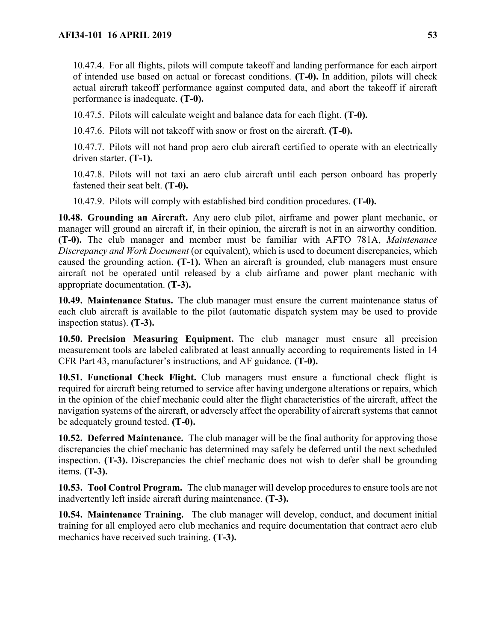10.47.4. For all flights, pilots will compute takeoff and landing performance for each airport of intended use based on actual or forecast conditions. **(T-0).** In addition, pilots will check actual aircraft takeoff performance against computed data, and abort the takeoff if aircraft performance is inadequate. **(T-0).**

10.47.5. Pilots will calculate weight and balance data for each flight. **(T-0).**

10.47.6. Pilots will not takeoff with snow or frost on the aircraft. **(T-0).**

10.47.7. Pilots will not hand prop aero club aircraft certified to operate with an electrically driven starter. **(T-1).**

10.47.8. Pilots will not taxi an aero club aircraft until each person onboard has properly fastened their seat belt. **(T-0).**

10.47.9. Pilots will comply with established bird condition procedures. **(T-0).**

**10.48. Grounding an Aircraft.** Any aero club pilot, airframe and power plant mechanic, or manager will ground an aircraft if, in their opinion, the aircraft is not in an airworthy condition. **(T-0).** The club manager and member must be familiar with AFTO 781A, *Maintenance Discrepancy and Work Document* (or equivalent), which is used to document discrepancies, which caused the grounding action. **(T-1).** When an aircraft is grounded, club managers must ensure aircraft not be operated until released by a club airframe and power plant mechanic with appropriate documentation. **(T-3).**

**10.49. Maintenance Status.** The club manager must ensure the current maintenance status of each club aircraft is available to the pilot (automatic dispatch system may be used to provide inspection status). **(T-3).**

**10.50. Precision Measuring Equipment.** The club manager must ensure all precision measurement tools are labeled calibrated at least annually according to requirements listed in 14 CFR Part 43, manufacturer's instructions, and AF guidance. **(T-0).**

**10.51. Functional Check Flight.** Club managers must ensure a functional check flight is required for aircraft being returned to service after having undergone alterations or repairs, which in the opinion of the chief mechanic could alter the flight characteristics of the aircraft, affect the navigation systems of the aircraft, or adversely affect the operability of aircraft systems that cannot be adequately ground tested. **(T-0).**

**10.52. Deferred Maintenance.** The club manager will be the final authority for approving those discrepancies the chief mechanic has determined may safely be deferred until the next scheduled inspection. **(T-3).** Discrepancies the chief mechanic does not wish to defer shall be grounding items. **(T-3).**

**10.53. Tool Control Program.** The club manager will develop procedures to ensure tools are not inadvertently left inside aircraft during maintenance. **(T-3).**

**10.54. Maintenance Training.** The club manager will develop, conduct, and document initial training for all employed aero club mechanics and require documentation that contract aero club mechanics have received such training. **(T-3).**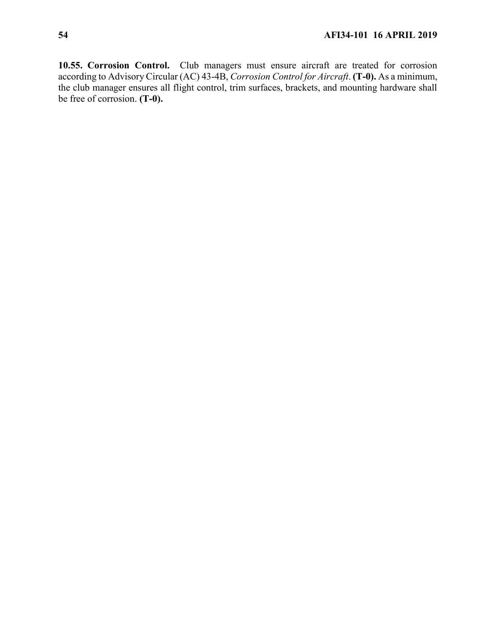**10.55. Corrosion Control.** Club managers must ensure aircraft are treated for corrosion according to Advisory Circular (AC) 43-4B, *Corrosion Control for Aircraft*. **(T-0).** As a minimum, the club manager ensures all flight control, trim surfaces, brackets, and mounting hardware shall be free of corrosion. **(T-0).**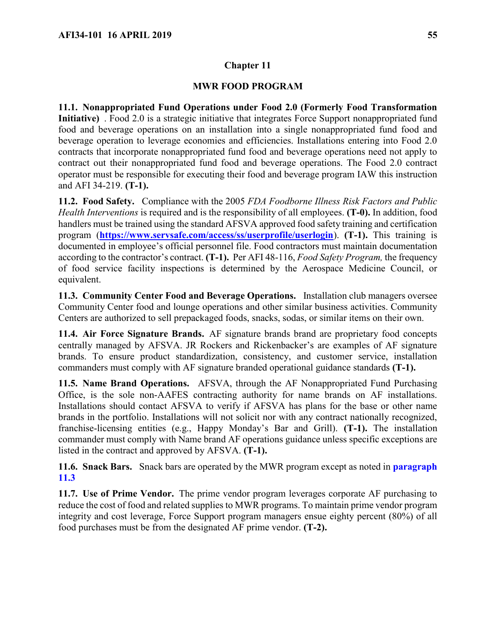## **Chapter 11**

### **MWR FOOD PROGRAM**

<span id="page-54-1"></span>**11.1. Nonappropriated Fund Operations under Food 2.0 (Formerly Food Transformation Initiative)** . Food 2.0 is a strategic initiative that integrates Force Support nonappropriated fund food and beverage operations on an installation into a single nonappropriated fund food and beverage operation to leverage economies and efficiencies. Installations entering into Food 2.0 contracts that incorporate nonappropriated fund food and beverage operations need not apply to contract out their nonappropriated fund food and beverage operations. The Food 2.0 contract operator must be responsible for executing their food and beverage program IAW this instruction and AFI 34-219. **(T-1).**

**11.2. Food Safety.** Compliance with the 2005 *FDA Foodborne Illness Risk Factors and Public Health Interventions* is required and is the responsibility of all employees. **(T-0).** In addition, food handlers must be trained using the standard AFSVA approved food safety training and certification program (**<https://www.servsafe.com/access/ss/userprofile/userlogin>**). **(T-1).** This training is documented in employee's official personnel file. Food contractors must maintain documentation according to the contractor's contract. **(T-1).** Per AFI 48-116, *Food Safety Program,* the frequency of food service facility inspections is determined by the Aerospace Medicine Council, or equivalent.

<span id="page-54-0"></span>**11.3. Community Center Food and Beverage Operations.** Installation club managers oversee Community Center food and lounge operations and other similar business activities. Community Centers are authorized to sell prepackaged foods, snacks, sodas, or similar items on their own.

**11.4. Air Force Signature Brands.** AF signature brands brand are proprietary food concepts centrally managed by AFSVA. JR Rockers and Rickenbacker's are examples of AF signature brands. To ensure product standardization, consistency, and customer service, installation commanders must comply with AF signature branded operational guidance standards **(T-1).**

**11.5. Name Brand Operations.** AFSVA, through the AF Nonappropriated Fund Purchasing Office, is the sole non-AAFES contracting authority for name brands on AF installations. Installations should contact AFSVA to verify if AFSVA has plans for the base or other name brands in the portfolio. Installations will not solicit nor with any contract nationally recognized, franchise-licensing entities (e.g., Happy Monday's Bar and Grill). **(T-1).** The installation commander must comply with Name brand AF operations guidance unless specific exceptions are listed in the contract and approved by AFSVA. **(T-1).**

**11.6. Snack Bars.** Snack bars are operated by the MWR program except as noted in **[paragraph](#page-54-0)  [11.3](#page-54-0)**

**11.7. Use of Prime Vendor.** The prime vendor program leverages corporate AF purchasing to reduce the cost of food and related supplies to MWR programs. To maintain prime vendor program integrity and cost leverage, Force Support program managers ensue eighty percent (80%) of all food purchases must be from the designated AF prime vendor. **(T-2).**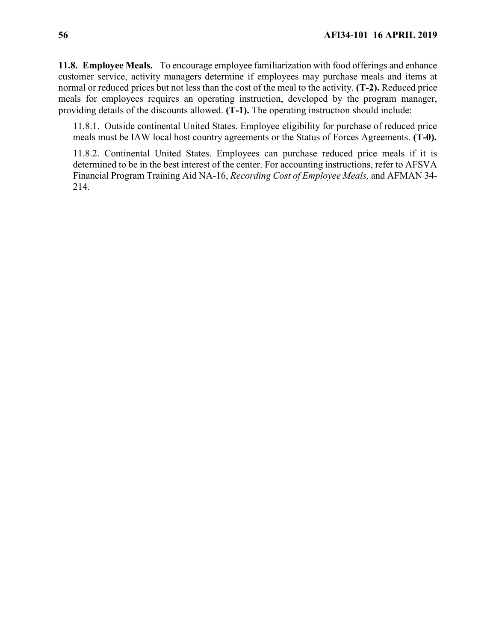**11.8. Employee Meals.** To encourage employee familiarization with food offerings and enhance customer service, activity managers determine if employees may purchase meals and items at normal or reduced prices but not less than the cost of the meal to the activity. **(T-2).** Reduced price meals for employees requires an operating instruction, developed by the program manager, providing details of the discounts allowed. **(T-1).** The operating instruction should include:

11.8.1. Outside continental United States. Employee eligibility for purchase of reduced price meals must be IAW local host country agreements or the Status of Forces Agreements. **(T-0).**

11.8.2. Continental United States. Employees can purchase reduced price meals if it is determined to be in the best interest of the center. For accounting instructions, refer to AFSVA Financial Program Training Aid NA-16, *Recording Cost of Employee Meals,* and AFMAN 34- 214.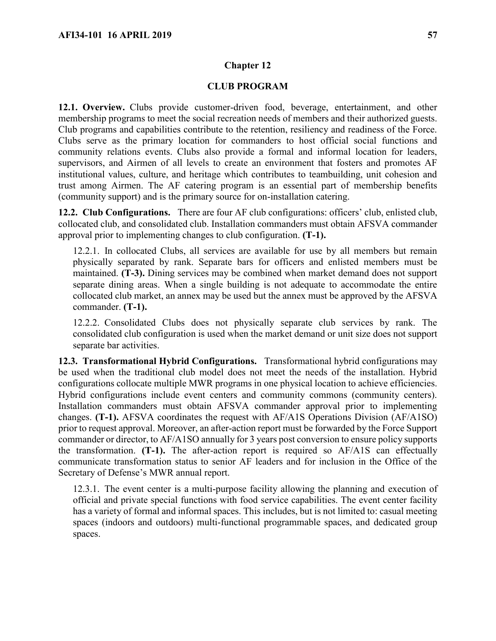#### **Chapter 12**

### **CLUB PROGRAM**

**12.1. Overview.** Clubs provide customer-driven food, beverage, entertainment, and other membership programs to meet the social recreation needs of members and their authorized guests. Club programs and capabilities contribute to the retention, resiliency and readiness of the Force. Clubs serve as the primary location for commanders to host official social functions and community relations events. Clubs also provide a formal and informal location for leaders, supervisors, and Airmen of all levels to create an environment that fosters and promotes AF institutional values, culture, and heritage which contributes to teambuilding, unit cohesion and trust among Airmen. The AF catering program is an essential part of membership benefits (community support) and is the primary source for on-installation catering.

<span id="page-56-0"></span>**12.2. Club Configurations.** There are four AF club configurations: officers' club, enlisted club, collocated club, and consolidated club. Installation commanders must obtain AFSVA commander approval prior to implementing changes to club configuration. **(T-1).**

12.2.1. In collocated Clubs, all services are available for use by all members but remain physically separated by rank. Separate bars for officers and enlisted members must be maintained. **(T-3).** Dining services may be combined when market demand does not support separate dining areas. When a single building is not adequate to accommodate the entire collocated club market, an annex may be used but the annex must be approved by the AFSVA commander. **(T-1).**

12.2.2. Consolidated Clubs does not physically separate club services by rank. The consolidated club configuration is used when the market demand or unit size does not support separate bar activities.

**12.3. Transformational Hybrid Configurations.** Transformational hybrid configurations may be used when the traditional club model does not meet the needs of the installation. Hybrid configurations collocate multiple MWR programs in one physical location to achieve efficiencies. Hybrid configurations include event centers and community commons (community centers). Installation commanders must obtain AFSVA commander approval prior to implementing changes. **(T-1).** AFSVA coordinates the request with AF/A1S Operations Division (AF/A1SO) prior to request approval. Moreover, an after-action report must be forwarded by the Force Support commander or director, to AF/A1SO annually for 3 years post conversion to ensure policy supports the transformation. **(T-1).** The after-action report is required so AF/A1S can effectually communicate transformation status to senior AF leaders and for inclusion in the Office of the Secretary of Defense's MWR annual report.

12.3.1. The event center is a multi-purpose facility allowing the planning and execution of official and private special functions with food service capabilities. The event center facility has a variety of formal and informal spaces. This includes, but is not limited to: casual meeting spaces (indoors and outdoors) multi-functional programmable spaces, and dedicated group spaces.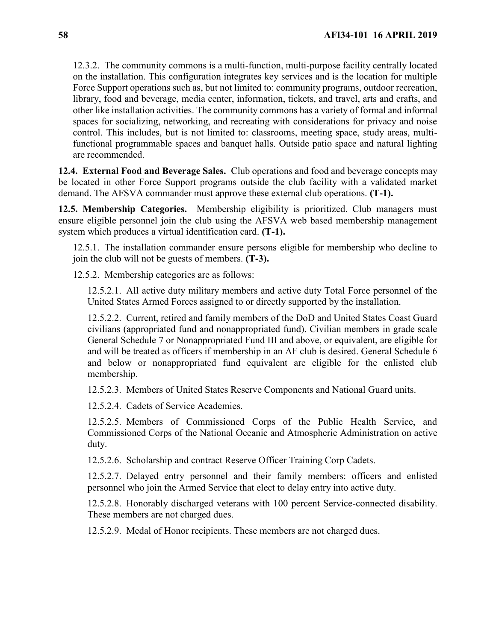12.3.2. The community commons is a multi-function, multi-purpose facility centrally located on the installation. This configuration integrates key services and is the location for multiple Force Support operations such as, but not limited to: community programs, outdoor recreation, library, food and beverage, media center, information, tickets, and travel, arts and crafts, and other like installation activities. The community commons has a variety of formal and informal spaces for socializing, networking, and recreating with considerations for privacy and noise control. This includes, but is not limited to: classrooms, meeting space, study areas, multifunctional programmable spaces and banquet halls. Outside patio space and natural lighting are recommended.

**12.4. External Food and Beverage Sales.** Club operations and food and beverage concepts may be located in other Force Support programs outside the club facility with a validated market demand. The AFSVA commander must approve these external club operations. **(T-1).**

**12.5. Membership Categories.** Membership eligibility is prioritized. Club managers must ensure eligible personnel join the club using the AFSVA web based membership management system which produces a virtual identification card. **(T-1).**

12.5.1. The installation commander ensure persons eligible for membership who decline to join the club will not be guests of members. **(T-3).** 

12.5.2. Membership categories are as follows:

12.5.2.1. All active duty military members and active duty Total Force personnel of the United States Armed Forces assigned to or directly supported by the installation.

12.5.2.2. Current, retired and family members of the DoD and United States Coast Guard civilians (appropriated fund and nonappropriated fund). Civilian members in grade scale General Schedule 7 or Nonappropriated Fund III and above, or equivalent, are eligible for and will be treated as officers if membership in an AF club is desired. General Schedule 6 and below or nonappropriated fund equivalent are eligible for the enlisted club membership.

12.5.2.3. Members of United States Reserve Components and National Guard units.

12.5.2.4. Cadets of Service Academies.

12.5.2.5. Members of Commissioned Corps of the Public Health Service, and Commissioned Corps of the National Oceanic and Atmospheric Administration on active duty.

12.5.2.6. Scholarship and contract Reserve Officer Training Corp Cadets.

12.5.2.7. Delayed entry personnel and their family members: officers and enlisted personnel who join the Armed Service that elect to delay entry into active duty.

12.5.2.8. Honorably discharged veterans with 100 percent Service-connected disability. These members are not charged dues.

12.5.2.9. Medal of Honor recipients. These members are not charged dues.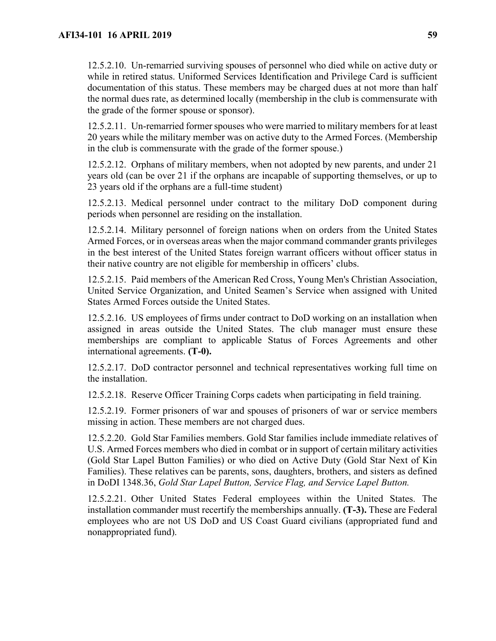12.5.2.10. Un-remarried surviving spouses of personnel who died while on active duty or while in retired status. Uniformed Services Identification and Privilege Card is sufficient documentation of this status. These members may be charged dues at not more than half the normal dues rate, as determined locally (membership in the club is commensurate with the grade of the former spouse or sponsor).

12.5.2.11. Un-remarried former spouses who were married to military members for at least 20 years while the military member was on active duty to the Armed Forces. (Membership in the club is commensurate with the grade of the former spouse.)

12.5.2.12. Orphans of military members, when not adopted by new parents, and under 21 years old (can be over 21 if the orphans are incapable of supporting themselves, or up to 23 years old if the orphans are a full-time student)

12.5.2.13. Medical personnel under contract to the military DoD component during periods when personnel are residing on the installation.

12.5.2.14. Military personnel of foreign nations when on orders from the United States Armed Forces, or in overseas areas when the major command commander grants privileges in the best interest of the United States foreign warrant officers without officer status in their native country are not eligible for membership in officers' clubs.

12.5.2.15. Paid members of the American Red Cross, Young Men's Christian Association, United Service Organization, and United Seamen's Service when assigned with United States Armed Forces outside the United States.

12.5.2.16. US employees of firms under contract to DoD working on an installation when assigned in areas outside the United States. The club manager must ensure these memberships are compliant to applicable Status of Forces Agreements and other international agreements. **(T-0).**

12.5.2.17. DoD contractor personnel and technical representatives working full time on the installation.

12.5.2.18. Reserve Officer Training Corps cadets when participating in field training.

12.5.2.19. Former prisoners of war and spouses of prisoners of war or service members missing in action. These members are not charged dues.

12.5.2.20. Gold Star Families members. Gold Star families include immediate relatives of U.S. Armed Forces members who died in combat or in support of certain military activities (Gold Star Lapel Button Families) or who died on Active Duty (Gold Star Next of Kin Families). These relatives can be parents, sons, daughters, brothers, and sisters as defined in DoDI 1348.36, *Gold Star Lapel Button, Service Flag, and Service Lapel Button.*

12.5.2.21. Other United States Federal employees within the United States. The installation commander must recertify the memberships annually. **(T-3).** These are Federal employees who are not US DoD and US Coast Guard civilians (appropriated fund and nonappropriated fund).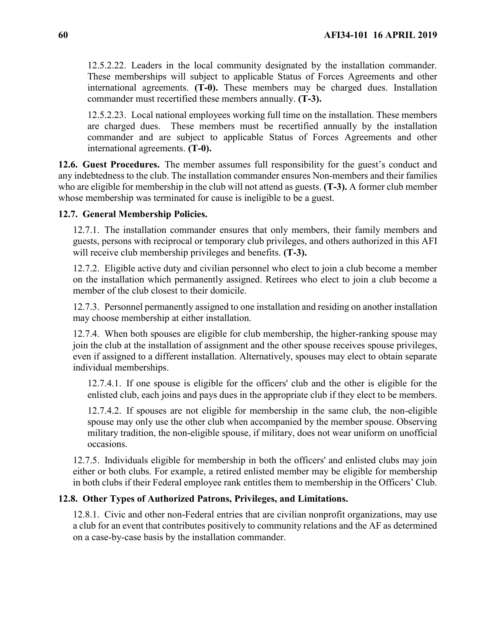12.5.2.22. Leaders in the local community designated by the installation commander. These memberships will subject to applicable Status of Forces Agreements and other international agreements. **(T-0).** These members may be charged dues. Installation commander must recertified these members annually. **(T-3).**

12.5.2.23. Local national employees working full time on the installation. These members are charged dues. These members must be recertified annually by the installation commander and are subject to applicable Status of Forces Agreements and other international agreements. **(T-0).**

**12.6. Guest Procedures.** The member assumes full responsibility for the guest's conduct and any indebtedness to the club. The installation commander ensures Non-members and their families who are eligible for membership in the club will not attend as guests. **(T-3).** A former club member whose membership was terminated for cause is ineligible to be a guest.

### **12.7. General Membership Policies.**

12.7.1. The installation commander ensures that only members, their family members and guests, persons with reciprocal or temporary club privileges, and others authorized in this AFI will receive club membership privileges and benefits. **(T-3).**

12.7.2. Eligible active duty and civilian personnel who elect to join a club become a member on the installation which permanently assigned. Retirees who elect to join a club become a member of the club closest to their domicile.

12.7.3. Personnel permanently assigned to one installation and residing on another installation may choose membership at either installation.

12.7.4. When both spouses are eligible for club membership, the higher-ranking spouse may join the club at the installation of assignment and the other spouse receives spouse privileges, even if assigned to a different installation. Alternatively, spouses may elect to obtain separate individual memberships.

12.7.4.1. If one spouse is eligible for the officers' club and the other is eligible for the enlisted club, each joins and pays dues in the appropriate club if they elect to be members.

12.7.4.2. If spouses are not eligible for membership in the same club, the non-eligible spouse may only use the other club when accompanied by the member spouse. Observing military tradition, the non-eligible spouse, if military, does not wear uniform on unofficial occasions.

12.7.5. Individuals eligible for membership in both the officers' and enlisted clubs may join either or both clubs. For example, a retired enlisted member may be eligible for membership in both clubs if their Federal employee rank entitles them to membership in the Officers' Club.

## **12.8. Other Types of Authorized Patrons, Privileges, and Limitations.**

12.8.1. Civic and other non-Federal entries that are civilian nonprofit organizations, may use a club for an event that contributes positively to community relations and the AF as determined on a case-by-case basis by the installation commander.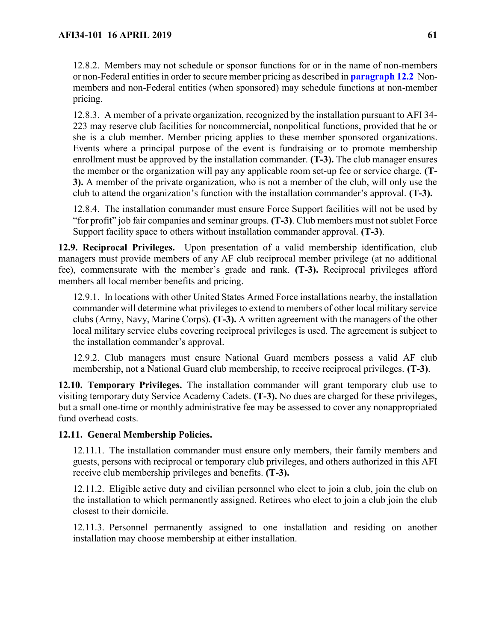12.8.2. Members may not schedule or sponsor functions for or in the name of non-members or non-Federal entities in order to secure member pricing as described in **[paragraph 12.2](#page-56-0)** Nonmembers and non-Federal entities (when sponsored) may schedule functions at non-member pricing.

12.8.3. A member of a private organization, recognized by the installation pursuant to AFI 34- 223 may reserve club facilities for noncommercial, nonpolitical functions, provided that he or she is a club member. Member pricing applies to these member sponsored organizations. Events where a principal purpose of the event is fundraising or to promote membership enrollment must be approved by the installation commander. **(T-3).** The club manager ensures the member or the organization will pay any applicable room set-up fee or service charge. **(T-3).** A member of the private organization, who is not a member of the club, will only use the club to attend the organization's function with the installation commander's approval. **(T-3).**

12.8.4. The installation commander must ensure Force Support facilities will not be used by "for profit" job fair companies and seminar groups. **(T-3)**. Club members must not sublet Force Support facility space to others without installation commander approval. **(T-3)**.

**12.9. Reciprocal Privileges.** Upon presentation of a valid membership identification, club managers must provide members of any AF club reciprocal member privilege (at no additional fee), commensurate with the member's grade and rank. **(T-3).** Reciprocal privileges afford members all local member benefits and pricing.

12.9.1. In locations with other United States Armed Force installations nearby, the installation commander will determine what privileges to extend to members of other local military service clubs (Army, Navy, Marine Corps). **(T-3).** A written agreement with the managers of the other local military service clubs covering reciprocal privileges is used. The agreement is subject to the installation commander's approval.

12.9.2. Club managers must ensure National Guard members possess a valid AF club membership, not a National Guard club membership, to receive reciprocal privileges. **(T-3)**.

**12.10. Temporary Privileges.** The installation commander will grant temporary club use to visiting temporary duty Service Academy Cadets. **(T-3).** No dues are charged for these privileges, but a small one-time or monthly administrative fee may be assessed to cover any nonappropriated fund overhead costs.

## **12.11. General Membership Policies.**

12.11.1. The installation commander must ensure only members, their family members and guests, persons with reciprocal or temporary club privileges, and others authorized in this AFI receive club membership privileges and benefits. **(T-3).**

12.11.2. Eligible active duty and civilian personnel who elect to join a club, join the club on the installation to which permanently assigned. Retirees who elect to join a club join the club closest to their domicile.

12.11.3. Personnel permanently assigned to one installation and residing on another installation may choose membership at either installation.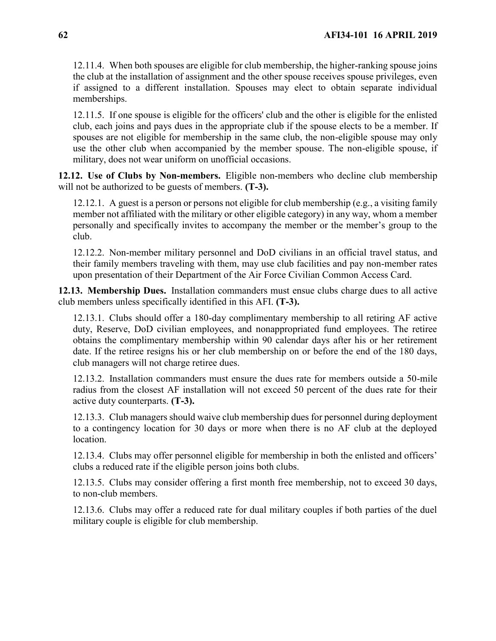12.11.4. When both spouses are eligible for club membership, the higher-ranking spouse joins the club at the installation of assignment and the other spouse receives spouse privileges, even if assigned to a different installation. Spouses may elect to obtain separate individual memberships.

12.11.5. If one spouse is eligible for the officers' club and the other is eligible for the enlisted club, each joins and pays dues in the appropriate club if the spouse elects to be a member. If spouses are not eligible for membership in the same club, the non-eligible spouse may only use the other club when accompanied by the member spouse. The non-eligible spouse, if military, does not wear uniform on unofficial occasions.

**12.12. Use of Clubs by Non-members.** Eligible non-members who decline club membership will not be authorized to be guests of members. **(T-3).**

12.12.1. A guest is a person or persons not eligible for club membership (e.g., a visiting family member not affiliated with the military or other eligible category) in any way, whom a member personally and specifically invites to accompany the member or the member's group to the club.

12.12.2. Non-member military personnel and DoD civilians in an official travel status, and their family members traveling with them, may use club facilities and pay non-member rates upon presentation of their Department of the Air Force Civilian Common Access Card.

**12.13. Membership Dues.** Installation commanders must ensue clubs charge dues to all active club members unless specifically identified in this AFI. **(T-3).**

12.13.1. Clubs should offer a 180-day complimentary membership to all retiring AF active duty, Reserve, DoD civilian employees, and nonappropriated fund employees. The retiree obtains the complimentary membership within 90 calendar days after his or her retirement date. If the retiree resigns his or her club membership on or before the end of the 180 days, club managers will not charge retiree dues.

12.13.2. Installation commanders must ensure the dues rate for members outside a 50-mile radius from the closest AF installation will not exceed 50 percent of the dues rate for their active duty counterparts. **(T-3).**

12.13.3. Club managers should waive club membership dues for personnel during deployment to a contingency location for 30 days or more when there is no AF club at the deployed location.

12.13.4. Clubs may offer personnel eligible for membership in both the enlisted and officers' clubs a reduced rate if the eligible person joins both clubs.

12.13.5. Clubs may consider offering a first month free membership, not to exceed 30 days, to non-club members.

12.13.6. Clubs may offer a reduced rate for dual military couples if both parties of the duel military couple is eligible for club membership.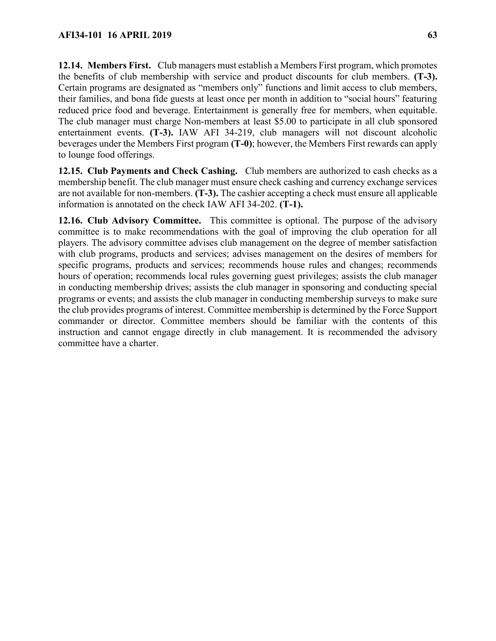**12.14. Members First.** Club managers must establish a Members First program, which promotes the benefits of club membership with service and product discounts for club members. **(T-3).** Certain programs are designated as "members only" functions and limit access to club members, their families, and bona fide guests at least once per month in addition to "social hours" featuring reduced price food and beverage. Entertainment is generally free for members, when equitable. The club manager must charge Non-members at least \$5.00 to participate in all club sponsored entertainment events. **(T-3).** IAW AFI 34-219, club managers will not discount alcoholic beverages under the Members First program **(T-0)**; however, the Members First rewards can apply to lounge food offerings.

**12.15. Club Payments and Check Cashing.** Club members are authorized to cash checks as a membership benefit. The club manager must ensure check cashing and currency exchange services are not available for non-members. **(T-3).** The cashier accepting a check must ensure all applicable information is annotated on the check IAW AFI 34-202. **(T-1).**

**12.16. Club Advisory Committee.** This committee is optional. The purpose of the advisory committee is to make recommendations with the goal of improving the club operation for all players. The advisory committee advises club management on the degree of member satisfaction with club programs, products and services; advises management on the desires of members for specific programs, products and services; recommends house rules and changes; recommends hours of operation; recommends local rules governing guest privileges; assists the club manager in conducting membership drives; assists the club manager in sponsoring and conducting special programs or events; and assists the club manager in conducting membership surveys to make sure the club provides programs of interest. Committee membership is determined by the Force Support commander or director. Committee members should be familiar with the contents of this instruction and cannot engage directly in club management. It is recommended the advisory committee have a charter.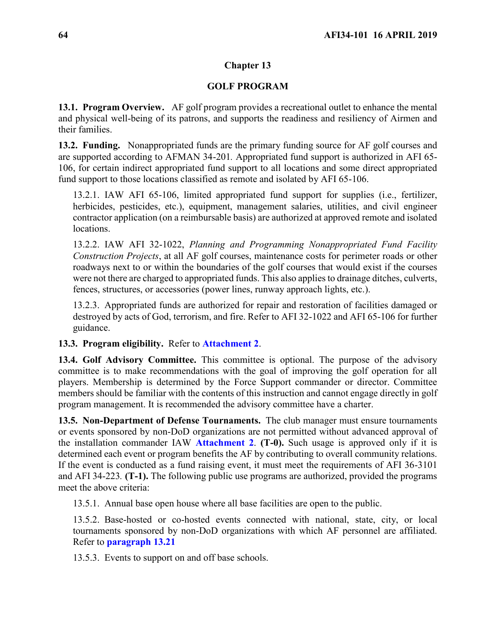### **Chapter 13**

### **GOLF PROGRAM**

**13.1. Program Overview.** AF golf program provides a recreational outlet to enhance the mental and physical well-being of its patrons, and supports the readiness and resiliency of Airmen and their families.

**13.2. Funding.** Nonappropriated funds are the primary funding source for AF golf courses and are supported according to AFMAN 34-201*.* Appropriated fund support is authorized in AFI 65- 106, for certain indirect appropriated fund support to all locations and some direct appropriated fund support to those locations classified as remote and isolated by AFI 65-106.

13.2.1. IAW AFI 65-106, limited appropriated fund support for supplies (i.e., fertilizer, herbicides, pesticides, etc.), equipment, management salaries, utilities, and civil engineer contractor application (on a reimbursable basis) are authorized at approved remote and isolated locations.

13.2.2. IAW AFI 32-1022, *Planning and Programming Nonappropriated Fund Facility Construction Projects*, at all AF golf courses, maintenance costs for perimeter roads or other roadways next to or within the boundaries of the golf courses that would exist if the courses were not there are charged to appropriated funds. This also applies to drainage ditches, culverts, fences, structures, or accessories (power lines, runway approach lights, etc.).

13.2.3. Appropriated funds are authorized for repair and restoration of facilities damaged or destroyed by acts of God, terrorism, and fire. Refer to AFI 32-1022 and AFI 65-106 for further guidance.

**13.3. Program eligibility.** Refer to **[Attachment 2](#page-118-0)**.

**13.4. Golf Advisory Committee.** This committee is optional. The purpose of the advisory committee is to make recommendations with the goal of improving the golf operation for all players. Membership is determined by the Force Support commander or director. Committee members should be familiar with the contents of this instruction and cannot engage directly in golf program management. It is recommended the advisory committee have a charter.

**13.5. Non-Department of Defense Tournaments.** The club manager must ensure tournaments or events sponsored by non-DoD organizations are not permitted without advanced approval of the installation commander IAW **[Attachment 2](#page-118-0)**. **(T-0).** Such usage is approved only if it is determined each event or program benefits the AF by contributing to overall community relations. If the event is conducted as a fund raising event, it must meet the requirements of AFI 36-3101 and AFI 34-223*.* **(T-1).** The following public use programs are authorized, provided the programs meet the above criteria:

13.5.1. Annual base open house where all base facilities are open to the public.

13.5.2. Base-hosted or co-hosted events connected with national, state, city, or local tournaments sponsored by non-DoD organizations with which AF personnel are affiliated. Refer to **[paragraph 13.21](#page-67-0)**

13.5.3. Events to support on and off base schools.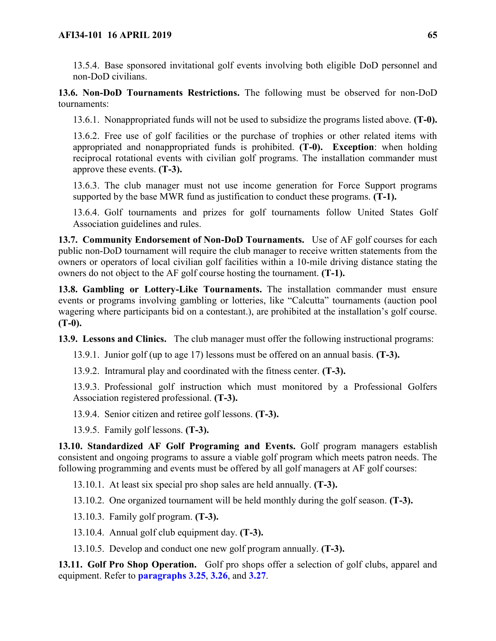13.5.4. Base sponsored invitational golf events involving both eligible DoD personnel and non-DoD civilians.

**13.6. Non-DoD Tournaments Restrictions.** The following must be observed for non-DoD tournaments:

13.6.1. Nonappropriated funds will not be used to subsidize the programs listed above. **(T-0).**

13.6.2. Free use of golf facilities or the purchase of trophies or other related items with appropriated and nonappropriated funds is prohibited. **(T-0). Exception**: when holding reciprocal rotational events with civilian golf programs. The installation commander must approve these events. **(T-3).**

13.6.3. The club manager must not use income generation for Force Support programs supported by the base MWR fund as justification to conduct these programs. **(T-1).**

13.6.4. Golf tournaments and prizes for golf tournaments follow United States Golf Association guidelines and rules.

**13.7. Community Endorsement of Non-DoD Tournaments.** Use of AF golf courses for each public non-DoD tournament will require the club manager to receive written statements from the owners or operators of local civilian golf facilities within a 10-mile driving distance stating the owners do not object to the AF golf course hosting the tournament. **(T-1).**

**13.8. Gambling or Lottery-Like Tournaments.** The installation commander must ensure events or programs involving gambling or lotteries, like "Calcutta" tournaments (auction pool wagering where participants bid on a contestant.), are prohibited at the installation's golf course. **(T-0).**

**13.9. Lessons and Clinics.** The club manager must offer the following instructional programs:

13.9.1. Junior golf (up to age 17) lessons must be offered on an annual basis. **(T-3).**

13.9.2. Intramural play and coordinated with the fitness center. **(T-3).**

13.9.3. Professional golf instruction which must monitored by a Professional Golfers Association registered professional. **(T-3).**

13.9.4. Senior citizen and retiree golf lessons. **(T-3).**

13.9.5. Family golf lessons. **(T-3).**

**13.10. Standardized AF Golf Programing and Events.** Golf program managers establish consistent and ongoing programs to assure a viable golf program which meets patron needs. The following programming and events must be offered by all golf managers at AF golf courses:

13.10.1. At least six special pro shop sales are held annually. **(T-3).**

13.10.2. One organized tournament will be held monthly during the golf season. **(T-3).**

13.10.3. Family golf program. **(T-3).**

13.10.4. Annual golf club equipment day. **(T-3).**

13.10.5. Develop and conduct one new golf program annually. **(T-3).**

**13.11. Golf Pro Shop Operation.** Golf pro shops offer a selection of golf clubs, apparel and equipment. Refer to **paragraphs [3.25](#page-21-1)**, **[3.26](#page-21-0)**, and **[3.27](#page-22-0)**.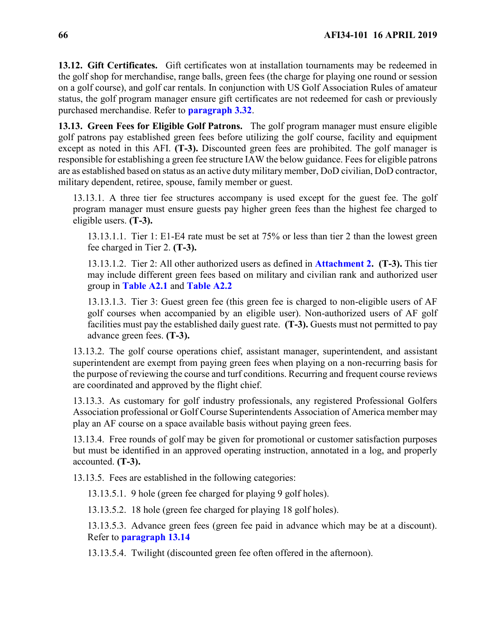**13.12. Gift Certificates.** Gift certificates won at installation tournaments may be redeemed in the golf shop for merchandise, range balls, green fees (the charge for playing one round or session on a golf course), and golf car rentals. In conjunction with US Golf Association Rules of amateur status, the golf program manager ensure gift certificates are not redeemed for cash or previously purchased merchandise. Refer to **[paragraph 3.32](#page-23-0)**.

**13.13. Green Fees for Eligible Golf Patrons.** The golf program manager must ensure eligible golf patrons pay established green fees before utilizing the golf course, facility and equipment except as noted in this AFI. **(T-3).** Discounted green fees are prohibited. The golf manager is responsible for establishing a green fee structure IAW the below guidance. Fees for eligible patrons are as established based on status as an active duty military member, DoD civilian, DoD contractor, military dependent, retiree, spouse, family member or guest.

13.13.1. A three tier fee structures accompany is used except for the guest fee. The golf program manager must ensure guests pay higher green fees than the highest fee charged to eligible users. **(T-3).**

13.13.1.1. Tier 1: E1-E4 rate must be set at 75% or less than tier 2 than the lowest green fee charged in Tier 2. **(T-3).**

13.13.1.2. Tier 2: All other authorized users as defined in **[Attachment 2.](#page-118-0) (T-3).** This tier may include different green fees based on military and civilian rank and authorized user group in **[Table A2.1](#page-118-1)** and **[Table A2.2](#page-121-0)**

13.13.1.3. Tier 3: Guest green fee (this green fee is charged to non-eligible users of AF golf courses when accompanied by an eligible user). Non-authorized users of AF golf facilities must pay the established daily guest rate. **(T-3).** Guests must not permitted to pay advance green fees. **(T-3).**

13.13.2. The golf course operations chief, assistant manager, superintendent, and assistant superintendent are exempt from paying green fees when playing on a non-recurring basis for the purpose of reviewing the course and turf conditions. Recurring and frequent course reviews are coordinated and approved by the flight chief.

13.13.3. As customary for golf industry professionals, any registered Professional Golfers Association professional or Golf Course Superintendents Association of America member may play an AF course on a space available basis without paying green fees.

13.13.4. Free rounds of golf may be given for promotional or customer satisfaction purposes but must be identified in an approved operating instruction, annotated in a log, and properly accounted. **(T-3).**

13.13.5. Fees are established in the following categories:

13.13.5.1. 9 hole (green fee charged for playing 9 golf holes).

13.13.5.2. 18 hole (green fee charged for playing 18 golf holes).

13.13.5.3. Advance green fees (green fee paid in advance which may be at a discount). Refer to **[paragraph 13.14](#page-66-0)**

13.13.5.4. Twilight (discounted green fee often offered in the afternoon).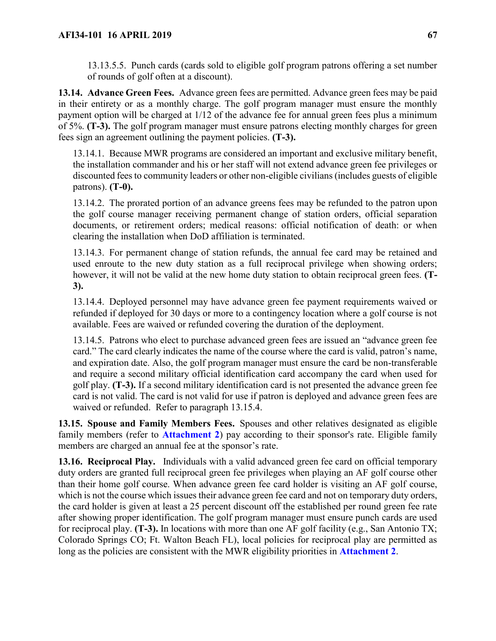13.13.5.5. Punch cards (cards sold to eligible golf program patrons offering a set number of rounds of golf often at a discount).

<span id="page-66-0"></span>**13.14. Advance Green Fees.** Advance green fees are permitted. Advance green fees may be paid in their entirety or as a monthly charge. The golf program manager must ensure the monthly payment option will be charged at 1/12 of the advance fee for annual green fees plus a minimum of 5%. **(T-3).** The golf program manager must ensure patrons electing monthly charges for green fees sign an agreement outlining the payment policies. **(T-3).**

13.14.1. Because MWR programs are considered an important and exclusive military benefit, the installation commander and his or her staff will not extend advance green fee privileges or discounted fees to community leaders or other non-eligible civilians (includes guests of eligible patrons). **(T-0).**

13.14.2. The prorated portion of an advance greens fees may be refunded to the patron upon the golf course manager receiving permanent change of station orders, official separation documents, or retirement orders; medical reasons: official notification of death: or when clearing the installation when DoD affiliation is terminated.

13.14.3. For permanent change of station refunds, the annual fee card may be retained and used enroute to the new duty station as a full reciprocal privilege when showing orders; however, it will not be valid at the new home duty station to obtain reciprocal green fees. **(T**-**3).**

13.14.4. Deployed personnel may have advance green fee payment requirements waived or refunded if deployed for 30 days or more to a contingency location where a golf course is not available. Fees are waived or refunded covering the duration of the deployment.

13.14.5. Patrons who elect to purchase advanced green fees are issued an "advance green fee card." The card clearly indicates the name of the course where the card is valid, patron's name, and expiration date. Also, the golf program manager must ensure the card be non-transferable and require a second military official identification card accompany the card when used for golf play. **(T-3).** If a second military identification card is not presented the advance green fee card is not valid. The card is not valid for use if patron is deployed and advance green fees are waived or refunded. Refer to paragraph 13.15.4.

**13.15. Spouse and Family Members Fees.** Spouses and other relatives designated as eligible family members (refer to **[Attachment 2](#page-118-0)**) pay according to their sponsor's rate. Eligible family members are charged an annual fee at the sponsor's rate.

**13.16. Reciprocal Play.** Individuals with a valid advanced green fee card on official temporary duty orders are granted full reciprocal green fee privileges when playing an AF golf course other than their home golf course. When advance green fee card holder is visiting an AF golf course, which is not the course which issues their advance green fee card and not on temporary duty orders, the card holder is given at least a 25 percent discount off the established per round green fee rate after showing proper identification. The golf program manager must ensure punch cards are used for reciprocal play. **(T-3).** In locations with more than one AF golf facility (e.g., San Antonio TX; Colorado Springs CO; Ft. Walton Beach FL), local policies for reciprocal play are permitted as long as the policies are consistent with the MWR eligibility priorities in **[Attachment 2](#page-118-0)**.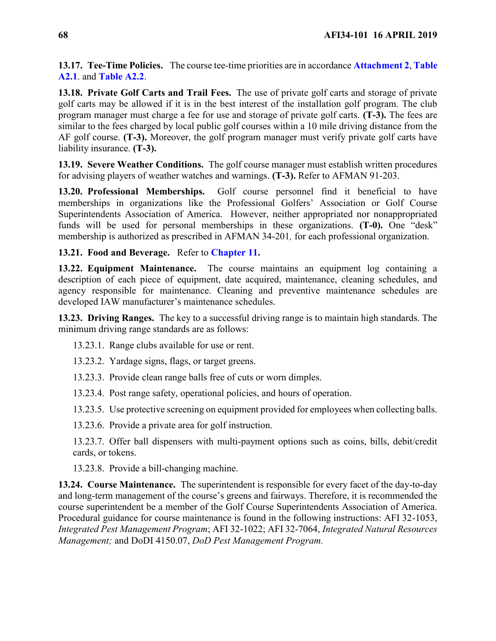**13.17. Tee-Time Policies.** The course tee-time priorities are in accordance **[Attachment 2](#page-118-0)**, **[Table](#page-118-1)  [A2.1](#page-118-1)**. and **[Table A2.2](#page-121-0)**.

**13.18. Private Golf Carts and Trail Fees.** The use of private golf carts and storage of private golf carts may be allowed if it is in the best interest of the installation golf program. The club program manager must charge a fee for use and storage of private golf carts. **(T-3).** The fees are similar to the fees charged by local public golf courses within a 10 mile driving distance from the AF golf course. **(T-3).** Moreover, the golf program manager must verify private golf carts have liability insurance. **(T-3).**

**13.19. Severe Weather Conditions.** The golf course manager must establish written procedures for advising players of weather watches and warnings. **(T-3).** Refer to AFMAN 91-203.

**13.20. Professional Memberships.** Golf course personnel find it beneficial to have memberships in organizations like the Professional Golfers' Association or Golf Course Superintendents Association of America. However, neither appropriated nor nonappropriated funds will be used for personal memberships in these organizations. **(T-0).** One "desk" membership is authorized as prescribed in AFMAN 34-201*,* for each professional organization.

<span id="page-67-0"></span>**13.21. Food and Beverage.** Refer to **[Chapter 11.](#page-54-1)**

**13.22. Equipment Maintenance.** The course maintains an equipment log containing a description of each piece of equipment, date acquired, maintenance, cleaning schedules, and agency responsible for maintenance. Cleaning and preventive maintenance schedules are developed IAW manufacturer's maintenance schedules.

**13.23. Driving Ranges.** The key to a successful driving range is to maintain high standards. The minimum driving range standards are as follows:

- 13.23.1. Range clubs available for use or rent.
- 13.23.2. Yardage signs, flags, or target greens.
- 13.23.3. Provide clean range balls free of cuts or worn dimples.
- 13.23.4. Post range safety, operational policies, and hours of operation.
- 13.23.5. Use protective screening on equipment provided for employees when collecting balls.
- 13.23.6. Provide a private area for golf instruction.
- 13.23.7. Offer ball dispensers with multi-payment options such as coins, bills, debit/credit cards, or tokens.
- 13.23.8. Provide a bill-changing machine.

**13.24. Course Maintenance.** The superintendent is responsible for every facet of the day-to-day and long-term management of the course's greens and fairways. Therefore, it is recommended the course superintendent be a member of the Golf Course Superintendents Association of America. Procedural guidance for course maintenance is found in the following instructions: AFI 32-1053, *Integrated Pest Management Program*; AFI 32-1022; AFI 32-7064, *Integrated Natural Resources Management;* and DoDI 4150.07, *DoD Pest Management Program.*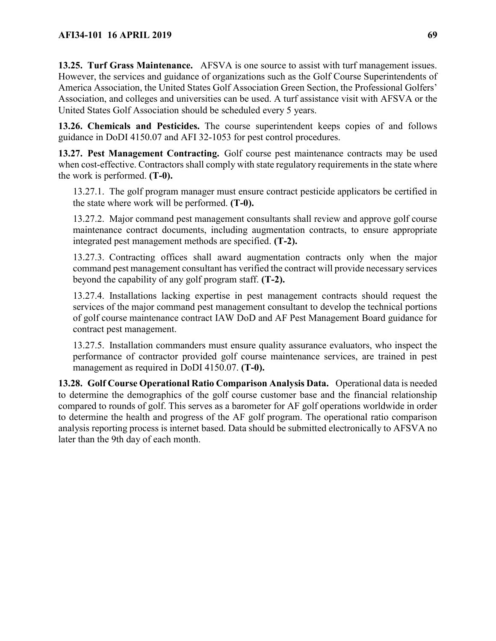**13.25. Turf Grass Maintenance.** AFSVA is one source to assist with turf management issues. However, the services and guidance of organizations such as the Golf Course Superintendents of America Association, the United States Golf Association Green Section, the Professional Golfers' Association, and colleges and universities can be used. A turf assistance visit with AFSVA or the United States Golf Association should be scheduled every 5 years.

**13.26. Chemicals and Pesticides.** The course superintendent keeps copies of and follows guidance in DoDI 4150.07 and AFI 32-1053 for pest control procedures.

**13.27. Pest Management Contracting.** Golf course pest maintenance contracts may be used when cost-effective. Contractors shall comply with state regulatory requirements in the state where the work is performed. **(T-0).**

13.27.1. The golf program manager must ensure contract pesticide applicators be certified in the state where work will be performed. **(T-0).**

13.27.2. Major command pest management consultants shall review and approve golf course maintenance contract documents, including augmentation contracts, to ensure appropriate integrated pest management methods are specified. **(T-2).**

13.27.3. Contracting offices shall award augmentation contracts only when the major command pest management consultant has verified the contract will provide necessary services beyond the capability of any golf program staff. **(T-2).**

13.27.4. Installations lacking expertise in pest management contracts should request the services of the major command pest management consultant to develop the technical portions of golf course maintenance contract IAW DoD and AF Pest Management Board guidance for contract pest management.

13.27.5. Installation commanders must ensure quality assurance evaluators, who inspect the performance of contractor provided golf course maintenance services, are trained in pest management as required in DoDI 4150.07. **(T-0).**

**13.28. Golf Course Operational Ratio Comparison Analysis Data.** Operational data is needed to determine the demographics of the golf course customer base and the financial relationship compared to rounds of golf. This serves as a barometer for AF golf operations worldwide in order to determine the health and progress of the AF golf program. The operational ratio comparison analysis reporting process is internet based. Data should be submitted electronically to AFSVA no later than the 9th day of each month.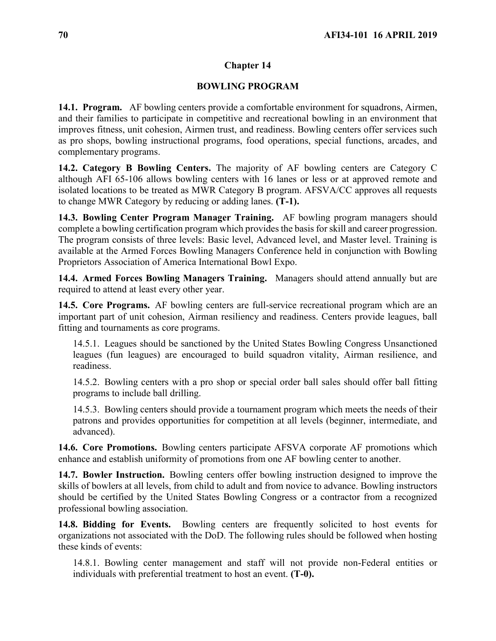## **Chapter 14**

## **BOWLING PROGRAM**

**14.1. Program.** AF bowling centers provide a comfortable environment for squadrons, Airmen, and their families to participate in competitive and recreational bowling in an environment that improves fitness, unit cohesion, Airmen trust, and readiness. Bowling centers offer services such as pro shops, bowling instructional programs, food operations, special functions, arcades, and complementary programs.

**14.2. Category B Bowling Centers.** The majority of AF bowling centers are Category C although AFI 65-106 allows bowling centers with 16 lanes or less or at approved remote and isolated locations to be treated as MWR Category B program. AFSVA/CC approves all requests to change MWR Category by reducing or adding lanes. **(T-1).**

**14.3. Bowling Center Program Manager Training.** AF bowling program managers should complete a bowling certification program which provides the basis for skill and career progression. The program consists of three levels: Basic level, Advanced level, and Master level. Training is available at the Armed Forces Bowling Managers Conference held in conjunction with Bowling Proprietors Association of America International Bowl Expo.

**14.4. Armed Forces Bowling Managers Training.** Managers should attend annually but are required to attend at least every other year.

**14.5. Core Programs.** AF bowling centers are full-service recreational program which are an important part of unit cohesion, Airman resiliency and readiness. Centers provide leagues, ball fitting and tournaments as core programs.

14.5.1. Leagues should be sanctioned by the United States Bowling Congress Unsanctioned leagues (fun leagues) are encouraged to build squadron vitality, Airman resilience, and readiness.

14.5.2. Bowling centers with a pro shop or special order ball sales should offer ball fitting programs to include ball drilling.

14.5.3. Bowling centers should provide a tournament program which meets the needs of their patrons and provides opportunities for competition at all levels (beginner, intermediate, and advanced).

**14.6. Core Promotions.** Bowling centers participate AFSVA corporate AF promotions which enhance and establish uniformity of promotions from one AF bowling center to another.

**14.7. Bowler Instruction.** Bowling centers offer bowling instruction designed to improve the skills of bowlers at all levels, from child to adult and from novice to advance. Bowling instructors should be certified by the United States Bowling Congress or a contractor from a recognized professional bowling association.

**14.8. Bidding for Events.** Bowling centers are frequently solicited to host events for organizations not associated with the DoD. The following rules should be followed when hosting these kinds of events:

14.8.1. Bowling center management and staff will not provide non-Federal entities or individuals with preferential treatment to host an event. **(T-0).**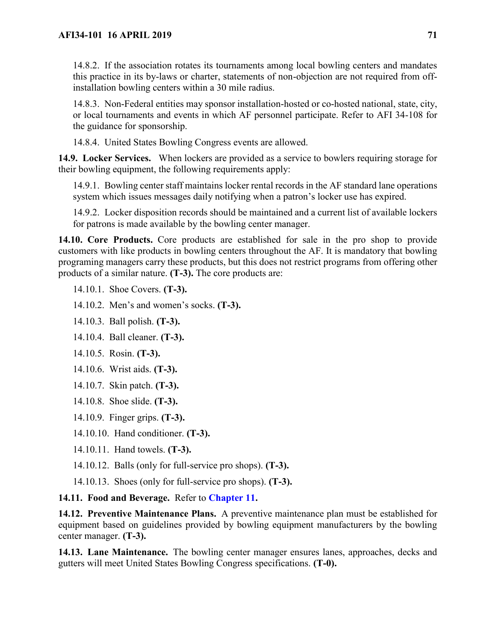14.8.2. If the association rotates its tournaments among local bowling centers and mandates this practice in its by-laws or charter, statements of non-objection are not required from offinstallation bowling centers within a 30 mile radius.

14.8.3. Non-Federal entities may sponsor installation-hosted or co-hosted national, state, city, or local tournaments and events in which AF personnel participate. Refer to AFI 34-108 for the guidance for sponsorship.

14.8.4. United States Bowling Congress events are allowed.

**14.9. Locker Services.** When lockers are provided as a service to bowlers requiring storage for their bowling equipment, the following requirements apply:

14.9.1. Bowling center staff maintains locker rental records in the AF standard lane operations system which issues messages daily notifying when a patron's locker use has expired.

14.9.2. Locker disposition records should be maintained and a current list of available lockers for patrons is made available by the bowling center manager.

**14.10. Core Products.** Core products are established for sale in the pro shop to provide customers with like products in bowling centers throughout the AF. It is mandatory that bowling programing managers carry these products, but this does not restrict programs from offering other products of a similar nature. **(T-3).** The core products are:

14.10.1. Shoe Covers. **(T-3).**

14.10.2. Men's and women's socks. **(T-3).**

14.10.3. Ball polish. **(T-3).**

14.10.4. Ball cleaner. **(T-3).**

14.10.5. Rosin. **(T-3).**

14.10.6. Wrist aids. **(T-3).**

- 14.10.7. Skin patch. **(T-3).**
- 14.10.8. Shoe slide. **(T-3).**

14.10.9. Finger grips. **(T-3).**

14.10.10. Hand conditioner. **(T-3).**

- 14.10.11. Hand towels. **(T-3).**
- 14.10.12. Balls (only for full-service pro shops). **(T-3).**
- 14.10.13. Shoes (only for full-service pro shops). **(T-3).**

**14.11. Food and Beverage.** Refer to **[Chapter 11.](#page-54-1)**

**14.12. Preventive Maintenance Plans.** A preventive maintenance plan must be established for equipment based on guidelines provided by bowling equipment manufacturers by the bowling center manager. **(T-3).**

**14.13. Lane Maintenance.** The bowling center manager ensures lanes, approaches, decks and gutters will meet United States Bowling Congress specifications. **(T-0).**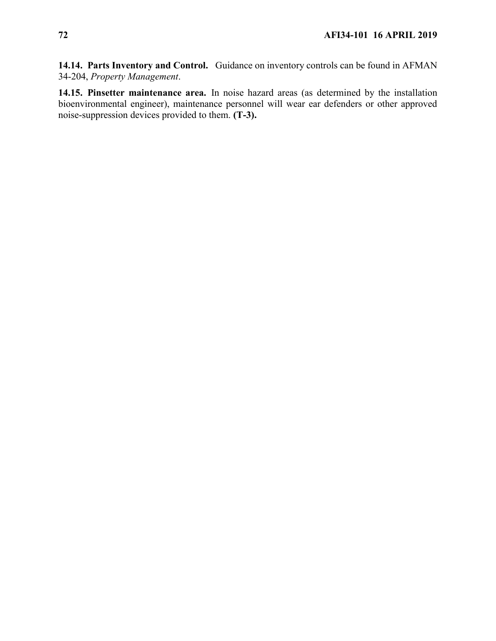**14.14. Parts Inventory and Control.** Guidance on inventory controls can be found in AFMAN 34-204, *Property Management*.

**14.15. Pinsetter maintenance area.** In noise hazard areas (as determined by the installation bioenvironmental engineer), maintenance personnel will wear ear defenders or other approved noise-suppression devices provided to them. **(T-3).**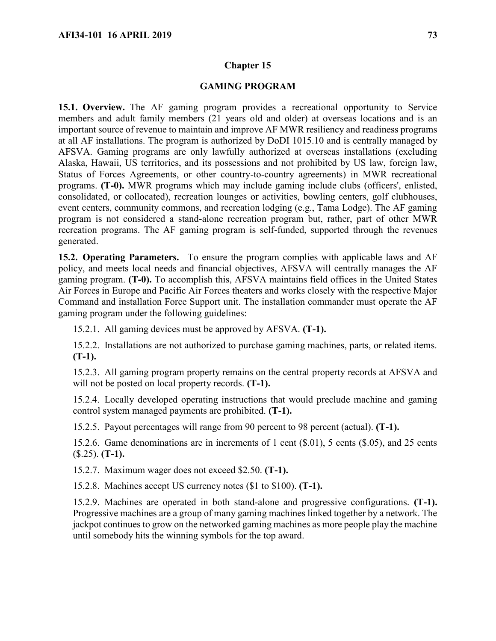## **GAMING PROGRAM**

**15.1. Overview.** The AF gaming program provides a recreational opportunity to Service members and adult family members (21 years old and older) at overseas locations and is an important source of revenue to maintain and improve AF MWR resiliency and readiness programs at all AF installations. The program is authorized by DoDI 1015.10 and is centrally managed by AFSVA. Gaming programs are only lawfully authorized at overseas installations (excluding Alaska, Hawaii, US territories, and its possessions and not prohibited by US law, foreign law, Status of Forces Agreements, or other country-to-country agreements) in MWR recreational programs. **(T-0).** MWR programs which may include gaming include clubs (officers', enlisted, consolidated, or collocated), recreation lounges or activities, bowling centers, golf clubhouses, event centers, community commons, and recreation lodging (e.g., Tama Lodge). The AF gaming program is not considered a stand-alone recreation program but, rather, part of other MWR recreation programs. The AF gaming program is self-funded, supported through the revenues generated.

**15.2. Operating Parameters.** To ensure the program complies with applicable laws and AF policy, and meets local needs and financial objectives, AFSVA will centrally manages the AF gaming program. **(T-0).** To accomplish this, AFSVA maintains field offices in the United States Air Forces in Europe and Pacific Air Forces theaters and works closely with the respective Major Command and installation Force Support unit. The installation commander must operate the AF gaming program under the following guidelines:

15.2.1. All gaming devices must be approved by AFSVA. **(T-1).**

15.2.2. Installations are not authorized to purchase gaming machines, parts, or related items. **(T-1).**

15.2.3. All gaming program property remains on the central property records at AFSVA and will not be posted on local property records. **(T-1).**

15.2.4. Locally developed operating instructions that would preclude machine and gaming control system managed payments are prohibited. **(T-1).**

15.2.5. Payout percentages will range from 90 percent to 98 percent (actual). **(T-1).**

15.2.6. Game denominations are in increments of 1 cent (\$.01), 5 cents (\$.05), and 25 cents (\$.25). **(T-1).**

15.2.7. Maximum wager does not exceed \$2.50. **(T-1).**

15.2.8. Machines accept US currency notes (\$1 to \$100). **(T-1).**

15.2.9. Machines are operated in both stand-alone and progressive configurations. **(T-1).**  Progressive machines are a group of many gaming machines linked together by a network. The jackpot continues to grow on the networked gaming machines as more people play the machine until somebody hits the winning symbols for the top award.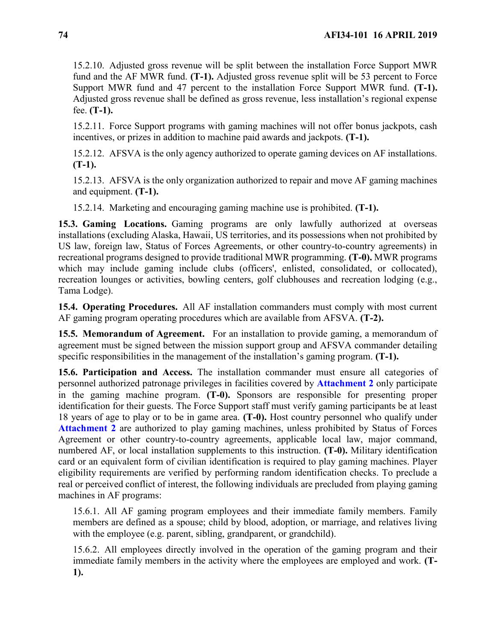15.2.10. Adjusted gross revenue will be split between the installation Force Support MWR fund and the AF MWR fund. **(T-1).** Adjusted gross revenue split will be 53 percent to Force Support MWR fund and 47 percent to the installation Force Support MWR fund. **(T-1).** Adjusted gross revenue shall be defined as gross revenue, less installation's regional expense fee. **(T-1).**

15.2.11. Force Support programs with gaming machines will not offer bonus jackpots, cash incentives, or prizes in addition to machine paid awards and jackpots. **(T-1).**

15.2.12. AFSVA is the only agency authorized to operate gaming devices on AF installations. **(T-1).**

15.2.13. AFSVA is the only organization authorized to repair and move AF gaming machines and equipment. **(T-1).**

15.2.14. Marketing and encouraging gaming machine use is prohibited. **(T-1).**

**15.3. Gaming Locations.** Gaming programs are only lawfully authorized at overseas installations (excluding Alaska, Hawaii, US territories, and its possessions when not prohibited by US law, foreign law, Status of Forces Agreements, or other country-to-country agreements) in recreational programs designed to provide traditional MWR programming. **(T-0).** MWR programs which may include gaming include clubs (officers', enlisted, consolidated, or collocated), recreation lounges or activities, bowling centers, golf clubhouses and recreation lodging (e.g., Tama Lodge).

**15.4. Operating Procedures.** All AF installation commanders must comply with most current AF gaming program operating procedures which are available from AFSVA. **(T-2).**

**15.5. Memorandum of Agreement.** For an installation to provide gaming, a memorandum of agreement must be signed between the mission support group and AFSVA commander detailing specific responsibilities in the management of the installation's gaming program. **(T-1).**

**15.6. Participation and Access.** The installation commander must ensure all categories of personnel authorized patronage privileges in facilities covered by **[Attachment 2](#page-118-0)** only participate in the gaming machine program. **(T-0).** Sponsors are responsible for presenting proper identification for their guests. The Force Support staff must verify gaming participants be at least 18 years of age to play or to be in game area. **(T-0).** Host country personnel who qualify under [Attachment 2](#page-118-0) are authorized to play gaming machines, unless prohibited by Status of Forces Agreement or other country-to-country agreements, applicable local law, major command, numbered AF, or local installation supplements to this instruction. **(T-0).** Military identification card or an equivalent form of civilian identification is required to play gaming machines. Player eligibility requirements are verified by performing random identification checks. To preclude a real or perceived conflict of interest, the following individuals are precluded from playing gaming machines in AF programs:

15.6.1. All AF gaming program employees and their immediate family members. Family members are defined as a spouse; child by blood, adoption, or marriage, and relatives living with the employee (e.g. parent, sibling, grandparent, or grandchild).

15.6.2. All employees directly involved in the operation of the gaming program and their immediate family members in the activity where the employees are employed and work. **(T-1).**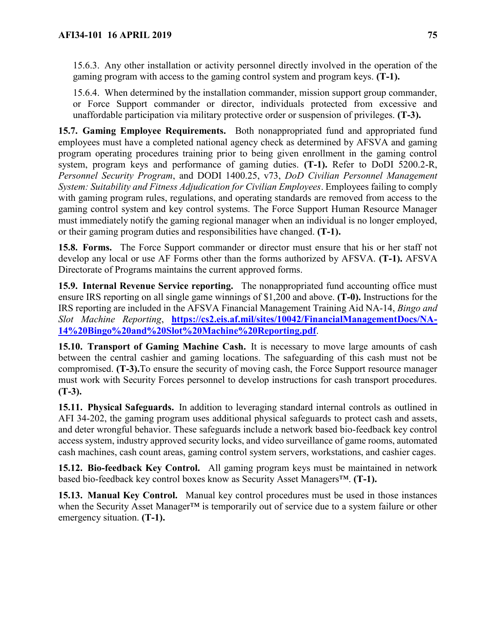15.6.3. Any other installation or activity personnel directly involved in the operation of the gaming program with access to the gaming control system and program keys. **(T-1).**

15.6.4. When determined by the installation commander, mission support group commander, or Force Support commander or director, individuals protected from excessive and unaffordable participation via military protective order or suspension of privileges. **(T-3).**

**15.7. Gaming Employee Requirements.** Both nonappropriated fund and appropriated fund employees must have a completed national agency check as determined by AFSVA and gaming program operating procedures training prior to being given enrollment in the gaming control system, program keys and performance of gaming duties. **(T-1).** Refer to DoDI 5200.2-R, *Personnel Security Program*, and DODI 1400.25, v73, *DoD Civilian Personnel Management System: Suitability and Fitness Adjudication for Civilian Employees*. Employees failing to comply with gaming program rules, regulations, and operating standards are removed from access to the gaming control system and key control systems. The Force Support Human Resource Manager must immediately notify the gaming regional manager when an individual is no longer employed, or their gaming program duties and responsibilities have changed. **(T-1).**

**15.8. Forms.** The Force Support commander or director must ensure that his or her staff not develop any local or use AF Forms other than the forms authorized by AFSVA. **(T-1).** AFSVA Directorate of Programs maintains the current approved forms.

**15.9. Internal Revenue Service reporting.** The nonappropriated fund accounting office must ensure IRS reporting on all single game winnings of \$1,200 and above. **(T-0).** Instructions for the IRS reporting are included in the AFSVA Financial Management Training Aid NA-14, *Bingo and Slot Machine Reporting*, **[https://cs2.eis.af.mil/sites/10042/FinancialManagementDocs/NA-](https://cs2.eis.af.mil/sites/10042/FinancialManagementDocs/NA-14%20Bingo%20and%20Slot%20Machine%20Reporting.pdf)[14%20Bingo%20and%20Slot%20Machine%20Reporting.pdf](https://cs2.eis.af.mil/sites/10042/FinancialManagementDocs/NA-14%20Bingo%20and%20Slot%20Machine%20Reporting.pdf)**.

**15.10. Transport of Gaming Machine Cash.** It is necessary to move large amounts of cash between the central cashier and gaming locations. The safeguarding of this cash must not be compromised. **(T-3).**To ensure the security of moving cash, the Force Support resource manager must work with Security Forces personnel to develop instructions for cash transport procedures. **(T-3).**

**15.11. Physical Safeguards.** In addition to leveraging standard internal controls as outlined in AFI 34-202, the gaming program uses additional physical safeguards to protect cash and assets, and deter wrongful behavior. These safeguards include a network based bio-feedback key control access system, industry approved security locks, and video surveillance of game rooms, automated cash machines, cash count areas, gaming control system servers, workstations, and cashier cages.

**15.12. Bio-feedback Key Control.** All gaming program keys must be maintained in network based bio-feedback key control boxes know as Security Asset Managers™. **(T-1).**

**15.13. Manual Key Control.** Manual key control procedures must be used in those instances when the Security Asset Manager<sup>™</sup> is temporarily out of service due to a system failure or other emergency situation. **(T-1).**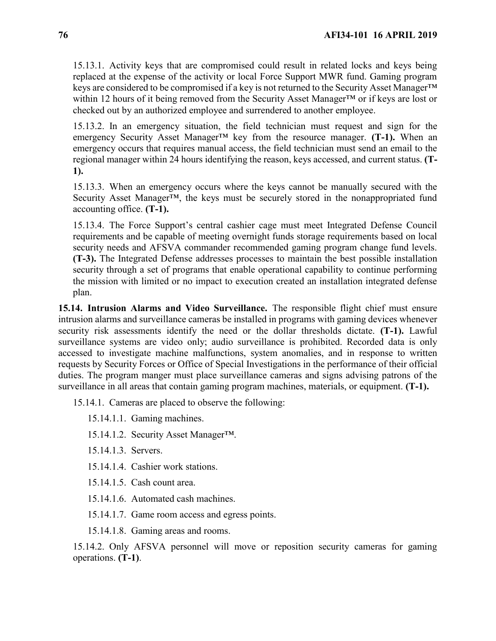15.13.1. Activity keys that are compromised could result in related locks and keys being replaced at the expense of the activity or local Force Support MWR fund. Gaming program keys are considered to be compromised if a key is not returned to the Security Asset Manager<sup>™</sup> within 12 hours of it being removed from the Security Asset Manager™ or if keys are lost or checked out by an authorized employee and surrendered to another employee.

15.13.2. In an emergency situation, the field technician must request and sign for the emergency Security Asset Manager™ key from the resource manager. **(T-1).** When an emergency occurs that requires manual access, the field technician must send an email to the regional manager within 24 hours identifying the reason, keys accessed, and current status. **(T-1).**

15.13.3. When an emergency occurs where the keys cannot be manually secured with the Security Asset Manager<sup>™</sup>, the keys must be securely stored in the nonappropriated fund accounting office. **(T-1).**

15.13.4. The Force Support's central cashier cage must meet Integrated Defense Council requirements and be capable of meeting overnight funds storage requirements based on local security needs and AFSVA commander recommended gaming program change fund levels. **(T-3).** The Integrated Defense addresses processes to maintain the best possible installation security through a set of programs that enable operational capability to continue performing the mission with limited or no impact to execution created an installation integrated defense plan.

**15.14. Intrusion Alarms and Video Surveillance.** The responsible flight chief must ensure intrusion alarms and surveillance cameras be installed in programs with gaming devices whenever security risk assessments identify the need or the dollar thresholds dictate. **(T-1).** Lawful surveillance systems are video only; audio surveillance is prohibited. Recorded data is only accessed to investigate machine malfunctions, system anomalies, and in response to written requests by Security Forces or Office of Special Investigations in the performance of their official duties. The program manger must place surveillance cameras and signs advising patrons of the surveillance in all areas that contain gaming program machines, materials, or equipment. **(T-1).** 

15.14.1. Cameras are placed to observe the following:

15.14.1.1. Gaming machines.

15.14.1.2. Security Asset Manager™.

15.14.1.3. Servers.

15.14.1.4. Cashier work stations.

15.14.1.5. Cash count area.

15.14.1.6. Automated cash machines.

15.14.1.7. Game room access and egress points.

15.14.1.8. Gaming areas and rooms.

15.14.2. Only AFSVA personnel will move or reposition security cameras for gaming operations. **(T-1)**.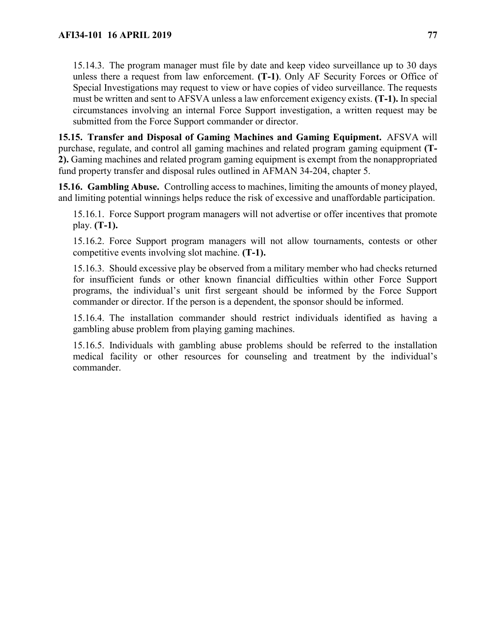15.14.3. The program manager must file by date and keep video surveillance up to 30 days unless there a request from law enforcement. **(T-1)**. Only AF Security Forces or Office of Special Investigations may request to view or have copies of video surveillance. The requests must be written and sent to AFSVA unless a law enforcement exigency exists. **(T-1).** In special circumstances involving an internal Force Support investigation, a written request may be submitted from the Force Support commander or director.

**15.15. Transfer and Disposal of Gaming Machines and Gaming Equipment.** AFSVA will purchase, regulate, and control all gaming machines and related program gaming equipment **(T-2).** Gaming machines and related program gaming equipment is exempt from the nonappropriated fund property transfer and disposal rules outlined in AFMAN 34-204, chapter 5.

**15.16. Gambling Abuse.** Controlling access to machines, limiting the amounts of money played, and limiting potential winnings helps reduce the risk of excessive and unaffordable participation.

15.16.1. Force Support program managers will not advertise or offer incentives that promote play. **(T-1).**

15.16.2. Force Support program managers will not allow tournaments, contests or other competitive events involving slot machine. **(T-1).**

15.16.3. Should excessive play be observed from a military member who had checks returned for insufficient funds or other known financial difficulties within other Force Support programs, the individual's unit first sergeant should be informed by the Force Support commander or director. If the person is a dependent, the sponsor should be informed.

15.16.4. The installation commander should restrict individuals identified as having a gambling abuse problem from playing gaming machines.

15.16.5. Individuals with gambling abuse problems should be referred to the installation medical facility or other resources for counseling and treatment by the individual's commander.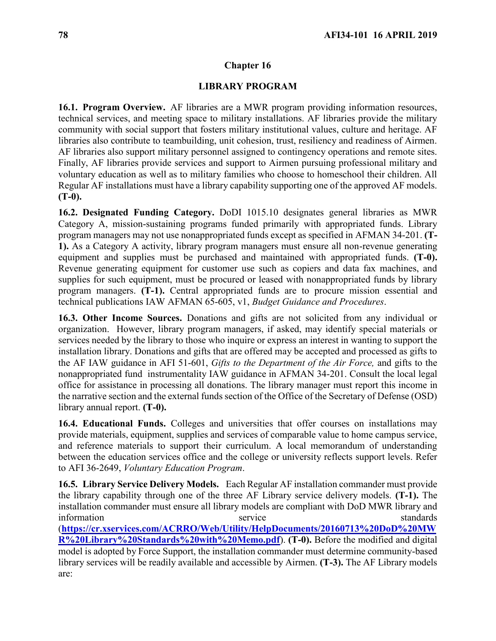## **LIBRARY PROGRAM**

**16.1. Program Overview.** AF libraries are a MWR program providing information resources, technical services, and meeting space to military installations. AF libraries provide the military community with social support that fosters military institutional values, culture and heritage. AF libraries also contribute to teambuilding, unit cohesion, trust, resiliency and readiness of Airmen. AF libraries also support military personnel assigned to contingency operations and remote sites. Finally, AF libraries provide services and support to Airmen pursuing professional military and voluntary education as well as to military families who choose to homeschool their children. All Regular AF installations must have a library capability supporting one of the approved AF models. **(T-0).**

**16.2. Designated Funding Category.** DoDI 1015.10 designates general libraries as MWR Category A, mission-sustaining programs funded primarily with appropriated funds. Library program managers may not use nonappropriated funds except as specified in AFMAN 34-201. **(T-1).** As a Category A activity, library program managers must ensure all non-revenue generating equipment and supplies must be purchased and maintained with appropriated funds. **(T-0).**  Revenue generating equipment for customer use such as copiers and data fax machines, and supplies for such equipment, must be procured or leased with nonappropriated funds by library program managers. **(T-1).** Central appropriated funds are to procure mission essential and technical publications IAW AFMAN 65-605, v1, *Budget Guidance and Procedures*.

**16.3. Other Income Sources.** Donations and gifts are not solicited from any individual or organization. However, library program managers, if asked, may identify special materials or services needed by the library to those who inquire or express an interest in wanting to support the installation library. Donations and gifts that are offered may be accepted and processed as gifts to the AF IAW guidance in AFI 51-601, *Gifts to the Department of the Air Force,* and gifts to the nonappropriated fund instrumentality IAW guidance in AFMAN 34-201. Consult the local legal office for assistance in processing all donations. The library manager must report this income in the narrative section and the external funds section of the Office of the Secretary of Defense (OSD) library annual report. **(T-0).**

**16.4. Educational Funds.** Colleges and universities that offer courses on installations may provide materials, equipment, supplies and services of comparable value to home campus service, and reference materials to support their curriculum. A local memorandum of understanding between the education services office and the college or university reflects support levels. Refer to AFI 36-2649, *Voluntary Education Program*.

**16.5. Library Service Delivery Models.** Each Regular AF installation commander must provide the library capability through one of the three AF Library service delivery models. **(T-1).** The installation commander must ensure all library models are compliant with DoD MWR library and information service standards standards (**[https://cr.xservices.com/ACRRO/Web/Utility/HelpDocuments/20160713%20DoD%20MW](https://cr.xservices.com/ACRRO/Web/Utility/HelpDocuments/20160713%20DoD%20MWR%20Library%20Standards%20with%20Memo.pdf) [R%20Library%20Standards%20with%20Memo.pdf](https://cr.xservices.com/ACRRO/Web/Utility/HelpDocuments/20160713%20DoD%20MWR%20Library%20Standards%20with%20Memo.pdf)**). **(T-0).** Before the modified and digital model is adopted by Force Support, the installation commander must determine community-based library services will be readily available and accessible by Airmen. **(T-3).** The AF Library models are: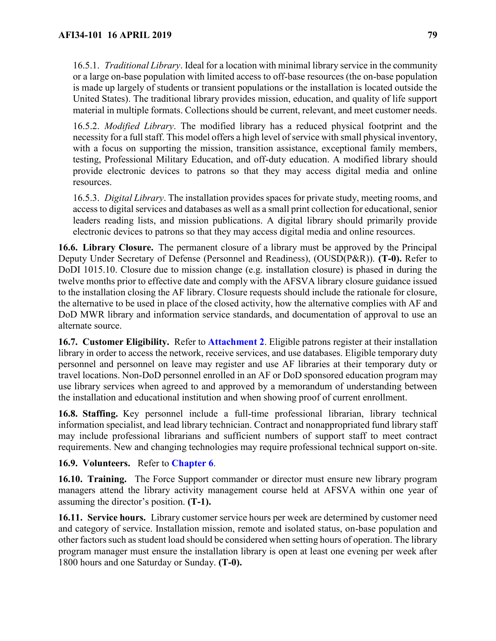16.5.1. *Traditional Library*. Ideal for a location with minimal library service in the community or a large on-base population with limited access to off-base resources (the on-base population is made up largely of students or transient populations or the installation is located outside the United States). The traditional library provides mission, education, and quality of life support material in multiple formats. Collections should be current, relevant, and meet customer needs.

16.5.2. *Modified Library*. The modified library has a reduced physical footprint and the necessity for a full staff. This model offers a high level of service with small physical inventory, with a focus on supporting the mission, transition assistance, exceptional family members, testing, Professional Military Education, and off-duty education. A modified library should provide electronic devices to patrons so that they may access digital media and online resources.

16.5.3. *Digital Library*. The installation provides spaces for private study, meeting rooms, and access to digital services and databases as well as a small print collection for educational, senior leaders reading lists, and mission publications. A digital library should primarily provide electronic devices to patrons so that they may access digital media and online resources.

**16.6. Library Closure.** The permanent closure of a library must be approved by the Principal Deputy Under Secretary of Defense (Personnel and Readiness), (OUSD(P&R)). **(T-0).** Refer to DoDI 1015.10. Closure due to mission change (e.g. installation closure) is phased in during the twelve months prior to effective date and comply with the AFSVA library closure guidance issued to the installation closing the AF library. Closure requests should include the rationale for closure, the alternative to be used in place of the closed activity, how the alternative complies with AF and DoD MWR library and information service standards, and documentation of approval to use an alternate source.

**16.7. Customer Eligibility.** Refer to **[Attachment 2](#page-118-0)**. Eligible patrons register at their installation library in order to access the network, receive services, and use databases. Eligible temporary duty personnel and personnel on leave may register and use AF libraries at their temporary duty or travel locations. Non-DoD personnel enrolled in an AF or DoD sponsored education program may use library services when agreed to and approved by a memorandum of understanding between the installation and educational institution and when showing proof of current enrollment.

**16.8. Staffing.** Key personnel include a full-time professional librarian, library technical information specialist, and lead library technician. Contract and nonappropriated fund library staff may include professional librarians and sufficient numbers of support staff to meet contract requirements. New and changing technologies may require professional technical support on-site.

# **16.9. Volunteers.** Refer to **[Chapter 6](#page-29-0)**.

**16.10. Training.** The Force Support commander or director must ensure new library program managers attend the library activity management course held at AFSVA within one year of assuming the director's position. **(T-1).**

**16.11. Service hours.** Library customer service hours per week are determined by customer need and category of service. Installation mission, remote and isolated status, on-base population and other factors such as student load should be considered when setting hours of operation. The library program manager must ensure the installation library is open at least one evening per week after 1800 hours and one Saturday or Sunday. **(T-0).**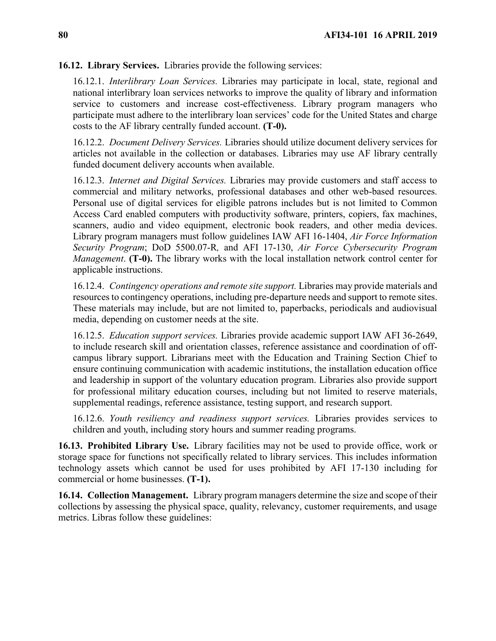**16.12. Library Services.** Libraries provide the following services:

16.12.1. *Interlibrary Loan Services.* Libraries may participate in local, state, regional and national interlibrary loan services networks to improve the quality of library and information service to customers and increase cost-effectiveness. Library program managers who participate must adhere to the interlibrary loan services' code for the United States and charge costs to the AF library centrally funded account. **(T-0).** 

16.12.2. *Document Delivery Services.* Libraries should utilize document delivery services for articles not available in the collection or databases. Libraries may use AF library centrally funded document delivery accounts when available.

16.12.3. *Internet and Digital Services.* Libraries may provide customers and staff access to commercial and military networks, professional databases and other web-based resources. Personal use of digital services for eligible patrons includes but is not limited to Common Access Card enabled computers with productivity software, printers, copiers, fax machines, scanners, audio and video equipment, electronic book readers, and other media devices. Library program managers must follow guidelines IAW AFI 16-1404, *Air Force Information Security Program*; DoD 5500.07-R*,* and AFI 17-130, *Air Force Cybersecurity Program Management*. **(T-0).** The library works with the local installation network control center for applicable instructions.

16.12.4. *Contingency operations and remote site support.* Libraries may provide materials and resources to contingency operations, including pre-departure needs and support to remote sites. These materials may include, but are not limited to, paperbacks, periodicals and audiovisual media, depending on customer needs at the site.

16.12.5. *Education support services.* Libraries provide academic support IAW AFI 36-2649, to include research skill and orientation classes, reference assistance and coordination of offcampus library support. Librarians meet with the Education and Training Section Chief to ensure continuing communication with academic institutions, the installation education office and leadership in support of the voluntary education program. Libraries also provide support for professional military education courses, including but not limited to reserve materials, supplemental readings, reference assistance, testing support, and research support.

16.12.6. *Youth resiliency and readiness support services.* Libraries provides services to children and youth, including story hours and summer reading programs.

**16.13. Prohibited Library Use.** Library facilities may not be used to provide office, work or storage space for functions not specifically related to library services. This includes information technology assets which cannot be used for uses prohibited by AFI 17-130 including for commercial or home businesses. **(T-1).**

**16.14. Collection Management.** Library program managers determine the size and scope of their collections by assessing the physical space, quality, relevancy, customer requirements, and usage metrics. Libras follow these guidelines: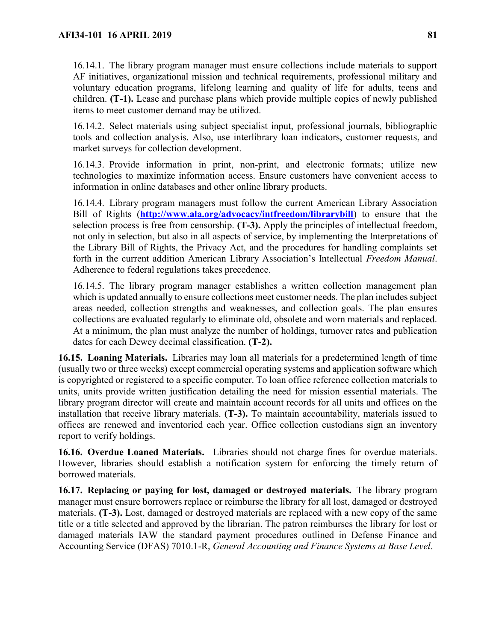16.14.1. The library program manager must ensure collections include materials to support AF initiatives, organizational mission and technical requirements, professional military and voluntary education programs, lifelong learning and quality of life for adults, teens and children. **(T-1).** Lease and purchase plans which provide multiple copies of newly published items to meet customer demand may be utilized.

16.14.2. Select materials using subject specialist input, professional journals, bibliographic tools and collection analysis. Also, use interlibrary loan indicators, customer requests, and market surveys for collection development.

16.14.3. Provide information in print, non-print, and electronic formats; utilize new technologies to maximize information access. Ensure customers have convenient access to information in online databases and other online library products.

16.14.4. Library program managers must follow the current American Library Association Bill of Rights (**<http://www.ala.org/advocacy/intfreedom/librarybill>**) to ensure that the selection process is free from censorship. **(T-3).** Apply the principles of intellectual freedom, not only in selection, but also in all aspects of service, by implementing the Interpretations of the Library Bill of Rights, the Privacy Act, and the procedures for handling complaints set forth in the current addition American Library Association's Intellectual *Freedom Manual*. Adherence to federal regulations takes precedence.

16.14.5. The library program manager establishes a written collection management plan which is updated annually to ensure collections meet customer needs. The plan includes subject areas needed, collection strengths and weaknesses, and collection goals. The plan ensures collections are evaluated regularly to eliminate old, obsolete and worn materials and replaced. At a minimum, the plan must analyze the number of holdings, turnover rates and publication dates for each Dewey decimal classification. **(T-2).**

**16.15. Loaning Materials.** Libraries may loan all materials for a predetermined length of time (usually two or three weeks) except commercial operating systems and application software which is copyrighted or registered to a specific computer. To loan office reference collection materials to units, units provide written justification detailing the need for mission essential materials. The library program director will create and maintain account records for all units and offices on the installation that receive library materials. **(T-3).** To maintain accountability, materials issued to offices are renewed and inventoried each year. Office collection custodians sign an inventory report to verify holdings.

**16.16. Overdue Loaned Materials.** Libraries should not charge fines for overdue materials. However, libraries should establish a notification system for enforcing the timely return of borrowed materials.

**16.17. Replacing or paying for lost, damaged or destroyed materials.** The library program manager must ensure borrowers replace or reimburse the library for all lost, damaged or destroyed materials. **(T-3).** Lost, damaged or destroyed materials are replaced with a new copy of the same title or a title selected and approved by the librarian. The patron reimburses the library for lost or damaged materials IAW the standard payment procedures outlined in Defense Finance and Accounting Service (DFAS) 7010.1-R, *General Accounting and Finance Systems at Base Level*.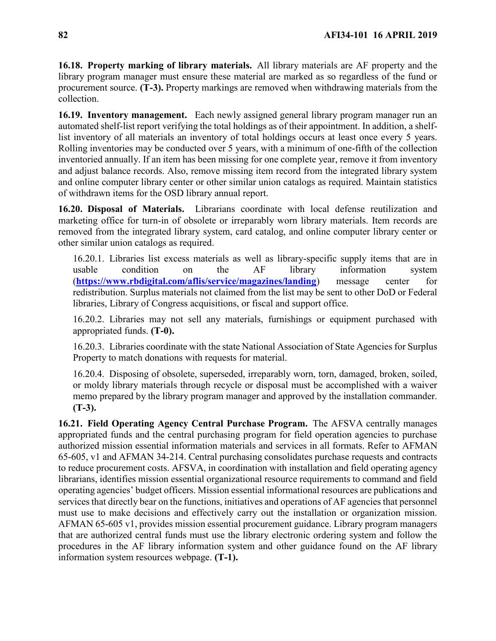**16.18. Property marking of library materials.** All library materials are AF property and the library program manager must ensure these material are marked as so regardless of the fund or procurement source. **(T-3).** Property markings are removed when withdrawing materials from the collection.

**16.19. Inventory management.** Each newly assigned general library program manager run an automated shelf-list report verifying the total holdings as of their appointment. In addition, a shelflist inventory of all materials an inventory of total holdings occurs at least once every 5 years. Rolling inventories may be conducted over 5 years, with a minimum of one-fifth of the collection inventoried annually. If an item has been missing for one complete year, remove it from inventory and adjust balance records. Also, remove missing item record from the integrated library system and online computer library center or other similar union catalogs as required. Maintain statistics of withdrawn items for the OSD library annual report.

**16.20. Disposal of Materials.** Librarians coordinate with local defense reutilization and marketing office for turn-in of obsolete or irreparably worn library materials. Item records are removed from the integrated library system, card catalog, and online computer library center or other similar union catalogs as required.

16.20.1. Libraries list excess materials as well as library-specific supply items that are in usable condition on the AF library information system (**<https://www.rbdigital.com/aflis/service/magazines/landing>**) message center for redistribution. Surplus materials not claimed from the list may be sent to other DoD or Federal libraries, Library of Congress acquisitions, or fiscal and support office.

16.20.2. Libraries may not sell any materials, furnishings or equipment purchased with appropriated funds. **(T-0).**

16.20.3. Libraries coordinate with the state National Association of State Agencies for Surplus Property to match donations with requests for material.

16.20.4. Disposing of obsolete, superseded, irreparably worn, torn, damaged, broken, soiled, or moldy library materials through recycle or disposal must be accomplished with a waiver memo prepared by the library program manager and approved by the installation commander. **(T-3).**

**16.21. Field Operating Agency Central Purchase Program.** The AFSVA centrally manages appropriated funds and the central purchasing program for field operation agencies to purchase authorized mission essential information materials and services in all formats. Refer to AFMAN 65-605, v1 and AFMAN 34-214. Central purchasing consolidates purchase requests and contracts to reduce procurement costs. AFSVA, in coordination with installation and field operating agency librarians, identifies mission essential organizational resource requirements to command and field operating agencies' budget officers. Mission essential informational resources are publications and services that directly bear on the functions, initiatives and operations of AF agencies that personnel must use to make decisions and effectively carry out the installation or organization mission. AFMAN 65-605 v1, provides mission essential procurement guidance. Library program managers that are authorized central funds must use the library electronic ordering system and follow the procedures in the AF library information system and other guidance found on the AF library information system resources webpage. **(T-1).**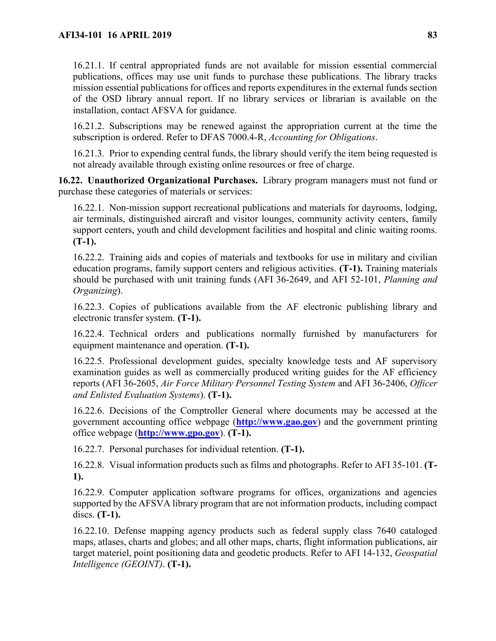16.21.1. If central appropriated funds are not available for mission essential commercial publications, offices may use unit funds to purchase these publications. The library tracks mission essential publications for offices and reports expenditures in the external funds section of the OSD library annual report. If no library services or librarian is available on the installation, contact AFSVA for guidance.

16.21.2. Subscriptions may be renewed against the appropriation current at the time the subscription is ordered. Refer to DFAS 7000.4-R, *Accounting for Obligations*.

16.21.3. Prior to expending central funds, the library should verify the item being requested is not already available through existing online resources or free of charge.

**16.22. Unauthorized Organizational Purchases.** Library program managers must not fund or purchase these categories of materials or services:

16.22.1. Non-mission support recreational publications and materials for dayrooms, lodging, air terminals, distinguished aircraft and visitor lounges, community activity centers, family support centers, youth and child development facilities and hospital and clinic waiting rooms. **(T-1).**

16.22.2. Training aids and copies of materials and textbooks for use in military and civilian education programs, family support centers and religious activities. **(T-1).** Training materials should be purchased with unit training funds (AFI 36-2649, and AFI 52-101, *Planning and Organizing*).

16.22.3. Copies of publications available from the AF electronic publishing library and electronic transfer system. **(T-1).**

16.22.4. Technical orders and publications normally furnished by manufacturers for equipment maintenance and operation. **(T-1).**

16.22.5. Professional development guides, specialty knowledge tests and AF supervisory examination guides as well as commercially produced writing guides for the AF efficiency reports (AFI 36-2605, *Air Force Military Personnel Testing System* and AFI 36-2406, *Officer and Enlisted Evaluation Systems*). **(T-1).**

16.22.6. Decisions of the Comptroller General where documents may be accessed at the government accounting office webpage (**[http://www.gao.gov](http://www.gao.gov/)**) and the government printing office webpage (**[http://www.gpo.gov](http://www.gpo.gov/)**). **(T-1).**

16.22.7. Personal purchases for individual retention. **(T-1).**

16.22.8. Visual information products such as films and photographs. Refer to AFI 35-101. **(T-1).**

16.22.9. Computer application software programs for offices, organizations and agencies supported by the AFSVA library program that are not information products, including compact discs. **(T-1).**

16.22.10. Defense mapping agency products such as federal supply class 7640 cataloged maps, atlases, charts and globes; and all other maps, charts, flight information publications, air target materiel, point positioning data and geodetic products. Refer to AFI 14-132, *Geospatial Intelligence (GEOINT)*. **(T-1).**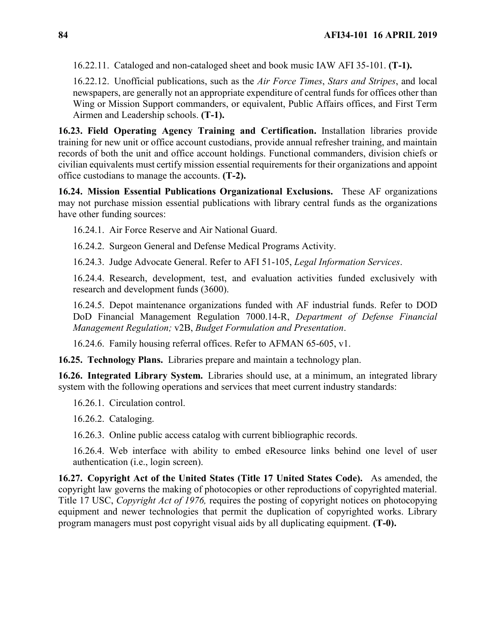16.22.11. Cataloged and non-cataloged sheet and book music IAW AFI 35-101. **(T-1).**

16.22.12. Unofficial publications, such as the *Air Force Times*, *Stars and Stripes*, and local newspapers, are generally not an appropriate expenditure of central funds for offices other than Wing or Mission Support commanders, or equivalent, Public Affairs offices, and First Term Airmen and Leadership schools. **(T-1).**

**16.23. Field Operating Agency Training and Certification.** Installation libraries provide training for new unit or office account custodians, provide annual refresher training, and maintain records of both the unit and office account holdings. Functional commanders, division chiefs or civilian equivalents must certify mission essential requirements for their organizations and appoint office custodians to manage the accounts. **(T-2).**

**16.24. Mission Essential Publications Organizational Exclusions.** These AF organizations may not purchase mission essential publications with library central funds as the organizations have other funding sources:

16.24.1. Air Force Reserve and Air National Guard.

16.24.2. Surgeon General and Defense Medical Programs Activity.

16.24.3. Judge Advocate General. Refer to AFI 51-105, *Legal Information Services*.

16.24.4. Research, development, test, and evaluation activities funded exclusively with research and development funds (3600).

16.24.5. Depot maintenance organizations funded with AF industrial funds. Refer to DOD DoD Financial Management Regulation 7000.14-R, *Department of Defense Financial Management Regulation;* v2B, *Budget Formulation and Presentation*.

16.24.6. Family housing referral offices. Refer to AFMAN 65-605, v1.

**16.25. Technology Plans.** Libraries prepare and maintain a technology plan.

**16.26. Integrated Library System.** Libraries should use, at a minimum, an integrated library system with the following operations and services that meet current industry standards:

16.26.1. Circulation control.

16.26.2. Cataloging.

16.26.3. Online public access catalog with current bibliographic records.

16.26.4. Web interface with ability to embed eResource links behind one level of user authentication (i.e., login screen).

**16.27. Copyright Act of the United States (Title 17 United States Code).** As amended, the copyright law governs the making of photocopies or other reproductions of copyrighted material. Title 17 USC, *Copyright Act of 1976,* requires the posting of copyright notices on photocopying equipment and newer technologies that permit the duplication of copyrighted works. Library program managers must post copyright visual aids by all duplicating equipment. **(T-0).**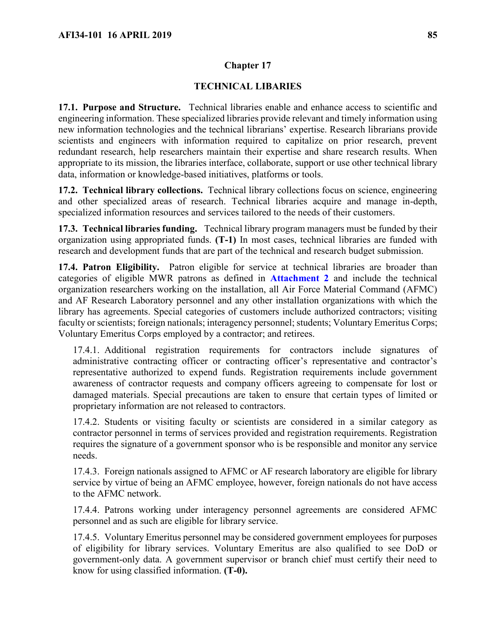## **TECHNICAL LIBARIES**

**17.1. Purpose and Structure.** Technical libraries enable and enhance access to scientific and engineering information. These specialized libraries provide relevant and timely information using new information technologies and the technical librarians' expertise. Research librarians provide scientists and engineers with information required to capitalize on prior research, prevent redundant research, help researchers maintain their expertise and share research results. When appropriate to its mission, the libraries interface, collaborate, support or use other technical library data, information or knowledge-based initiatives, platforms or tools.

**17.2. Technical library collections.** Technical library collections focus on science, engineering and other specialized areas of research. Technical libraries acquire and manage in-depth, specialized information resources and services tailored to the needs of their customers.

**17.3. Technical libraries funding.** Technical library program managers must be funded by their organization using appropriated funds. **(T-1)** In most cases, technical libraries are funded with research and development funds that are part of the technical and research budget submission.

**17.4. Patron Eligibility.** Patron eligible for service at technical libraries are broader than categories of eligible MWR patrons as defined in **[Attachment 2](#page-118-0)** and include the technical organization researchers working on the installation, all Air Force Material Command (AFMC) and AF Research Laboratory personnel and any other installation organizations with which the library has agreements. Special categories of customers include authorized contractors; visiting faculty or scientists; foreign nationals; interagency personnel; students; Voluntary Emeritus Corps; Voluntary Emeritus Corps employed by a contractor; and retirees.

17.4.1. Additional registration requirements for contractors include signatures of administrative contracting officer or contracting officer's representative and contractor's representative authorized to expend funds. Registration requirements include government awareness of contractor requests and company officers agreeing to compensate for lost or damaged materials. Special precautions are taken to ensure that certain types of limited or proprietary information are not released to contractors.

17.4.2. Students or visiting faculty or scientists are considered in a similar category as contractor personnel in terms of services provided and registration requirements. Registration requires the signature of a government sponsor who is be responsible and monitor any service needs.

17.4.3. Foreign nationals assigned to AFMC or AF research laboratory are eligible for library service by virtue of being an AFMC employee, however, foreign nationals do not have access to the AFMC network.

17.4.4. Patrons working under interagency personnel agreements are considered AFMC personnel and as such are eligible for library service.

17.4.5. Voluntary Emeritus personnel may be considered government employees for purposes of eligibility for library services. Voluntary Emeritus are also qualified to see DoD or government-only data. A government supervisor or branch chief must certify their need to know for using classified information. **(T-0).**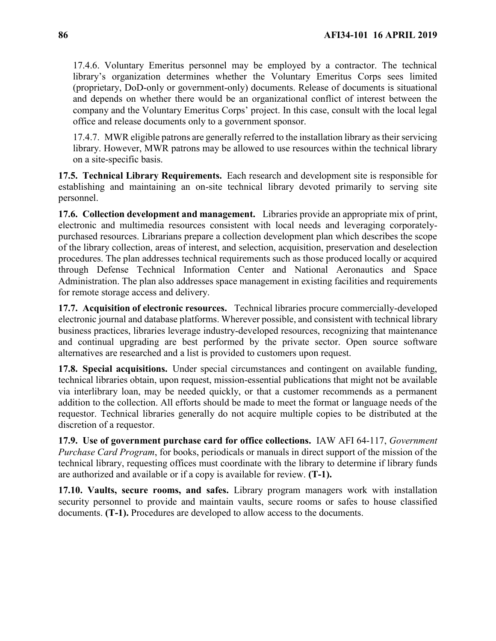17.4.6. Voluntary Emeritus personnel may be employed by a contractor. The technical library's organization determines whether the Voluntary Emeritus Corps sees limited (proprietary, DoD-only or government-only) documents. Release of documents is situational and depends on whether there would be an organizational conflict of interest between the company and the Voluntary Emeritus Corps' project. In this case, consult with the local legal office and release documents only to a government sponsor.

17.4.7. MWR eligible patrons are generally referred to the installation library as their servicing library. However, MWR patrons may be allowed to use resources within the technical library on a site-specific basis.

**17.5. Technical Library Requirements.** Each research and development site is responsible for establishing and maintaining an on-site technical library devoted primarily to serving site personnel.

**17.6. Collection development and management.** Libraries provide an appropriate mix of print, electronic and multimedia resources consistent with local needs and leveraging corporatelypurchased resources. Librarians prepare a collection development plan which describes the scope of the library collection, areas of interest, and selection, acquisition, preservation and deselection procedures. The plan addresses technical requirements such as those produced locally or acquired through Defense Technical Information Center and National Aeronautics and Space Administration. The plan also addresses space management in existing facilities and requirements for remote storage access and delivery.

**17.7. Acquisition of electronic resources.** Technical libraries procure commercially-developed electronic journal and database platforms. Wherever possible, and consistent with technical library business practices, libraries leverage industry-developed resources, recognizing that maintenance and continual upgrading are best performed by the private sector. Open source software alternatives are researched and a list is provided to customers upon request.

**17.8. Special acquisitions.** Under special circumstances and contingent on available funding, technical libraries obtain, upon request, mission-essential publications that might not be available via interlibrary loan, may be needed quickly, or that a customer recommends as a permanent addition to the collection. All efforts should be made to meet the format or language needs of the requestor. Technical libraries generally do not acquire multiple copies to be distributed at the discretion of a requestor.

**17.9. Use of government purchase card for office collections.** IAW AFI 64-117, *Government Purchase Card Program*, for books, periodicals or manuals in direct support of the mission of the technical library, requesting offices must coordinate with the library to determine if library funds are authorized and available or if a copy is available for review. **(T-1).**

**17.10. Vaults, secure rooms, and safes.** Library program managers work with installation security personnel to provide and maintain vaults, secure rooms or safes to house classified documents. **(T-1).** Procedures are developed to allow access to the documents.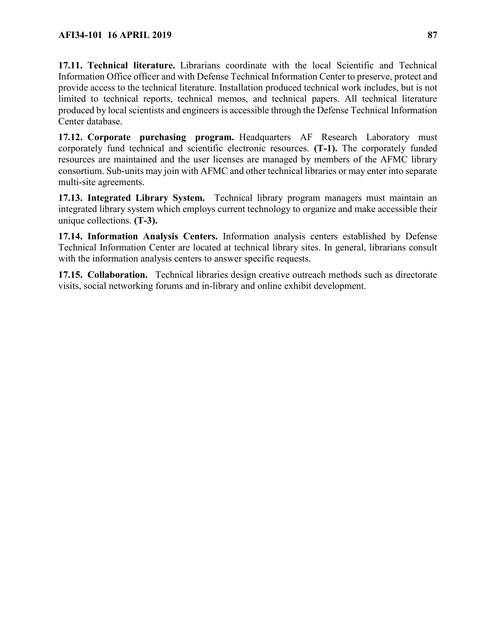**17.11. Technical literature.** Librarians coordinate with the local Scientific and Technical Information Office officer and with Defense Technical Information Center to preserve, protect and provide access to the technical literature. Installation produced technical work includes, but is not limited to technical reports, technical memos, and technical papers. All technical literature produced by local scientists and engineers is accessible through the Defense Technical Information Center database.

**17.12. Corporate purchasing program.** Headquarters AF Research Laboratory must corporately fund technical and scientific electronic resources. **(T-1).** The corporately funded resources are maintained and the user licenses are managed by members of the AFMC library consortium. Sub-units may join with AFMC and other technical libraries or may enter into separate multi-site agreements.

**17.13. Integrated Library System.** Technical library program managers must maintain an integrated library system which employs current technology to organize and make accessible their unique collections. **(T-3).**

**17.14. Information Analysis Centers.** Information analysis centers established by Defense Technical Information Center are located at technical library sites. In general, librarians consult with the information analysis centers to answer specific requests.

**17.15. Collaboration.** Technical libraries design creative outreach methods such as directorate visits, social networking forums and in-library and online exhibit development.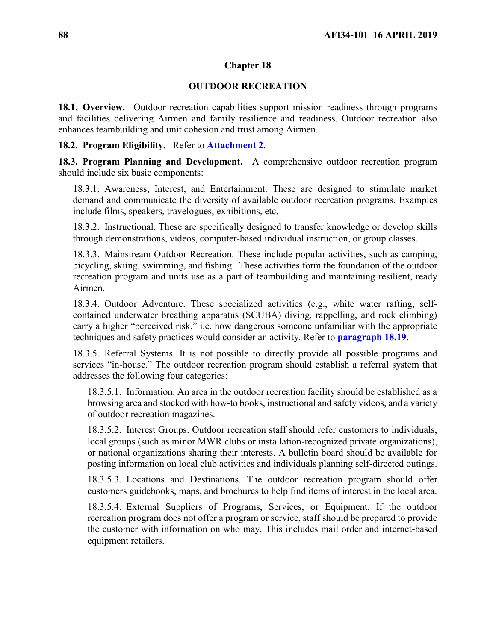## **OUTDOOR RECREATION**

**18.1. Overview.** Outdoor recreation capabilities support mission readiness through programs and facilities delivering Airmen and family resilience and readiness. Outdoor recreation also enhances teambuilding and unit cohesion and trust among Airmen.

### **18.2. Program Eligibility.** Refer to **[Attachment 2](#page-118-0)**.

**18.3. Program Planning and Development.** A comprehensive outdoor recreation program should include six basic components:

18.3.1. Awareness, Interest, and Entertainment. These are designed to stimulate market demand and communicate the diversity of available outdoor recreation programs. Examples include films, speakers, travelogues, exhibitions, etc.

18.3.2. Instructional. These are specifically designed to transfer knowledge or develop skills through demonstrations, videos, computer-based individual instruction, or group classes.

18.3.3. Mainstream Outdoor Recreation. These include popular activities, such as camping, bicycling, skiing, swimming, and fishing. These activities form the foundation of the outdoor recreation program and units use as a part of teambuilding and maintaining resilient, ready Airmen.

18.3.4. Outdoor Adventure. These specialized activities (e.g., white water rafting, selfcontained underwater breathing apparatus (SCUBA) diving, rappelling, and rock climbing) carry a higher "perceived risk," i.e. how dangerous someone unfamiliar with the appropriate techniques and safety practices would consider an activity. Refer to **[paragraph 18.19](#page-90-0)**.

18.3.5. Referral Systems. It is not possible to directly provide all possible programs and services "in-house." The outdoor recreation program should establish a referral system that addresses the following four categories:

18.3.5.1. Information. An area in the outdoor recreation facility should be established as a browsing area and stocked with how-to books, instructional and safety videos, and a variety of outdoor recreation magazines.

18.3.5.2. Interest Groups. Outdoor recreation staff should refer customers to individuals, local groups (such as minor MWR clubs or installation-recognized private organizations), or national organizations sharing their interests. A bulletin board should be available for posting information on local club activities and individuals planning self-directed outings.

18.3.5.3. Locations and Destinations. The outdoor recreation program should offer customers guidebooks, maps, and brochures to help find items of interest in the local area.

18.3.5.4. External Suppliers of Programs, Services, or Equipment. If the outdoor recreation program does not offer a program or service, staff should be prepared to provide the customer with information on who may. This includes mail order and internet-based equipment retailers.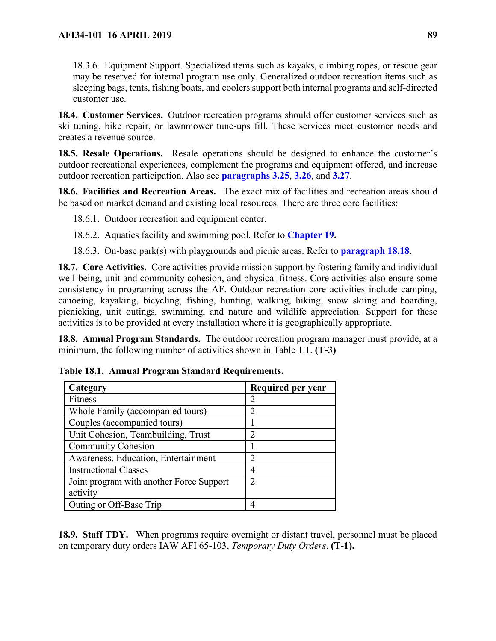18.3.6. Equipment Support. Specialized items such as kayaks, climbing ropes, or rescue gear may be reserved for internal program use only. Generalized outdoor recreation items such as sleeping bags, tents, fishing boats, and coolers support both internal programs and self-directed customer use.

**18.4. Customer Services.** Outdoor recreation programs should offer customer services such as ski tuning, bike repair, or lawnmower tune-ups fill. These services meet customer needs and creates a revenue source.

**18.5. Resale Operations.** Resale operations should be designed to enhance the customer's outdoor recreational experiences, complement the programs and equipment offered, and increase outdoor recreation participation. Also see **paragraphs [3.25](#page-21-0)**, **[3.26](#page-21-1)**, and **[3.27](#page-22-0)**.

**18.6. Facilities and Recreation Areas.** The exact mix of facilities and recreation areas should be based on market demand and existing local resources. There are three core facilities:

18.6.1. Outdoor recreation and equipment center.

18.6.2. Aquatics facility and swimming pool. Refer to **[Chapter 19.](#page-99-0)**

18.6.3. On-base park(s) with playgrounds and picnic areas. Refer to **[paragraph 18.18](#page-90-1)**.

**18.7. Core Activities.** Core activities provide mission support by fostering family and individual well-being, unit and community cohesion, and physical fitness. Core activities also ensure some consistency in programing across the AF. Outdoor recreation core activities include camping, canoeing, kayaking, bicycling, fishing, hunting, walking, hiking, snow skiing and boarding, picnicking, unit outings, swimming, and nature and wildlife appreciation. Support for these activities is to be provided at every installation where it is geographically appropriate.

**18.8. Annual Program Standards.** The outdoor recreation program manager must provide, at a minimum, the following number of activities shown in Table 1.1. **(T-3)**

| Category                                 | Required per year             |
|------------------------------------------|-------------------------------|
| Fitness                                  |                               |
| Whole Family (accompanied tours)         | ာ                             |
| Couples (accompanied tours)              |                               |
| Unit Cohesion, Teambuilding, Trust       | っ                             |
| <b>Community Cohesion</b>                |                               |
| Awareness, Education, Entertainment      | $\mathfrak{D}_{\mathfrak{p}}$ |
| <b>Instructional Classes</b>             |                               |
| Joint program with another Force Support | っ                             |
| activity                                 |                               |
| Outing or Off-Base Trip                  |                               |

|  |  |  |  | Table 18.1. Annual Program Standard Requirements. |
|--|--|--|--|---------------------------------------------------|
|--|--|--|--|---------------------------------------------------|

**18.9. Staff TDY.** When programs require overnight or distant travel, personnel must be placed on temporary duty orders IAW AFI 65-103, *Temporary Duty Orders*. **(T-1).**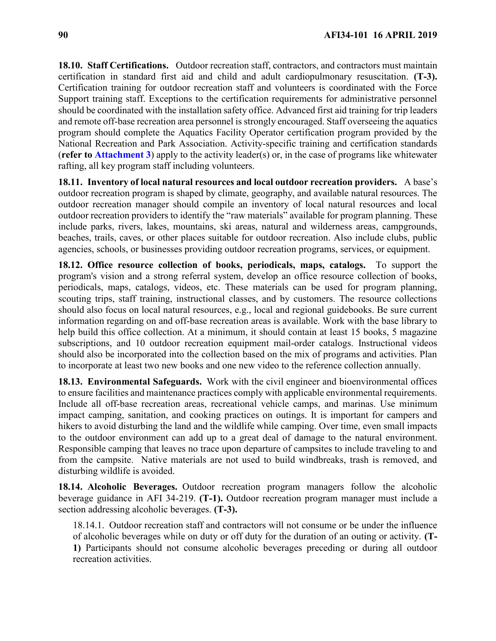**18.10. Staff Certifications.** Outdoor recreation staff, contractors, and contractors must maintain certification in standard first aid and child and adult cardiopulmonary resuscitation. **(T-3).**  Certification training for outdoor recreation staff and volunteers is coordinated with the Force Support training staff. Exceptions to the certification requirements for administrative personnel should be coordinated with the installation safety office. Advanced first aid training for trip leaders and remote off-base recreation area personnel is strongly encouraged. Staff overseeing the aquatics program should complete the Aquatics Facility Operator certification program provided by the National Recreation and Park Association. Activity-specific training and certification standards (**refer to [Attachment](#page-125-0) 3**) apply to the activity leader(s) or, in the case of programs like whitewater rafting, all key program staff including volunteers.

**18.11. Inventory of local natural resources and local outdoor recreation providers.** A base's outdoor recreation program is shaped by climate, geography, and available natural resources. The outdoor recreation manager should compile an inventory of local natural resources and local outdoor recreation providers to identify the "raw materials" available for program planning. These include parks, rivers, lakes, mountains, ski areas, natural and wilderness areas, campgrounds, beaches, trails, caves, or other places suitable for outdoor recreation. Also include clubs, public agencies, schools, or businesses providing outdoor recreation programs, services, or equipment.

**18.12. Office resource collection of books, periodicals, maps, catalogs.** To support the program's vision and a strong referral system, develop an office resource collection of books, periodicals, maps, catalogs, videos, etc. These materials can be used for program planning, scouting trips, staff training, instructional classes, and by customers. The resource collections should also focus on local natural resources, e.g., local and regional guidebooks. Be sure current information regarding on and off-base recreation areas is available. Work with the base library to help build this office collection. At a minimum, it should contain at least 15 books, 5 magazine subscriptions, and 10 outdoor recreation equipment mail-order catalogs. Instructional videos should also be incorporated into the collection based on the mix of programs and activities. Plan to incorporate at least two new books and one new video to the reference collection annually.

**18.13. Environmental Safeguards.** Work with the civil engineer and bioenvironmental offices to ensure facilities and maintenance practices comply with applicable environmental requirements. Include all off-base recreation areas, recreational vehicle camps, and marinas. Use minimum impact camping, sanitation, and cooking practices on outings. It is important for campers and hikers to avoid disturbing the land and the wildlife while camping. Over time, even small impacts to the outdoor environment can add up to a great deal of damage to the natural environment. Responsible camping that leaves no trace upon departure of campsites to include traveling to and from the campsite. Native materials are not used to build windbreaks, trash is removed, and disturbing wildlife is avoided.

**18.14. Alcoholic Beverages.** Outdoor recreation program managers follow the alcoholic beverage guidance in AFI 34-219. **(T-1).** Outdoor recreation program manager must include a section addressing alcoholic beverages. **(T-3).**

18.14.1. Outdoor recreation staff and contractors will not consume or be under the influence of alcoholic beverages while on duty or off duty for the duration of an outing or activity. **(T-1)** Participants should not consume alcoholic beverages preceding or during all outdoor recreation activities.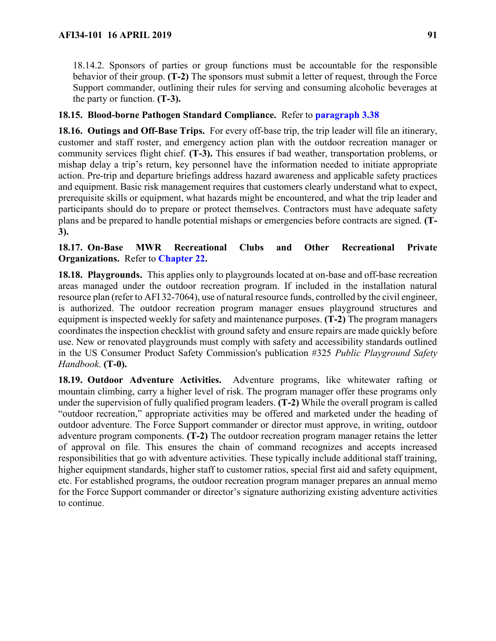18.14.2. Sponsors of parties or group functions must be accountable for the responsible behavior of their group. **(T-2)** The sponsors must submit a letter of request, through the Force Support commander, outlining their rules for serving and consuming alcoholic beverages at the party or function. **(T-3).**

# **18.15. Blood-borne Pathogen Standard Compliance.** Refer to **[paragraph 3.38](#page-25-0)**

**18.16. Outings and Off-Base Trips.** For every off-base trip, the trip leader will file an itinerary, customer and staff roster, and emergency action plan with the outdoor recreation manager or community services flight chief. **(T-3).** This ensures if bad weather, transportation problems, or mishap delay a trip's return, key personnel have the information needed to initiate appropriate action. Pre-trip and departure briefings address hazard awareness and applicable safety practices and equipment. Basic risk management requires that customers clearly understand what to expect, prerequisite skills or equipment, what hazards might be encountered, and what the trip leader and participants should do to prepare or protect themselves. Contractors must have adequate safety plans and be prepared to handle potential mishaps or emergencies before contracts are signed. **(T-3).**

# **18.17. On-Base MWR Recreational Clubs and Other Recreational Private Organizations.** Refer to **[Chapter 22.](#page-107-0)**

<span id="page-90-1"></span>**18.18. Playgrounds.** This applies only to playgrounds located at on-base and off-base recreation areas managed under the outdoor recreation program. If included in the installation natural resource plan (refer to AFI 32-7064), use of natural resource funds, controlled by the civil engineer, is authorized. The outdoor recreation program manager ensues playground structures and equipment is inspected weekly for safety and maintenance purposes. **(T-2)** The program managers coordinates the inspection checklist with ground safety and ensure repairs are made quickly before use. New or renovated playgrounds must comply with safety and accessibility standards outlined in the US Consumer Product Safety Commission's publication #325 *Public Playground Safety Handbook*. **(T-0).**

<span id="page-90-0"></span>**18.19. Outdoor Adventure Activities.** Adventure programs, like whitewater rafting or mountain climbing, carry a higher level of risk. The program manager offer these programs only under the supervision of fully qualified program leaders. **(T-2)** While the overall program is called "outdoor recreation," appropriate activities may be offered and marketed under the heading of outdoor adventure. The Force Support commander or director must approve, in writing, outdoor adventure program components. **(T-2)** The outdoor recreation program manager retains the letter of approval on file. This ensures the chain of command recognizes and accepts increased responsibilities that go with adventure activities. These typically include additional staff training, higher equipment standards, higher staff to customer ratios, special first aid and safety equipment, etc. For established programs, the outdoor recreation program manager prepares an annual memo for the Force Support commander or director's signature authorizing existing adventure activities to continue.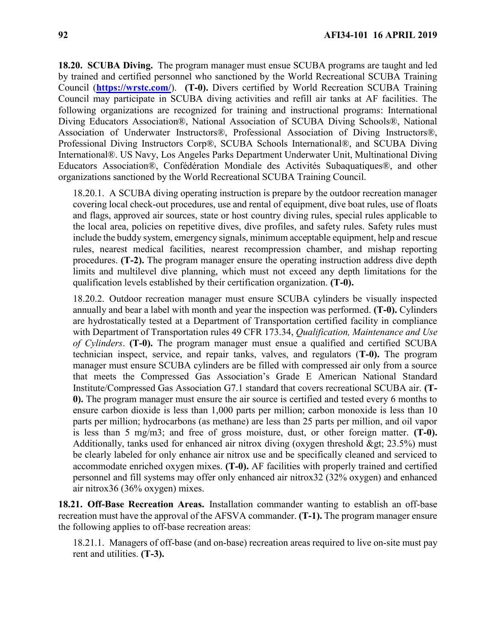**18.20. SCUBA Diving.** The program manager must ensue SCUBA programs are taught and led by trained and certified personnel who sanctioned by the World Recreational SCUBA Training Council (**<https://wrstc.com/>**). **(T-0).** Divers certified by World Recreation SCUBA Training Council may participate in SCUBA diving activities and refill air tanks at AF facilities. The following organizations are recognized for training and instructional programs: International Diving Educators Association®, National Association of SCUBA Diving Schools®, National Association of Underwater Instructors®, Professional Association of Diving Instructors®, Professional Diving Instructors Corp®, SCUBA Schools International®, and SCUBA Diving International®. US Navy, Los Angeles Parks Department Underwater Unit, Multinational Diving Educators Association®, Confédération Mondiale des Activités Subaquatiques®, and other organizations sanctioned by the World Recreational SCUBA Training Council.

18.20.1. A SCUBA diving operating instruction is prepare by the outdoor recreation manager covering local check-out procedures, use and rental of equipment, dive boat rules, use of floats and flags, approved air sources, state or host country diving rules, special rules applicable to the local area, policies on repetitive dives, dive profiles, and safety rules. Safety rules must include the buddy system, emergency signals, minimum acceptable equipment, help and rescue rules, nearest medical facilities, nearest recompression chamber, and mishap reporting procedures. **(T-2).** The program manager ensure the operating instruction address dive depth limits and multilevel dive planning, which must not exceed any depth limitations for the qualification levels established by their certification organization. **(T-0).** 

18.20.2. Outdoor recreation manager must ensure SCUBA cylinders be visually inspected annually and bear a label with month and year the inspection was performed. **(T-0).** Cylinders are hydrostatically tested at a Department of Transportation certified facility in compliance with Department of Transportation rules 49 CFR 173.34, *Qualification, Maintenance and Use of Cylinders*. **(T-0).** The program manager must ensue a qualified and certified SCUBA technician inspect, service, and repair tanks, valves, and regulators (**T-0).** The program manager must ensure SCUBA cylinders are be filled with compressed air only from a source that meets the Compressed Gas Association's Grade E American National Standard Institute/Compressed Gas Association G7.1 standard that covers recreational SCUBA air. **(T-0).** The program manager must ensure the air source is certified and tested every 6 months to ensure carbon dioxide is less than 1,000 parts per million; carbon monoxide is less than 10 parts per million; hydrocarbons (as methane) are less than 25 parts per million, and oil vapor is less than 5 mg/m3; and free of gross moisture, dust, or other foreign matter. **(T-0).** Additionally, tanks used for enhanced air nitrox diving (oxygen threshold  $>$ gt; 23.5%) must be clearly labeled for only enhance air nitrox use and be specifically cleaned and serviced to accommodate enriched oxygen mixes. **(T-0).** AF facilities with properly trained and certified personnel and fill systems may offer only enhanced air nitrox32 (32% oxygen) and enhanced air nitrox36 (36% oxygen) mixes.

**18.21. Off-Base Recreation Areas.** Installation commander wanting to establish an off-base recreation must have the approval of the AFSVA commander. **(T-1).** The program manager ensure the following applies to off-base recreation areas:

18.21.1. Managers of off-base (and on-base) recreation areas required to live on-site must pay rent and utilities. **(T-3).**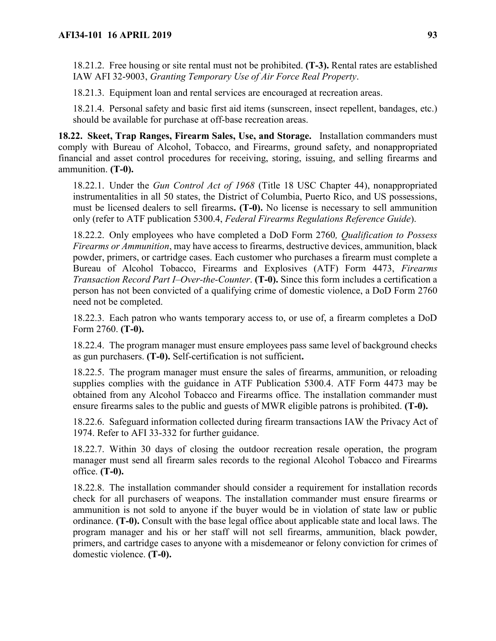18.21.2. Free housing or site rental must not be prohibited. **(T-3).** Rental rates are established IAW AFI 32-9003, *Granting Temporary Use of Air Force Real Property*.

18.21.3. Equipment loan and rental services are encouraged at recreation areas.

18.21.4. Personal safety and basic first aid items (sunscreen, insect repellent, bandages, etc.) should be available for purchase at off-base recreation areas.

<span id="page-92-0"></span>**18.22. Skeet, Trap Ranges, Firearm Sales, Use, and Storage.** Installation commanders must comply with Bureau of Alcohol, Tobacco, and Firearms, ground safety, and nonappropriated financial and asset control procedures for receiving, storing, issuing, and selling firearms and ammunition. **(T-0).**

18.22.1. Under the *Gun Control Act of 1968* (Title 18 USC Chapter 44), nonappropriated instrumentalities in all 50 states, the District of Columbia, Puerto Rico, and US possessions, must be licensed dealers to sell firearms**. (T-0).** No license is necessary to sell ammunition only (refer to ATF publication 5300.4, *Federal Firearms Regulations Reference Guide*).

18.22.2. Only employees who have completed a DoD Form 2760*, Qualification to Possess Firearms or Ammunition*, may have access to firearms, destructive devices, ammunition, black powder, primers, or cartridge cases. Each customer who purchases a firearm must complete a Bureau of Alcohol Tobacco, Firearms and Explosives (ATF) Form 4473, *Firearms Transaction Record Part I–Over-the-Counter*. **(T-0).** Since this form includes a certification a person has not been convicted of a qualifying crime of domestic violence, a DoD Form 2760 need not be completed.

18.22.3. Each patron who wants temporary access to, or use of, a firearm completes a DoD Form 2760. **(T-0).** 

18.22.4. The program manager must ensure employees pass same level of background checks as gun purchasers. **(T-0).** Self-certification is not sufficient**.**

18.22.5. The program manager must ensure the sales of firearms, ammunition, or reloading supplies complies with the guidance in ATF Publication 5300.4. ATF Form 4473 may be obtained from any Alcohol Tobacco and Firearms office. The installation commander must ensure firearms sales to the public and guests of MWR eligible patrons is prohibited. **(T-0).**

18.22.6. Safeguard information collected during firearm transactions IAW the Privacy Act of 1974. Refer to AFI 33-332 for further guidance.

18.22.7. Within 30 days of closing the outdoor recreation resale operation, the program manager must send all firearm sales records to the regional Alcohol Tobacco and Firearms office. **(T-0).**

18.22.8. The installation commander should consider a requirement for installation records check for all purchasers of weapons. The installation commander must ensure firearms or ammunition is not sold to anyone if the buyer would be in violation of state law or public ordinance. **(T-0).** Consult with the base legal office about applicable state and local laws. The program manager and his or her staff will not sell firearms, ammunition, black powder, primers, and cartridge cases to anyone with a misdemeanor or felony conviction for crimes of domestic violence. **(T-0).**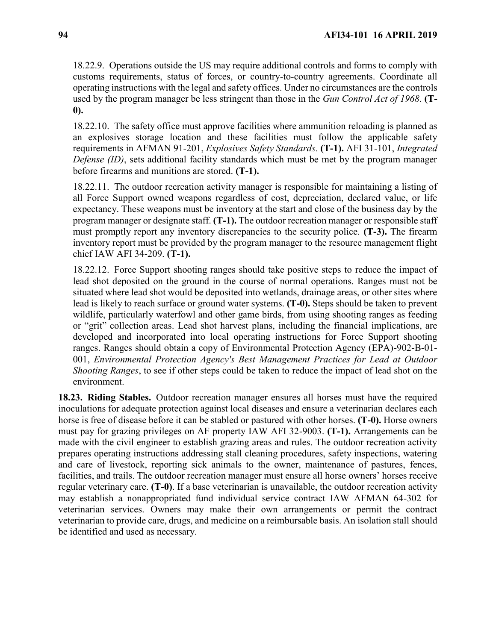18.22.9. Operations outside the US may require additional controls and forms to comply with customs requirements, status of forces, or country-to-country agreements. Coordinate all operating instructions with the legal and safety offices. Under no circumstances are the controls used by the program manager be less stringent than those in the *Gun Control Act of 1968*. **(T-0).**

18.22.10. The safety office must approve facilities where ammunition reloading is planned as an explosives storage location and these facilities must follow the applicable safety requirements in AFMAN 91-201, *Explosives Safety Standards*. **(T-1).** AFI 31-101, *Integrated Defense (ID)*, sets additional facility standards which must be met by the program manager before firearms and munitions are stored. **(T-1).**

18.22.11. The outdoor recreation activity manager is responsible for maintaining a listing of all Force Support owned weapons regardless of cost, depreciation, declared value, or life expectancy. These weapons must be inventory at the start and close of the business day by the program manager or designate staff. **(T-1).** The outdoor recreation manager or responsible staff must promptly report any inventory discrepancies to the security police. **(T-3).** The firearm inventory report must be provided by the program manager to the resource management flight chief IAW AFI 34-209. **(T-1).**

18.22.12. Force Support shooting ranges should take positive steps to reduce the impact of lead shot deposited on the ground in the course of normal operations. Ranges must not be situated where lead shot would be deposited into wetlands, drainage areas, or other sites where lead is likely to reach surface or ground water systems. **(T-0).** Steps should be taken to prevent wildlife, particularly waterfowl and other game birds, from using shooting ranges as feeding or "grit" collection areas. Lead shot harvest plans, including the financial implications, are developed and incorporated into local operating instructions for Force Support shooting ranges. Ranges should obtain a copy of Environmental Protection Agency (EPA)-902-B-01- 001, *Environmental Protection Agency's Best Management Practices for Lead at Outdoor Shooting Ranges*, to see if other steps could be taken to reduce the impact of lead shot on the environment.

**18.23. Riding Stables.** Outdoor recreation manager ensures all horses must have the required inoculations for adequate protection against local diseases and ensure a veterinarian declares each horse is free of disease before it can be stabled or pastured with other horses. **(T-0).** Horse owners must pay for grazing privileges on AF property IAW AFI 32-9003. **(T-1).** Arrangements can be made with the civil engineer to establish grazing areas and rules. The outdoor recreation activity prepares operating instructions addressing stall cleaning procedures, safety inspections, watering and care of livestock, reporting sick animals to the owner, maintenance of pastures, fences, facilities, and trails. The outdoor recreation manager must ensure all horse owners' horses receive regular veterinary care. **(T-0)**. If a base veterinarian is unavailable, the outdoor recreation activity may establish a nonappropriated fund individual service contract IAW AFMAN 64-302 for veterinarian services. Owners may make their own arrangements or permit the contract veterinarian to provide care, drugs, and medicine on a reimbursable basis. An isolation stall should be identified and used as necessary.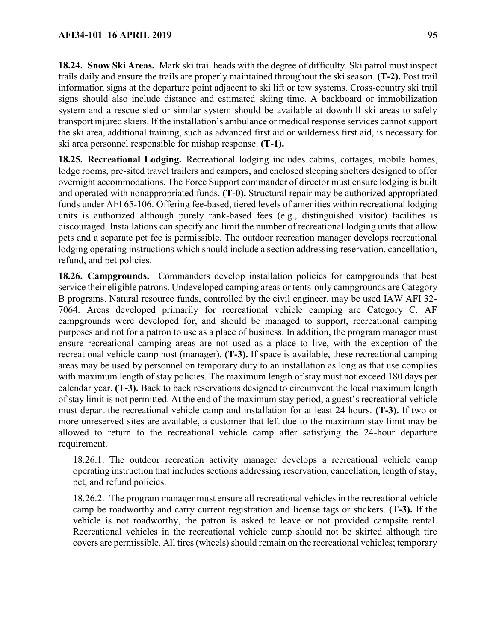**18.24. Snow Ski Areas.** Mark ski trail heads with the degree of difficulty. Ski patrol must inspect trails daily and ensure the trails are properly maintained throughout the ski season. **(T-2).** Post trail information signs at the departure point adjacent to ski lift or tow systems. Cross-country ski trail signs should also include distance and estimated skiing time. A backboard or immobilization system and a rescue sled or similar system should be available at downhill ski areas to safely transport injured skiers. If the installation's ambulance or medical response services cannot support the ski area, additional training, such as advanced first aid or wilderness first aid, is necessary for ski area personnel responsible for mishap response. **(T-1).**

**18.25. Recreational Lodging.** Recreational lodging includes cabins, cottages, mobile homes, lodge rooms, pre-sited travel trailers and campers, and enclosed sleeping shelters designed to offer overnight accommodations. The Force Support commander of director must ensure lodging is built and operated with nonappropriated funds. **(T-0).** Structural repair may be authorized appropriated funds under AFI 65-106. Offering fee-based, tiered levels of amenities within recreational lodging units is authorized although purely rank-based fees (e.g., distinguished visitor) facilities is discouraged. Installations can specify and limit the number of recreational lodging units that allow pets and a separate pet fee is permissible. The outdoor recreation manager develops recreational lodging operating instructions which should include a section addressing reservation, cancellation, refund, and pet policies.

**18.26. Campgrounds.** Commanders develop installation policies for campgrounds that best service their eligible patrons. Undeveloped camping areas or tents-only campgrounds are Category B programs. Natural resource funds, controlled by the civil engineer, may be used IAW AFI 32- 7064. Areas developed primarily for recreational vehicle camping are Category C. AF campgrounds were developed for, and should be managed to support, recreational camping purposes and not for a patron to use as a place of business. In addition, the program manager must ensure recreational camping areas are not used as a place to live, with the exception of the recreational vehicle camp host (manager). **(T-3).** If space is available, these recreational camping areas may be used by personnel on temporary duty to an installation as long as that use complies with maximum length of stay policies. The maximum length of stay must not exceed 180 days per calendar year. **(T-3).** Back to back reservations designed to circumvent the local maximum length of stay limit is not permitted. At the end of the maximum stay period, a guest's recreational vehicle must depart the recreational vehicle camp and installation for at least 24 hours. **(T-3).** If two or more unreserved sites are available, a customer that left due to the maximum stay limit may be allowed to return to the recreational vehicle camp after satisfying the 24-hour departure requirement.

18.26.1. The outdoor recreation activity manager develops a recreational vehicle camp operating instruction that includes sections addressing reservation, cancellation, length of stay, pet, and refund policies.

18.26.2. The program manager must ensure all recreational vehicles in the recreational vehicle camp be roadworthy and carry current registration and license tags or stickers. **(T-3).** If the vehicle is not roadworthy, the patron is asked to leave or not provided campsite rental. Recreational vehicles in the recreational vehicle camp should not be skirted although tire covers are permissible. All tires (wheels) should remain on the recreational vehicles; temporary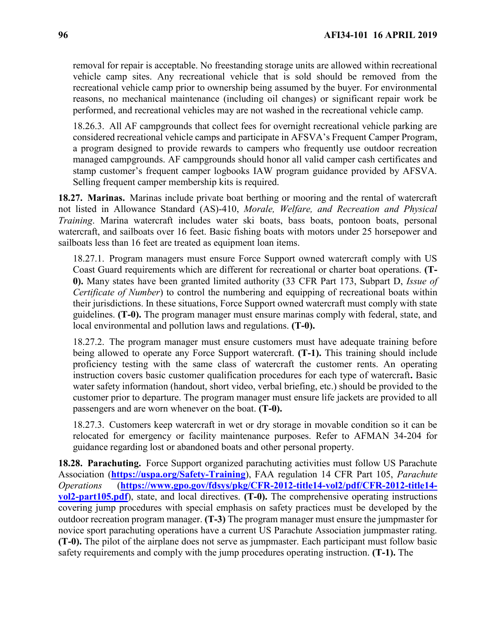removal for repair is acceptable. No freestanding storage units are allowed within recreational vehicle camp sites. Any recreational vehicle that is sold should be removed from the recreational vehicle camp prior to ownership being assumed by the buyer. For environmental reasons, no mechanical maintenance (including oil changes) or significant repair work be performed, and recreational vehicles may are not washed in the recreational vehicle camp.

18.26.3. All AF campgrounds that collect fees for overnight recreational vehicle parking are considered recreational vehicle camps and participate in AFSVA's Frequent Camper Program, a program designed to provide rewards to campers who frequently use outdoor recreation managed campgrounds. AF campgrounds should honor all valid camper cash certificates and stamp customer's frequent camper logbooks IAW program guidance provided by AFSVA. Selling frequent camper membership kits is required.

**18.27. Marinas.** Marinas include private boat berthing or mooring and the rental of watercraft not listed in Allowance Standard (AS)-410, *Morale, Welfare, and Recreation and Physical Training*. Marina watercraft includes water ski boats, bass boats, pontoon boats, personal watercraft, and sailboats over 16 feet. Basic fishing boats with motors under 25 horsepower and sailboats less than 16 feet are treated as equipment loan items.

18.27.1. Program managers must ensure Force Support owned watercraft comply with US Coast Guard requirements which are different for recreational or charter boat operations. **(T-0).** Many states have been granted limited authority (33 CFR Part 173, Subpart D, *Issue of Certificate of Number*) to control the numbering and equipping of recreational boats within their jurisdictions. In these situations, Force Support owned watercraft must comply with state guidelines. **(T-0).** The program manager must ensure marinas comply with federal, state, and local environmental and pollution laws and regulations. **(T-0).**

18.27.2. The program manager must ensure customers must have adequate training before being allowed to operate any Force Support watercraft. **(T-1).** This training should include proficiency testing with the same class of watercraft the customer rents. An operating instruction covers basic customer qualification procedures for each type of watercraft**.** Basic water safety information (handout, short video, verbal briefing, etc.) should be provided to the customer prior to departure. The program manager must ensure life jackets are provided to all passengers and are worn whenever on the boat. **(T-0).**

18.27.3. Customers keep watercraft in wet or dry storage in movable condition so it can be relocated for emergency or facility maintenance purposes. Refer to AFMAN 34-204 for guidance regarding lost or abandoned boats and other personal property.

**18.28. Parachuting.** Force Support organized parachuting activities must follow US Parachute Association (**<https://uspa.org/Safety-Training>**), FAA regulation 14 CFR Part 105, *Parachute Operations* (**[https://www.gpo.gov/fdsys/pkg/CFR-2012-title14-vol2/pdf/CFR-2012-title14](https://www.gpo.gov/fdsys/pkg/CFR-2012-title14-vol2/pdf/CFR-2012-title14-vol2-part105.pdf) [vol2-part105.pdf](https://www.gpo.gov/fdsys/pkg/CFR-2012-title14-vol2/pdf/CFR-2012-title14-vol2-part105.pdf)**), state, and local directives. **(T-0).** The comprehensive operating instructions covering jump procedures with special emphasis on safety practices must be developed by the outdoor recreation program manager. **(T-3)** The program manager must ensure the jumpmaster for novice sport parachuting operations have a current US Parachute Association jumpmaster rating. **(T-0).** The pilot of the airplane does not serve as jumpmaster. Each participant must follow basic safety requirements and comply with the jump procedures operating instruction. **(T-1).** The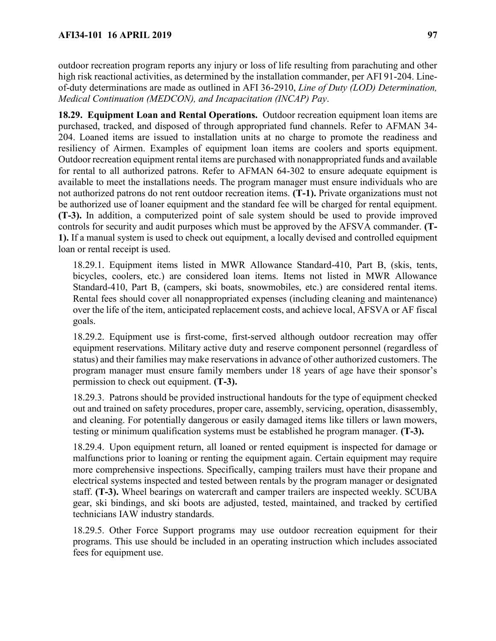outdoor recreation program reports any injury or loss of life resulting from parachuting and other high risk reactional activities, as determined by the installation commander, per AFI 91-204. Lineof-duty determinations are made as outlined in AFI 36-2910, *Line of Duty (LOD) Determination, Medical Continuation (MEDCON), and Incapacitation (INCAP) Pay*.

**18.29. Equipment Loan and Rental Operations.** Outdoor recreation equipment loan items are purchased, tracked, and disposed of through appropriated fund channels. Refer to AFMAN 34- 204. Loaned items are issued to installation units at no charge to promote the readiness and resiliency of Airmen. Examples of equipment loan items are coolers and sports equipment. Outdoor recreation equipment rental items are purchased with nonappropriated funds and available for rental to all authorized patrons. Refer to AFMAN 64-302 to ensure adequate equipment is available to meet the installations needs. The program manager must ensure individuals who are not authorized patrons do not rent outdoor recreation items. **(T-1).** Private organizations must not be authorized use of loaner equipment and the standard fee will be charged for rental equipment. **(T-3).** In addition, a computerized point of sale system should be used to provide improved controls for security and audit purposes which must be approved by the AFSVA commander. **(T-1).** If a manual system is used to check out equipment, a locally devised and controlled equipment loan or rental receipt is used.

18.29.1. Equipment items listed in MWR Allowance Standard-410, Part B, (skis, tents, bicycles, coolers, etc.) are considered loan items. Items not listed in MWR Allowance Standard-410, Part B, (campers, ski boats, snowmobiles, etc.) are considered rental items. Rental fees should cover all nonappropriated expenses (including cleaning and maintenance) over the life of the item, anticipated replacement costs, and achieve local, AFSVA or AF fiscal goals.

18.29.2. Equipment use is first-come, first-served although outdoor recreation may offer equipment reservations. Military active duty and reserve component personnel (regardless of status) and their families may make reservations in advance of other authorized customers. The program manager must ensure family members under 18 years of age have their sponsor's permission to check out equipment. **(T-3).**

18.29.3. Patrons should be provided instructional handouts for the type of equipment checked out and trained on safety procedures, proper care, assembly, servicing, operation, disassembly, and cleaning. For potentially dangerous or easily damaged items like tillers or lawn mowers, testing or minimum qualification systems must be established he program manager. **(T-3).**

18.29.4. Upon equipment return, all loaned or rented equipment is inspected for damage or malfunctions prior to loaning or renting the equipment again. Certain equipment may require more comprehensive inspections. Specifically, camping trailers must have their propane and electrical systems inspected and tested between rentals by the program manager or designated staff. **(T-3).** Wheel bearings on watercraft and camper trailers are inspected weekly. SCUBA gear, ski bindings, and ski boots are adjusted, tested, maintained, and tracked by certified technicians IAW industry standards.

18.29.5. Other Force Support programs may use outdoor recreation equipment for their programs. This use should be included in an operating instruction which includes associated fees for equipment use.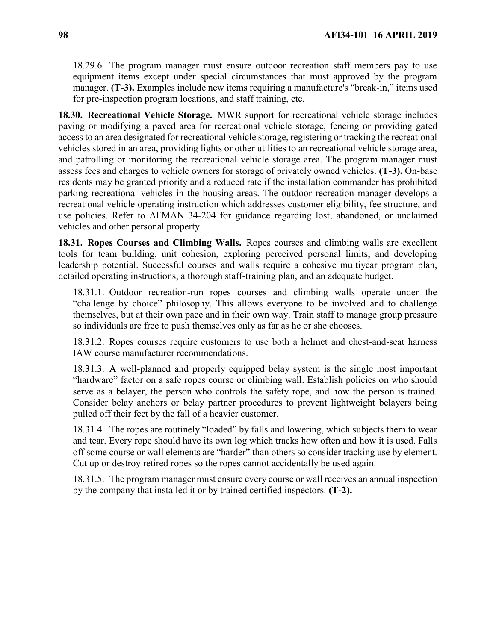18.29.6. The program manager must ensure outdoor recreation staff members pay to use equipment items except under special circumstances that must approved by the program manager. **(T-3).** Examples include new items requiring a manufacture's "break-in," items used for pre-inspection program locations, and staff training, etc.

**18.30. Recreational Vehicle Storage.** MWR support for recreational vehicle storage includes paving or modifying a paved area for recreational vehicle storage, fencing or providing gated access to an area designated for recreational vehicle storage, registering or tracking the recreational vehicles stored in an area, providing lights or other utilities to an recreational vehicle storage area, and patrolling or monitoring the recreational vehicle storage area. The program manager must assess fees and charges to vehicle owners for storage of privately owned vehicles. **(T-3).** On-base residents may be granted priority and a reduced rate if the installation commander has prohibited parking recreational vehicles in the housing areas. The outdoor recreation manager develops a recreational vehicle operating instruction which addresses customer eligibility, fee structure, and use policies. Refer to AFMAN 34-204 for guidance regarding lost, abandoned, or unclaimed vehicles and other personal property.

<span id="page-97-0"></span>**18.31. Ropes Courses and Climbing Walls.** Ropes courses and climbing walls are excellent tools for team building, unit cohesion, exploring perceived personal limits, and developing leadership potential. Successful courses and walls require a cohesive multiyear program plan, detailed operating instructions, a thorough staff-training plan, and an adequate budget.

18.31.1. Outdoor recreation-run ropes courses and climbing walls operate under the "challenge by choice" philosophy. This allows everyone to be involved and to challenge themselves, but at their own pace and in their own way. Train staff to manage group pressure so individuals are free to push themselves only as far as he or she chooses.

18.31.2. Ropes courses require customers to use both a helmet and chest-and-seat harness IAW course manufacturer recommendations.

18.31.3. A well-planned and properly equipped belay system is the single most important "hardware" factor on a safe ropes course or climbing wall. Establish policies on who should serve as a belayer, the person who controls the safety rope, and how the person is trained. Consider belay anchors or belay partner procedures to prevent lightweight belayers being pulled off their feet by the fall of a heavier customer.

18.31.4. The ropes are routinely "loaded" by falls and lowering, which subjects them to wear and tear. Every rope should have its own log which tracks how often and how it is used. Falls off some course or wall elements are "harder" than others so consider tracking use by element. Cut up or destroy retired ropes so the ropes cannot accidentally be used again.

18.31.5. The program manager must ensure every course or wall receives an annual inspection by the company that installed it or by trained certified inspectors. **(T-2).**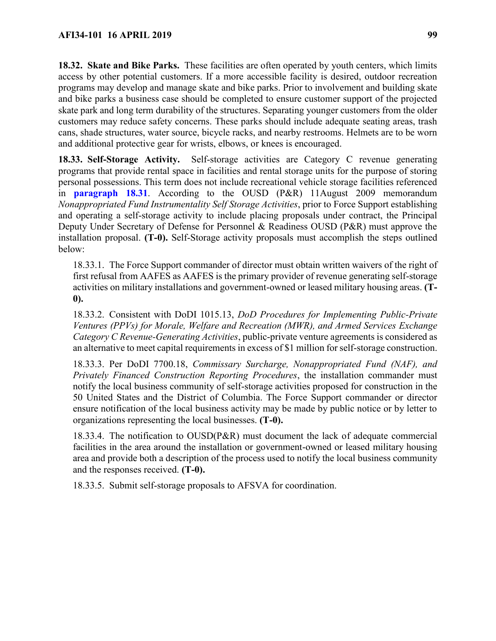**18.32. Skate and Bike Parks.** These facilities are often operated by youth centers, which limits access by other potential customers. If a more accessible facility is desired, outdoor recreation programs may develop and manage skate and bike parks. Prior to involvement and building skate and bike parks a business case should be completed to ensure customer support of the projected skate park and long term durability of the structures. Separating younger customers from the older customers may reduce safety concerns. These parks should include adequate seating areas, trash cans, shade structures, water source, bicycle racks, and nearby restrooms. Helmets are to be worn and additional protective gear for wrists, elbows, or knees is encouraged.

**18.33. Self-Storage Activity.** Self-storage activities are Category C revenue generating programs that provide rental space in facilities and rental storage units for the purpose of storing personal possessions. This term does not include recreational vehicle storage facilities referenced in **[paragraph 18.31](#page-97-0)**. According to the OUSD (P&R) 11August 2009 memorandum *Nonappropriated Fund Instrumentality Self Storage Activities*, prior to Force Support establishing and operating a self-storage activity to include placing proposals under contract, the Principal Deputy Under Secretary of Defense for Personnel & Readiness OUSD (P&R) must approve the installation proposal. **(T-0).** Self-Storage activity proposals must accomplish the steps outlined below:

18.33.1. The Force Support commander of director must obtain written waivers of the right of first refusal from AAFES as AAFES is the primary provider of revenue generating self-storage activities on military installations and government-owned or leased military housing areas. **(T-0).**

18.33.2. Consistent with DoDI 1015.13, *DoD Procedures for Implementing Public-Private Ventures (PPVs) for Morale, Welfare and Recreation (MWR), and Armed Services Exchange Category C Revenue-Generating Activities*, public-private venture agreements is considered as an alternative to meet capital requirements in excess of \$1 million for self-storage construction.

18.33.3. Per DoDI 7700.18, *Commissary Surcharge, Nonappropriated Fund (NAF), and Privately Financed Construction Reporting Procedures*, the installation commander must notify the local business community of self-storage activities proposed for construction in the 50 United States and the District of Columbia. The Force Support commander or director ensure notification of the local business activity may be made by public notice or by letter to organizations representing the local businesses. **(T-0).**

18.33.4. The notification to OUSD(P&R) must document the lack of adequate commercial facilities in the area around the installation or government-owned or leased military housing area and provide both a description of the process used to notify the local business community and the responses received. **(T-0).**

18.33.5. Submit self-storage proposals to AFSVA for coordination.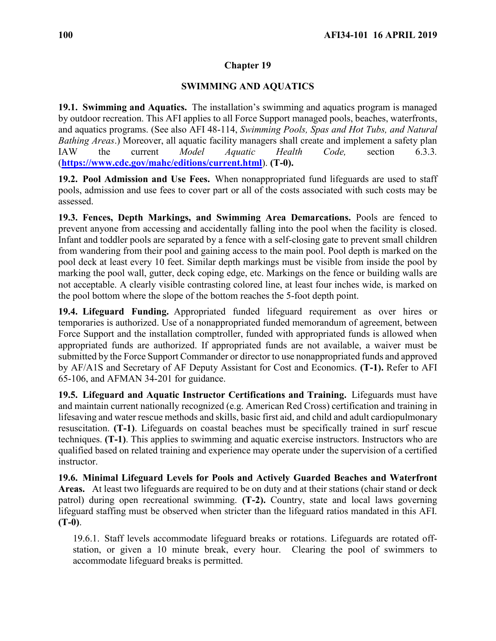## **SWIMMING AND AQUATICS**

<span id="page-99-0"></span>**19.1. Swimming and Aquatics.** The installation's swimming and aquatics program is managed by outdoor recreation. This AFI applies to all Force Support managed pools, beaches, waterfronts, and aquatics programs. (See also AFI 48-114, *Swimming Pools, Spas and Hot Tubs, and Natural Bathing Areas*.) Moreover, all aquatic facility managers shall create and implement a safety plan IAW the current *Model Aquatic Health Code,* section 6.3.3*.* (**<https://www.cdc.gov/mahc/editions/current.html>**). **(T-0).**

**19.2. Pool Admission and Use Fees.** When nonappropriated fund lifeguards are used to staff pools, admission and use fees to cover part or all of the costs associated with such costs may be assessed.

**19.3. Fences, Depth Markings, and Swimming Area Demarcations.** Pools are fenced to prevent anyone from accessing and accidentally falling into the pool when the facility is closed. Infant and toddler pools are separated by a fence with a self-closing gate to prevent small children from wandering from their pool and gaining access to the main pool. Pool depth is marked on the pool deck at least every 10 feet. Similar depth markings must be visible from inside the pool by marking the pool wall, gutter, deck coping edge, etc. Markings on the fence or building walls are not acceptable. A clearly visible contrasting colored line, at least four inches wide, is marked on the pool bottom where the slope of the bottom reaches the 5-foot depth point.

**19.4. Lifeguard Funding.** Appropriated funded lifeguard requirement as over hires or temporaries is authorized. Use of a nonappropriated funded memorandum of agreement, between Force Support and the installation comptroller, funded with appropriated funds is allowed when appropriated funds are authorized. If appropriated funds are not available, a waiver must be submitted by the Force Support Commander or director to use nonappropriated funds and approved by AF/A1S and Secretary of AF Deputy Assistant for Cost and Economics. **(T-1).** Refer to AFI 65-106, and AFMAN 34-201 for guidance.

**19.5. Lifeguard and Aquatic Instructor Certifications and Training.** Lifeguards must have and maintain current nationally recognized (e.g. American Red Cross) certification and training in lifesaving and water rescue methods and skills, basic first aid, and child and adult cardiopulmonary resuscitation. **(T-1)**. Lifeguards on coastal beaches must be specifically trained in surf rescue techniques. **(T-1)**. This applies to swimming and aquatic exercise instructors. Instructors who are qualified based on related training and experience may operate under the supervision of a certified instructor.

**19.6. Minimal Lifeguard Levels for Pools and Actively Guarded Beaches and Waterfront Areas.** At least two lifeguards are required to be on duty and at their stations (chair stand or deck patrol) during open recreational swimming. **(T-2).** Country, state and local laws governing lifeguard staffing must be observed when stricter than the lifeguard ratios mandated in this AFI. **(T-0)**.

19.6.1. Staff levels accommodate lifeguard breaks or rotations. Lifeguards are rotated offstation, or given a 10 minute break, every hour. Clearing the pool of swimmers to accommodate lifeguard breaks is permitted.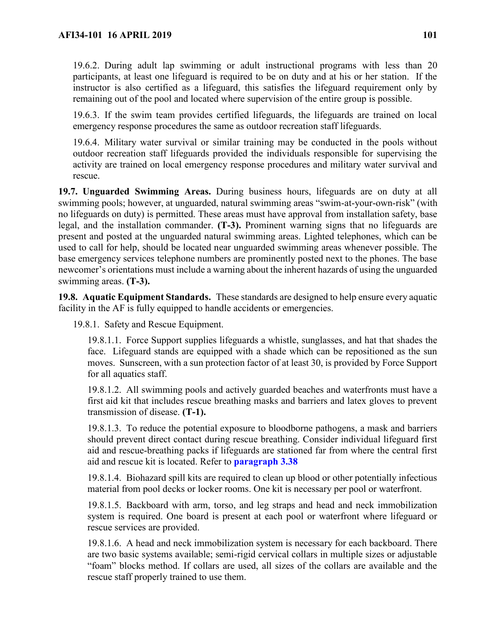19.6.2. During adult lap swimming or adult instructional programs with less than 20 participants, at least one lifeguard is required to be on duty and at his or her station. If the instructor is also certified as a lifeguard, this satisfies the lifeguard requirement only by remaining out of the pool and located where supervision of the entire group is possible.

19.6.3. If the swim team provides certified lifeguards, the lifeguards are trained on local emergency response procedures the same as outdoor recreation staff lifeguards.

19.6.4. Military water survival or similar training may be conducted in the pools without outdoor recreation staff lifeguards provided the individuals responsible for supervising the activity are trained on local emergency response procedures and military water survival and rescue.

**19.7. Unguarded Swimming Areas.** During business hours, lifeguards are on duty at all swimming pools; however, at unguarded, natural swimming areas "swim-at-your-own-risk" (with no lifeguards on duty) is permitted. These areas must have approval from installation safety, base legal, and the installation commander. **(T-3).** Prominent warning signs that no lifeguards are present and posted at the unguarded natural swimming areas. Lighted telephones, which can be used to call for help, should be located near unguarded swimming areas whenever possible. The base emergency services telephone numbers are prominently posted next to the phones. The base newcomer's orientations must include a warning about the inherent hazards of using the unguarded swimming areas. **(T-3).**

**19.8. Aquatic Equipment Standards.** These standards are designed to help ensure every aquatic facility in the AF is fully equipped to handle accidents or emergencies.

19.8.1. Safety and Rescue Equipment.

19.8.1.1. Force Support supplies lifeguards a whistle, sunglasses, and hat that shades the face. Lifeguard stands are equipped with a shade which can be repositioned as the sun moves. Sunscreen, with a sun protection factor of at least 30, is provided by Force Support for all aquatics staff.

19.8.1.2. All swimming pools and actively guarded beaches and waterfronts must have a first aid kit that includes rescue breathing masks and barriers and latex gloves to prevent transmission of disease. **(T-1).**

19.8.1.3. To reduce the potential exposure to bloodborne pathogens, a mask and barriers should prevent direct contact during rescue breathing. Consider individual lifeguard first aid and rescue-breathing packs if lifeguards are stationed far from where the central first aid and rescue kit is located. Refer to **[paragraph 3.38](#page-25-0)**

19.8.1.4. Biohazard spill kits are required to clean up blood or other potentially infectious material from pool decks or locker rooms. One kit is necessary per pool or waterfront.

19.8.1.5. Backboard with arm, torso, and leg straps and head and neck immobilization system is required. One board is present at each pool or waterfront where lifeguard or rescue services are provided.

19.8.1.6. A head and neck immobilization system is necessary for each backboard. There are two basic systems available; semi-rigid cervical collars in multiple sizes or adjustable "foam" blocks method. If collars are used, all sizes of the collars are available and the rescue staff properly trained to use them.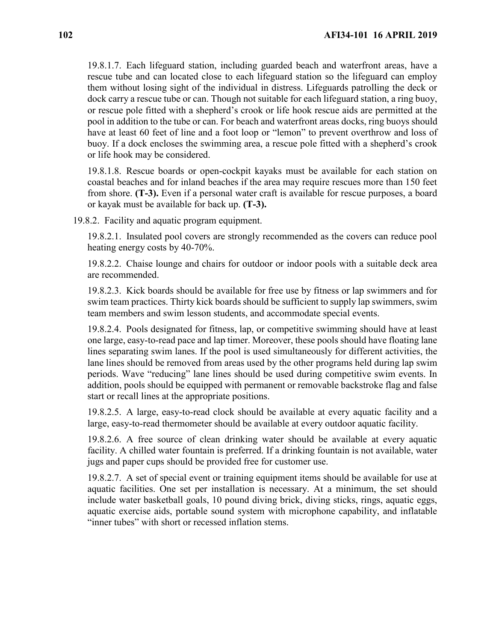19.8.1.7. Each lifeguard station, including guarded beach and waterfront areas, have a rescue tube and can located close to each lifeguard station so the lifeguard can employ them without losing sight of the individual in distress. Lifeguards patrolling the deck or dock carry a rescue tube or can. Though not suitable for each lifeguard station, a ring buoy, or rescue pole fitted with a shepherd's crook or life hook rescue aids are permitted at the pool in addition to the tube or can. For beach and waterfront areas docks, ring buoys should have at least 60 feet of line and a foot loop or "lemon" to prevent overthrow and loss of buoy. If a dock encloses the swimming area, a rescue pole fitted with a shepherd's crook or life hook may be considered.

19.8.1.8. Rescue boards or open-cockpit kayaks must be available for each station on coastal beaches and for inland beaches if the area may require rescues more than 150 feet from shore. **(T-3).** Even if a personal water craft is available for rescue purposes, a board or kayak must be available for back up. **(T-3).**

19.8.2. Facility and aquatic program equipment.

19.8.2.1. Insulated pool covers are strongly recommended as the covers can reduce pool heating energy costs by 40-70%.

19.8.2.2. Chaise lounge and chairs for outdoor or indoor pools with a suitable deck area are recommended.

19.8.2.3. Kick boards should be available for free use by fitness or lap swimmers and for swim team practices. Thirty kick boards should be sufficient to supply lap swimmers, swim team members and swim lesson students, and accommodate special events.

19.8.2.4. Pools designated for fitness, lap, or competitive swimming should have at least one large, easy-to-read pace and lap timer. Moreover, these pools should have floating lane lines separating swim lanes. If the pool is used simultaneously for different activities, the lane lines should be removed from areas used by the other programs held during lap swim periods. Wave "reducing" lane lines should be used during competitive swim events. In addition, pools should be equipped with permanent or removable backstroke flag and false start or recall lines at the appropriate positions.

19.8.2.5. A large, easy-to-read clock should be available at every aquatic facility and a large, easy-to-read thermometer should be available at every outdoor aquatic facility.

19.8.2.6. A free source of clean drinking water should be available at every aquatic facility. A chilled water fountain is preferred. If a drinking fountain is not available, water jugs and paper cups should be provided free for customer use.

19.8.2.7. A set of special event or training equipment items should be available for use at aquatic facilities. One set per installation is necessary. At a minimum, the set should include water basketball goals, 10 pound diving brick, diving sticks, rings, aquatic eggs, aquatic exercise aids, portable sound system with microphone capability, and inflatable "inner tubes" with short or recessed inflation stems.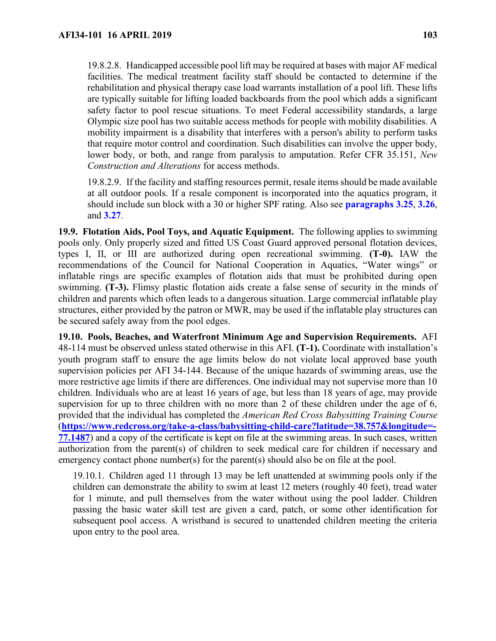19.8.2.8. Handicapped accessible pool lift may be required at bases with major AF medical facilities. The medical treatment facility staff should be contacted to determine if the rehabilitation and physical therapy case load warrants installation of a pool lift. These lifts are typically suitable for lifting loaded backboards from the pool which adds a significant safety factor to pool rescue situations. To meet Federal accessibility standards, a large Olympic size pool has two suitable access methods for people with mobility disabilities. A mobility impairment is a disability that interferes with a person's ability to perform tasks that require motor control and coordination. Such disabilities can involve the upper body, lower body, or both, and range from paralysis to amputation. Refer CFR 35.151, *New Construction and Alterations* for access methods.

19.8.2.9. If the facility and staffing resources permit, resale items should be made available at all outdoor pools. If a resale component is incorporated into the aquatics program, it should include sun block with a 30 or higher SPF rating. Also see **paragraphs [3.25](#page-21-0)**, **[3.26](#page-21-1)**, and **[3.27](#page-22-0)**.

**19.9. Flotation Aids, Pool Toys, and Aquatic Equipment.** The following applies to swimming pools only. Only properly sized and fitted US Coast Guard approved personal flotation devices, types I, II, or III are authorized during open recreational swimming. **(T-0).** IAW the recommendations of the Council for National Cooperation in Aquatics, "Water wings" or inflatable rings are specific examples of flotation aids that must be prohibited during open swimming. **(T-3).** Flimsy plastic flotation aids create a false sense of security in the minds of children and parents which often leads to a dangerous situation. Large commercial inflatable play structures, either provided by the patron or MWR, may be used if the inflatable play structures can be secured safely away from the pool edges.

**19.10. Pools, Beaches, and Waterfront Minimum Age and Supervision Requirements.** AFI 48-114 must be observed unless stated otherwise in this AFI. **(T-1).** Coordinate with installation's youth program staff to ensure the age limits below do not violate local approved base youth supervision policies per AFI 34-144. Because of the unique hazards of swimming areas, use the more restrictive age limits if there are differences. One individual may not supervise more than 10 children. Individuals who are at least 16 years of age, but less than 18 years of age, may provide supervision for up to three children with no more than 2 of these children under the age of 6, provided that the individual has completed the *American Red Cross Babysitting Training Course* (**[https://www.redcross.org/take-a-class/babysitting-child-care?latitude=38.757&longitude=-](https://www.redcross.org/take-a-class/babysitting-child-care?latitude=38.757&longitude=-77.1487) [77.1487](https://www.redcross.org/take-a-class/babysitting-child-care?latitude=38.757&longitude=-77.1487)**) and a copy of the certificate is kept on file at the swimming areas. In such cases, written authorization from the parent(s) of children to seek medical care for children if necessary and emergency contact phone number(s) for the parent(s) should also be on file at the pool.

19.10.1. Children aged 11 through 13 may be left unattended at swimming pools only if the children can demonstrate the ability to swim at least 12 meters (roughly 40 feet), tread water for 1 minute, and pull themselves from the water without using the pool ladder. Children passing the basic water skill test are given a card, patch, or some other identification for subsequent pool access. A wristband is secured to unattended children meeting the criteria upon entry to the pool area.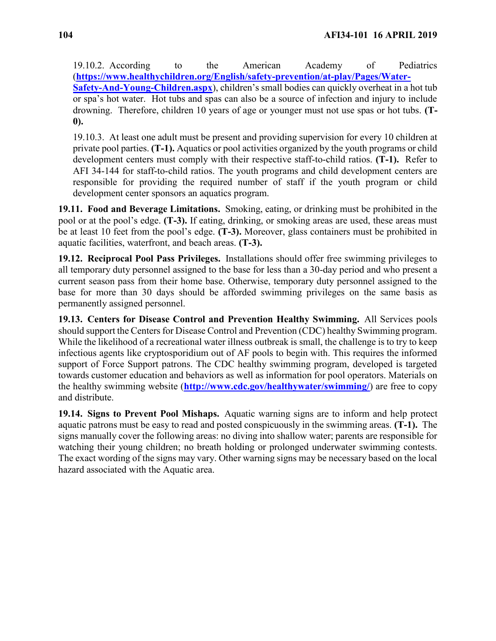19.10.2. According to the American Academy of Pediatrics (**[https://www.healthychildren.org/English/safety-prevention/at-play/Pages/Water-](https://www.healthychildren.org/English/safety-prevention/at-play/Pages/Water-Safety-And-Young-Children.aspx)[Safety-And-Young-Children.aspx](https://www.healthychildren.org/English/safety-prevention/at-play/Pages/Water-Safety-And-Young-Children.aspx)**), children's small bodies can quickly overheat in a hot tub or spa's hot water. Hot tubs and spas can also be a source of infection and injury to include drowning. Therefore, children 10 years of age or younger must not use spas or hot tubs. **(T-**

**0).**

19.10.3. At least one adult must be present and providing supervision for every 10 children at private pool parties. **(T-1).** Aquatics or pool activities organized by the youth programs or child development centers must comply with their respective staff-to-child ratios. **(T-1).** Refer to AFI 34-144 for staff-to-child ratios. The youth programs and child development centers are responsible for providing the required number of staff if the youth program or child development center sponsors an aquatics program.

**19.11. Food and Beverage Limitations.** Smoking, eating, or drinking must be prohibited in the pool or at the pool's edge. **(T-3).** If eating, drinking, or smoking areas are used, these areas must be at least 10 feet from the pool's edge. **(T-3).** Moreover, glass containers must be prohibited in aquatic facilities, waterfront, and beach areas. **(T-3).**

**19.12. Reciprocal Pool Pass Privileges.** Installations should offer free swimming privileges to all temporary duty personnel assigned to the base for less than a 30-day period and who present a current season pass from their home base. Otherwise, temporary duty personnel assigned to the base for more than 30 days should be afforded swimming privileges on the same basis as permanently assigned personnel.

**19.13. Centers for Disease Control and Prevention Healthy Swimming.** All Services pools should support the Centers for Disease Control and Prevention (CDC) healthy Swimming program. While the likelihood of a recreational water illness outbreak is small, the challenge is to try to keep infectious agents like cryptosporidium out of AF pools to begin with. This requires the informed support of Force Support patrons. The CDC healthy swimming program, developed is targeted towards customer education and behaviors as well as information for pool operators. Materials on the healthy swimming website (**<http://www.cdc.gov/healthywater/swimming/>**) are free to copy and distribute.

**19.14. Signs to Prevent Pool Mishaps.** Aquatic warning signs are to inform and help protect aquatic patrons must be easy to read and posted conspicuously in the swimming areas. **(T-1).** The signs manually cover the following areas: no diving into shallow water; parents are responsible for watching their young children; no breath holding or prolonged underwater swimming contests. The exact wording of the signs may vary. Other warning signs may be necessary based on the local hazard associated with the Aquatic area.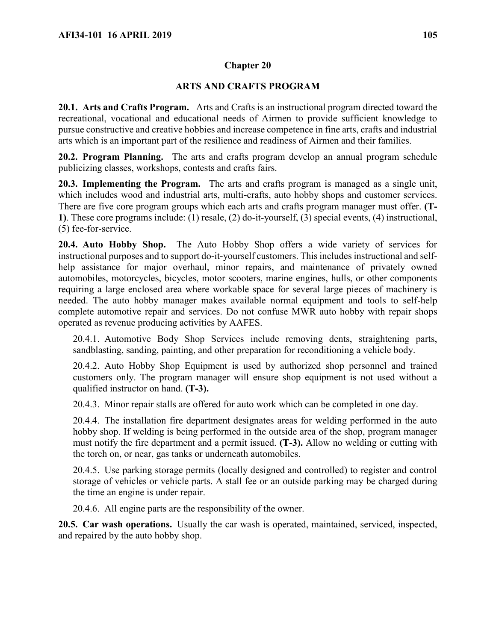# **ARTS AND CRAFTS PROGRAM**

**20.1. Arts and Crafts Program.** Arts and Crafts is an instructional program directed toward the recreational, vocational and educational needs of Airmen to provide sufficient knowledge to pursue constructive and creative hobbies and increase competence in fine arts, crafts and industrial arts which is an important part of the resilience and readiness of Airmen and their families.

**20.2. Program Planning.** The arts and crafts program develop an annual program schedule publicizing classes, workshops, contests and crafts fairs.

**20.3. Implementing the Program.** The arts and crafts program is managed as a single unit, which includes wood and industrial arts, multi-crafts, auto hobby shops and customer services. There are five core program groups which each arts and crafts program manager must offer. **(T-1)**. These core programs include: (1) resale, (2) do-it-yourself, (3) special events, (4) instructional, (5) fee-for-service.

**20.4. Auto Hobby Shop.** The Auto Hobby Shop offers a wide variety of services for instructional purposes and to support do-it-yourself customers. This includes instructional and selfhelp assistance for major overhaul, minor repairs, and maintenance of privately owned automobiles, motorcycles, bicycles, motor scooters, marine engines, hulls, or other components requiring a large enclosed area where workable space for several large pieces of machinery is needed. The auto hobby manager makes available normal equipment and tools to self-help complete automotive repair and services. Do not confuse MWR auto hobby with repair shops operated as revenue producing activities by AAFES.

20.4.1. Automotive Body Shop Services include removing dents, straightening parts, sandblasting, sanding, painting, and other preparation for reconditioning a vehicle body.

20.4.2. Auto Hobby Shop Equipment is used by authorized shop personnel and trained customers only. The program manager will ensure shop equipment is not used without a qualified instructor on hand. **(T-3).**

20.4.3. Minor repair stalls are offered for auto work which can be completed in one day.

20.4.4. The installation fire department designates areas for welding performed in the auto hobby shop. If welding is being performed in the outside area of the shop, program manager must notify the fire department and a permit issued. **(T-3).** Allow no welding or cutting with the torch on, or near, gas tanks or underneath automobiles.

20.4.5. Use parking storage permits (locally designed and controlled) to register and control storage of vehicles or vehicle parts. A stall fee or an outside parking may be charged during the time an engine is under repair.

20.4.6. All engine parts are the responsibility of the owner.

**20.5. Car wash operations.** Usually the car wash is operated, maintained, serviced, inspected, and repaired by the auto hobby shop.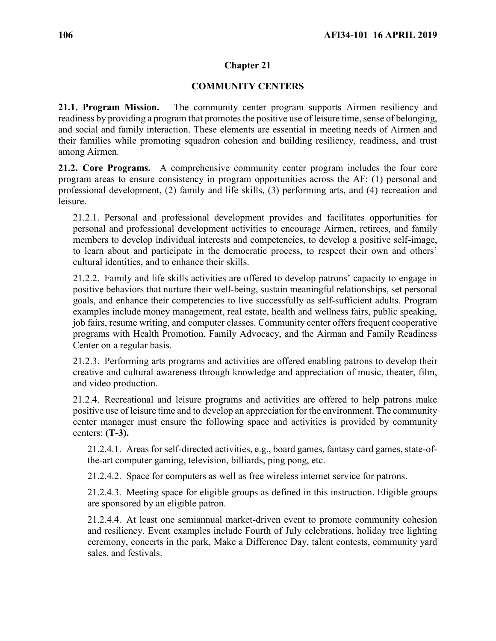## **COMMUNITY CENTERS**

**21.1. Program Mission.** The community center program supports Airmen resiliency and readiness by providing a program that promotes the positive use of leisure time, sense of belonging, and social and family interaction. These elements are essential in meeting needs of Airmen and their families while promoting squadron cohesion and building resiliency, readiness, and trust among Airmen.

**21.2. Core Programs.** A comprehensive community center program includes the four core program areas to ensure consistency in program opportunities across the AF: (1) personal and professional development, (2) family and life skills, (3) performing arts, and (4) recreation and leisure.

21.2.1. Personal and professional development provides and facilitates opportunities for personal and professional development activities to encourage Airmen, retirees, and family members to develop individual interests and competencies, to develop a positive self-image, to learn about and participate in the democratic process, to respect their own and others' cultural identities, and to enhance their skills.

21.2.2. Family and life skills activities are offered to develop patrons' capacity to engage in positive behaviors that nurture their well-being, sustain meaningful relationships, set personal goals, and enhance their competencies to live successfully as self-sufficient adults. Program examples include money management, real estate, health and wellness fairs, public speaking, job fairs, resume writing, and computer classes. Community center offers frequent cooperative programs with Health Promotion, Family Advocacy, and the Airman and Family Readiness Center on a regular basis.

21.2.3. Performing arts programs and activities are offered enabling patrons to develop their creative and cultural awareness through knowledge and appreciation of music, theater, film, and video production.

21.2.4. Recreational and leisure programs and activities are offered to help patrons make positive use of leisure time and to develop an appreciation for the environment. The community center manager must ensure the following space and activities is provided by community centers: **(T-3).**

21.2.4.1. Areas for self-directed activities, e.g., board games, fantasy card games, state-ofthe-art computer gaming, television, billiards, ping pong, etc.

21.2.4.2. Space for computers as well as free wireless internet service for patrons.

21.2.4.3. Meeting space for eligible groups as defined in this instruction. Eligible groups are sponsored by an eligible patron.

21.2.4.4. At least one semiannual market-driven event to promote community cohesion and resiliency. Event examples include Fourth of July celebrations, holiday tree lighting ceremony, concerts in the park, Make a Difference Day, talent contests, community yard sales, and festivals.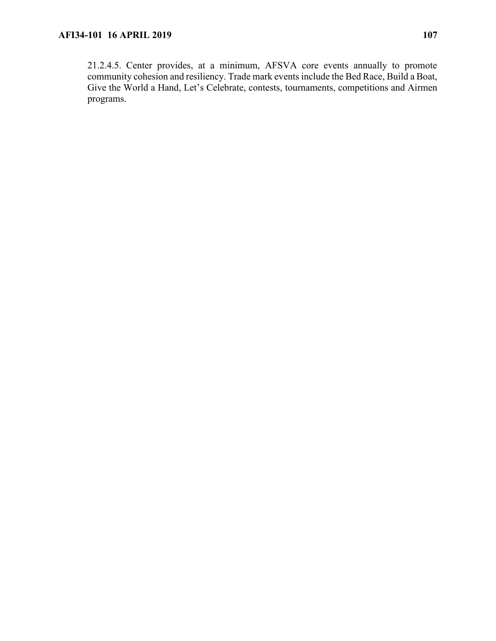21.2.4.5. Center provides, at a minimum, AFSVA core events annually to promote community cohesion and resiliency. Trade mark events include the Bed Race, Build a Boat, Give the World a Hand, Let's Celebrate, contests, tournaments, competitions and Airmen programs.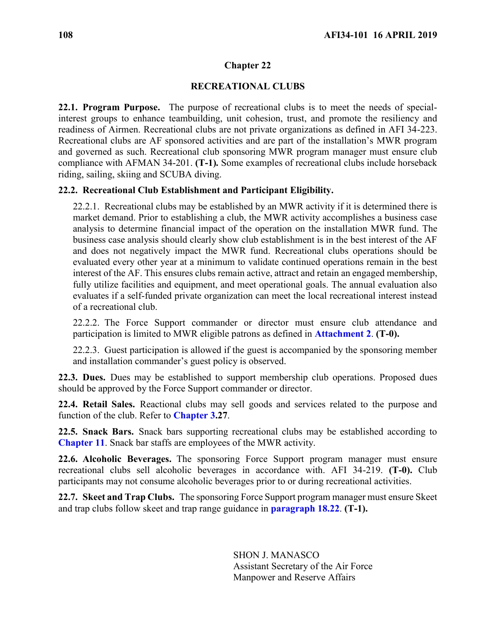## **RECREATIONAL CLUBS**

<span id="page-107-0"></span>**22.1. Program Purpose.** The purpose of recreational clubs is to meet the needs of specialinterest groups to enhance teambuilding, unit cohesion, trust, and promote the resiliency and readiness of Airmen. Recreational clubs are not private organizations as defined in AFI 34-223. Recreational clubs are AF sponsored activities and are part of the installation's MWR program and governed as such. Recreational club sponsoring MWR program manager must ensure club compliance with AFMAN 34-201. **(T-1)***.* Some examples of recreational clubs include horseback riding, sailing, skiing and SCUBA diving.

### **22.2. Recreational Club Establishment and Participant Eligibility.**

22.2.1. Recreational clubs may be established by an MWR activity if it is determined there is market demand. Prior to establishing a club, the MWR activity accomplishes a business case analysis to determine financial impact of the operation on the installation MWR fund. The business case analysis should clearly show club establishment is in the best interest of the AF and does not negatively impact the MWR fund. Recreational clubs operations should be evaluated every other year at a minimum to validate continued operations remain in the best interest of the AF. This ensures clubs remain active, attract and retain an engaged membership, fully utilize facilities and equipment, and meet operational goals. The annual evaluation also evaluates if a self-funded private organization can meet the local recreational interest instead of a recreational club.

22.2.2. The Force Support commander or director must ensure club attendance and participation is limited to MWR eligible patrons as defined in **[Attachment 2](#page-118-0)**. **(T-0).**

22.2.3. Guest participation is allowed if the guest is accompanied by the sponsoring member and installation commander's guest policy is observed.

**22.3. Dues.** Dues may be established to support membership club operations. Proposed dues should be approved by the Force Support commander or director.

**22.4. Retail Sales.** Reactional clubs may sell goods and services related to the purpose and function of the club. Refer to **[Chapter 3.](#page-18-0)27**.

**22.5. Snack Bars.** Snack bars supporting recreational clubs may be established according to **[Chapter 11](#page-54-0)**. Snack bar staffs are employees of the MWR activity.

**22.6. Alcoholic Beverages.** The sponsoring Force Support program manager must ensure recreational clubs sell alcoholic beverages in accordance with. AFI 34-219. **(T-0).** Club participants may not consume alcoholic beverages prior to or during recreational activities.

**22.7. Skeet and Trap Clubs.** The sponsoring Force Support program manager must ensure Skeet and trap clubs follow skeet and trap range guidance in **[paragraph 18.22](#page-92-0)**. **(T-1).**

> SHON J. MANASCO Assistant Secretary of the Air Force Manpower and Reserve Affairs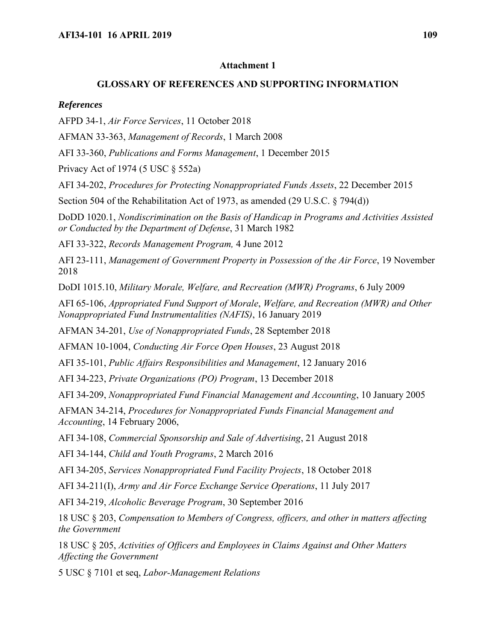#### **Attachment 1**

#### **GLOSSARY OF REFERENCES AND SUPPORTING INFORMATION**

#### *References*

AFPD 34-1, *Air Force Services*, 11 October 2018

AFMAN 33-363, *Management of Records*, 1 March 2008

AFI 33-360, *Publications and Forms Management*, 1 December 2015

Privacy Act of 1974 (5 USC § 552a)

AFI 34-202, *Procedures for Protecting Nonappropriated Funds Assets*, 22 December 2015

Section 504 of the Rehabilitation Act of 1973, as amended (29 U.S.C. § 794(d))

DoDD 1020.1, *Nondiscrimination on the Basis of Handicap in Programs and Activities Assisted or Conducted by the Department of Defense*, 31 March 1982

AFI 33-322, *Records Management Program,* 4 June 2012

AFI 23-111, *Management of Government Property in Possession of the Air Force*, 19 November 2018

DoDI 1015.10, *Military Morale, Welfare, and Recreation (MWR) Programs*, 6 July 2009

AFI 65-106, *Appropriated Fund Support of Morale*, *Welfare, and Recreation (MWR) and Other Nonappropriated Fund Instrumentalities (NAFIS)*, 16 January 2019

AFMAN 34-201, *Use of Nonappropriated Funds*, 28 September 2018

AFMAN 10-1004, *Conducting Air Force Open Houses*, 23 August 2018

AFI 35-101, *Public Affairs Responsibilities and Management*, 12 January 2016

AFI 34-223, *Private Organizations (PO) Program*, 13 December 2018

AFI 34-209, *Nonappropriated Fund Financial Management and Accounting*, 10 January 2005

AFMAN 34-214, *Procedures for Nonappropriated Funds Financial Management and Accounting*, 14 February 2006,

AFI 34-108, *Commercial Sponsorship and Sale of Advertising*, 21 August 2018

AFI 34-144, *Child and Youth Programs*, 2 March 2016

AFI 34-205, *Services Nonappropriated Fund Facility Projects*, 18 October 2018

AFI 34-211(I), *Army and Air Force Exchange Service Operations*, 11 July 2017

AFI 34-219, *Alcoholic Beverage Program*, 30 September 2016

18 USC § 203, *Compensation to Members of Congress, officers, and other in matters affecting the Government*

18 USC § 205, *Activities of Officers and Employees in Claims Against and Other Matters Affecting the Government*

5 USC § 7101 et seq, *Labor-Management Relations*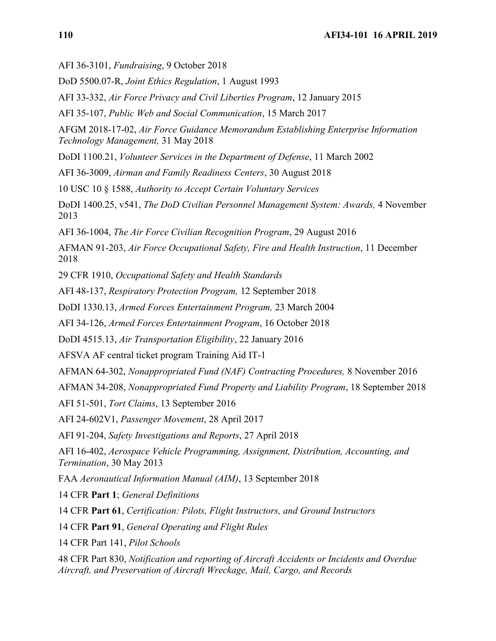AFI 36-3101, *Fundraising*, 9 October 2018

DoD 5500.07-R, *Joint Ethics Regulation*, 1 August 1993

AFI 33-332, *Air Force Privacy and Civil Liberties Program*, 12 January 2015

AFI 35-107, *Public Web and Social Communication*, 15 March 2017

AFGM 2018-17-02, *Air Force Guidance Memorandum Establishing Enterprise Information Technology Management,* 31 May 2018

DoDI 1100.21, *Volunteer Services in the Department of Defense*, 11 March 2002

AFI 36-3009, *Airman and Family Readiness Centers*, 30 August 2018

10 USC 10 § 1588, *Authority to Accept Certain Voluntary Services*

DoDI 1400.25, v541, *The DoD Civilian Personnel Management System: Awards,* 4 November 2013

AFI 36-1004, *The Air Force Civilian Recognition Program*, 29 August 2016

AFMAN 91-203, *Air Force Occupational Safety, Fire and Health Instruction*, 11 December 2018

29 CFR 1910, *Occupational Safety and Health Standards*

AFI 48-137, *Respiratory Protection Program,* 12 September 2018

DoDI 1330.13, *Armed Forces Entertainment Program,* 23 March 2004

AFI 34-126, *Armed Forces Entertainment Program*, 16 October 2018

DoDI 4515.13, *Air Transportation Eligibility*, 22 January 2016

AFSVA AF central ticket program Training Aid IT-1

AFMAN 64-302, *Nonappropriated Fund (NAF) Contracting Procedures,* 8 November 2016

AFMAN 34-208, *Nonappropriated Fund Property and Liability Program*, 18 September 2018

AFI 51-501, *Tort Claims*, 13 September 2016

AFI 24-602V1, *Passenger Movement*, 28 April 2017

AFI 91-204, *Safety Investigations and Reports*, 27 April 2018

AFI 16-402, *Aerospace Vehicle Programming, Assignment, Distribution, Accounting, and Termination*, 30 May 2013

FAA *Aeronautical Information Manual (AIM)*, 13 September 2018

14 CFR **Part 1**; *General Definitions*

14 CFR **Part 61**, *Certification: Pilots, Flight Instructors, and Ground Instructors*

14 CFR **Part 91**, *General Operating and Flight Rules*

14 CFR Part 141, *Pilot Schools*

48 CFR Part 830, *Notification and reporting of Aircraft Accidents or Incidents and Overdue Aircraft, and Preservation of Aircraft Wreckage, Mail, Cargo, and Records*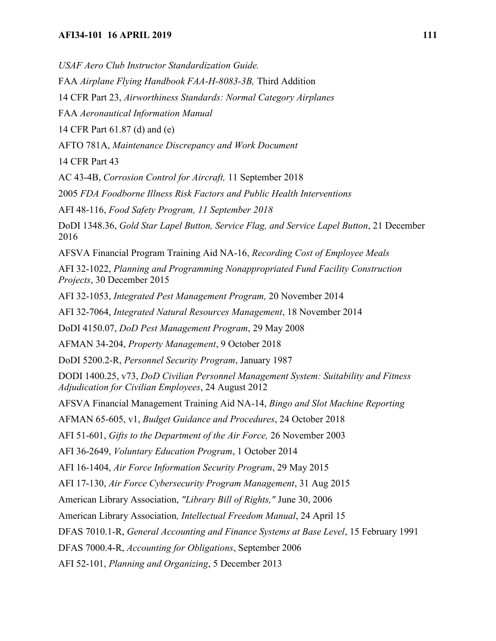*USAF Aero Club Instructor Standardization Guide.*

FAA *Airplane Flying Handbook FAA-H-8083-3B,* Third Addition

14 CFR Part 23, *Airworthiness Standards: Normal Category Airplanes*

FAA *Aeronautical Information Manual*

14 CFR Part 61.87 (d) and (e)

AFTO 781A, *Maintenance Discrepancy and Work Document*

14 CFR Part 43

AC 43-4B, *Corrosion Control for Aircraft,* 11 September 2018

2005 *FDA Foodborne Illness Risk Factors and Public Health Interventions*

AFI 48-116, *Food Safety Program, 11 September 2018*

DoDI 1348.36, *Gold Star Lapel Button, Service Flag, and Service Lapel Button*, 21 December 2016

AFSVA Financial Program Training Aid NA-16, *Recording Cost of Employee Meals*

AFI 32-1022, *Planning and Programming Nonappropriated Fund Facility Construction Projects*, 30 December 2015

AFI 32-1053, *Integrated Pest Management Program,* 20 November 2014

AFI 32-7064, *Integrated Natural Resources Management*, 18 November 2014

DoDI 4150.07, *DoD Pest Management Program*, 29 May 2008

AFMAN 34-204, *Property Management*, 9 October 2018

DoDI 5200.2-R, *Personnel Security Program*, January 1987

DODI 1400.25, v73, *DoD Civilian Personnel Management System: Suitability and Fitness Adjudication for Civilian Employees*, 24 August 2012

AFSVA Financial Management Training Aid NA-14, *Bingo and Slot Machine Reporting*

AFMAN 65-605, v1, *Budget Guidance and Procedures*, 24 October 2018

AFI 51-601, *Gifts to the Department of the Air Force,* 26 November 2003

AFI 36-2649, *Voluntary Education Program*, 1 October 2014

AFI 16-1404, *Air Force Information Security Program*, 29 May 2015

AFI 17-130, *Air Force Cybersecurity Program Management*, 31 Aug 2015

American Library Association, *"Library Bill of Rights,"* June 30, 2006

American Library Association*, Intellectual Freedom Manual*, 24 April 15

DFAS 7010.1-R, *General Accounting and Finance Systems at Base Level*, 15 February 1991

DFAS 7000.4-R, *Accounting for Obligations*, September 2006

AFI 52-101, *Planning and Organizing*, 5 December 2013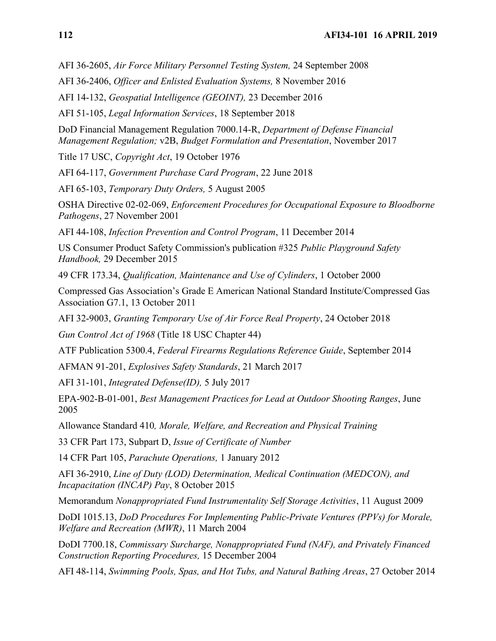AFI 36-2605, *Air Force Military Personnel Testing System,* 24 September 2008

AFI 36-2406, *Officer and Enlisted Evaluation Systems,* 8 November 2016

AFI 14-132, *Geospatial Intelligence (GEOINT),* 23 December 2016

AFI 51-105, *Legal Information Services*, 18 September 2018

DoD Financial Management Regulation 7000.14-R, *Department of Defense Financial Management Regulation;* v2B, *Budget Formulation and Presentation*, November 2017

Title 17 USC, *Copyright Act*, 19 October 1976

AFI 64-117, *Government Purchase Card Program*, 22 June 2018

AFI 65-103, *Temporary Duty Orders,* 5 August 2005

OSHA Directive 02-02-069, *Enforcement Procedures for Occupational Exposure to Bloodborne Pathogens*, 27 November 2001

AFI 44-108, *Infection Prevention and Control Program*, 11 December 2014

US Consumer Product Safety Commission's publication #325 *Public Playground Safety Handbook,* 29 December 2015

49 CFR 173.34, *Qualification, Maintenance and Use of Cylinders*, 1 October 2000

Compressed Gas Association's Grade E American National Standard Institute/Compressed Gas Association G7.1, 13 October 2011

AFI 32-9003, *Granting Temporary Use of Air Force Real Property*, 24 October 2018

*Gun Control Act of 1968* (Title 18 USC Chapter 44)

ATF Publication 5300.4, *Federal Firearms Regulations Reference Guide*, September 2014

AFMAN 91-201, *Explosives Safety Standards*, 21 March 2017

AFI 31-101, *Integrated Defense(ID),* 5 July 2017

EPA-902-B-01-001, *Best Management Practices for Lead at Outdoor Shooting Ranges*, June 2005

Allowance Standard 410*, Morale, Welfare, and Recreation and Physical Training*

33 CFR Part 173, Subpart D, *Issue of Certificate of Number*

14 CFR Part 105, *Parachute Operations,* 1 January 2012

AFI 36-2910, *Line of Duty (LOD) Determination, Medical Continuation (MEDCON), and Incapacitation (INCAP) Pay*, 8 October 2015

Memorandum *Nonappropriated Fund Instrumentality Self Storage Activities*, 11 August 2009

DoDI 1015.13, *DoD Procedures For Implementing Public-Private Ventures (PPVs) for Morale, Welfare and Recreation (MWR)*, 11 March 2004

DoDI 7700.18, *Commissary Surcharge, Nonappropriated Fund (NAF), and Privately Financed Construction Reporting Procedures,* 15 December 2004

AFI 48-114, *Swimming Pools, Spas, and Hot Tubs, and Natural Bathing Areas*, 27 October 2014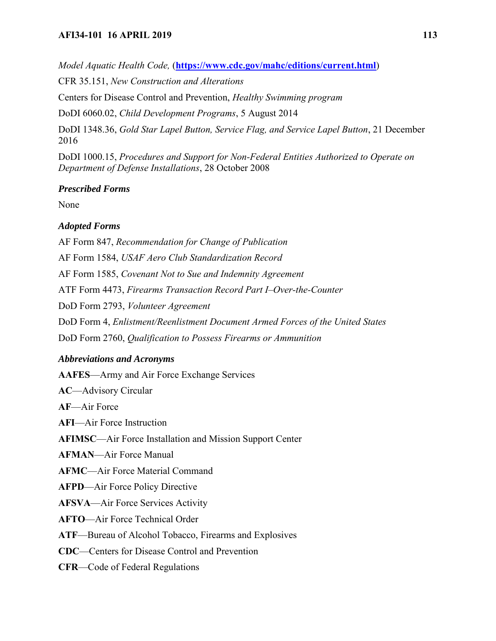## **AFI34-101 16 APRIL 2019 113**

*Model Aquatic Health Code,* (**<https://www.cdc.gov/mahc/editions/current.html>**)

CFR 35.151, *New Construction and Alterations* 

Centers for Disease Control and Prevention, *Healthy Swimming program*

DoDI 6060.02, *Child Development Programs*, 5 August 2014

DoDI 1348.36, *Gold Star Lapel Button, Service Flag, and Service Lapel Button*, 21 December 2016

DoDI 1000.15, *Procedures and Support for Non-Federal Entities Authorized to Operate on Department of Defense Installations*, 28 October 2008

## *Prescribed Forms*

None

# *Adopted Forms*

AF Form 847, *Recommendation for Change of Publication* AF Form 1584, *USAF Aero Club Standardization Record* AF Form 1585, *Covenant Not to Sue and Indemnity Agreement* ATF Form 4473, *Firearms Transaction Record Part I–Over-the-Counter* DoD Form 2793, *Volunteer Agreement* DoD Form 4, *Enlistment/Reenlistment Document Armed Forces of the United States* DoD Form 2760, *Qualification to Possess Firearms or Ammunition*

# *Abbreviations and Acronyms*

**AAFES**—Army and Air Force Exchange Services

**AC**—Advisory Circular

**AF**—Air Force

**AFI**—Air Force Instruction

**AFIMSC**—Air Force Installation and Mission Support Center

**AFMAN**—Air Force Manual

**AFMC**—Air Force Material Command

**AFPD**—Air Force Policy Directive

**AFSVA**—Air Force Services Activity

**AFTO**—Air Force Technical Order

**ATF**—Bureau of Alcohol Tobacco, Firearms and Explosives

**CDC**—Centers for Disease Control and Prevention

**CFR**—Code of Federal Regulations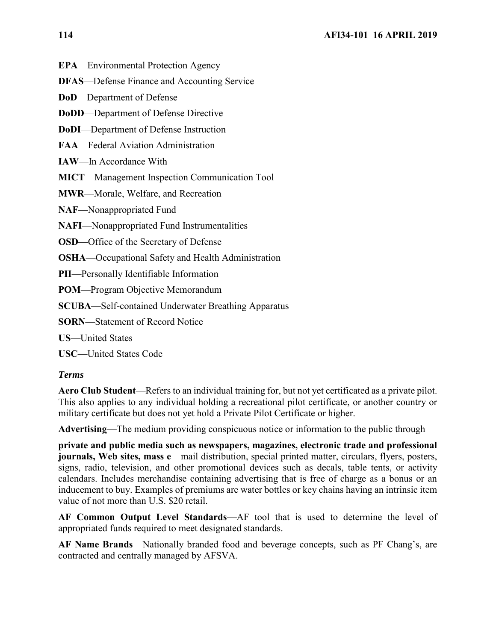**EPA**—Environmental Protection Agency

**DFAS**—Defense Finance and Accounting Service

**DoD**—Department of Defense

**DoDD**—Department of Defense Directive

**DoDI**—Department of Defense Instruction

**FAA**—Federal Aviation Administration

**IAW**—In Accordance With

**MICT**—Management Inspection Communication Tool

**MWR**—Morale, Welfare, and Recreation

**NAF**—Nonappropriated Fund

**NAFI**—Nonappropriated Fund Instrumentalities

**OSD**—Office of the Secretary of Defense

**OSHA**—Occupational Safety and Health Administration

**PII**—Personally Identifiable Information

**POM**—Program Objective Memorandum

**SCUBA**—Self-contained Underwater Breathing Apparatus

**SORN**—Statement of Record Notice

**US**—United States

**USC**—United States Code

#### *Terms*

**Aero Club Student**—Refers to an individual training for, but not yet certificated as a private pilot. This also applies to any individual holding a recreational pilot certificate, or another country or military certificate but does not yet hold a Private Pilot Certificate or higher.

**Advertising**—The medium providing conspicuous notice or information to the public through

**private and public media such as newspapers, magazines, electronic trade and professional journals, Web sites, mass e—mail distribution**, special printed matter, circulars, flyers, posters, signs, radio, television, and other promotional devices such as decals, table tents, or activity calendars. Includes merchandise containing advertising that is free of charge as a bonus or an inducement to buy. Examples of premiums are water bottles or key chains having an intrinsic item value of not more than U.S. \$20 retail.

**AF Common Output Level Standards**—AF tool that is used to determine the level of appropriated funds required to meet designated standards.

**AF Name Brands**—Nationally branded food and beverage concepts, such as PF Chang's, are contracted and centrally managed by AFSVA.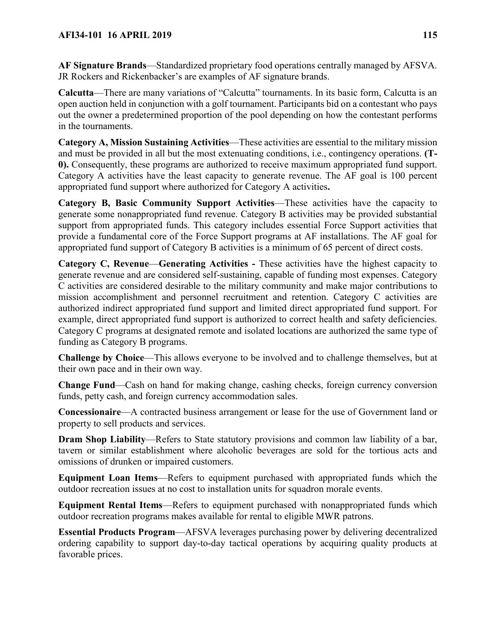**AF Signature Brands**—Standardized proprietary food operations centrally managed by AFSVA. JR Rockers and Rickenbacker's are examples of AF signature brands.

**Calcutta**—There are many variations of "Calcutta" tournaments. In its basic form, Calcutta is an open auction held in conjunction with a golf tournament. Participants bid on a contestant who pays out the owner a predetermined proportion of the pool depending on how the contestant performs in the tournaments.

**Category A, Mission Sustaining Activities**—These activities are essential to the military mission and must be provided in all but the most extenuating conditions, i.e., contingency operations. **(T-0).** Consequently, these programs are authorized to receive maximum appropriated fund support. Category A activities have the least capacity to generate revenue. The AF goal is 100 percent appropriated fund support where authorized for Category A activities**.**

**Category B, Basic Community Support Activities**—These activities have the capacity to generate some nonappropriated fund revenue. Category B activities may be provided substantial support from appropriated funds. This category includes essential Force Support activities that provide a fundamental core of the Force Support programs at AF installations. The AF goal for appropriated fund support of Category B activities is a minimum of 65 percent of direct costs.

**Category C, Revenue**—**Generating Activities -** These activities have the highest capacity to generate revenue and are considered self-sustaining, capable of funding most expenses. Category C activities are considered desirable to the military community and make major contributions to mission accomplishment and personnel recruitment and retention. Category C activities are authorized indirect appropriated fund support and limited direct appropriated fund support. For example, direct appropriated fund support is authorized to correct health and safety deficiencies. Category C programs at designated remote and isolated locations are authorized the same type of funding as Category B programs.

**Challenge by Choice**—This allows everyone to be involved and to challenge themselves, but at their own pace and in their own way.

**Change Fund**—Cash on hand for making change, cashing checks, foreign currency conversion funds, petty cash, and foreign currency accommodation sales.

**Concessionaire**—A contracted business arrangement or lease for the use of Government land or property to sell products and services.

**Dram Shop Liability—Refers to State statutory provisions and common law liability of a bar,** tavern or similar establishment where alcoholic beverages are sold for the tortious acts and omissions of drunken or impaired customers.

**Equipment Loan Items**—Refers to equipment purchased with appropriated funds which the outdoor recreation issues at no cost to installation units for squadron morale events.

**Equipment Rental Items**—Refers to equipment purchased with nonappropriated funds which outdoor recreation programs makes available for rental to eligible MWR patrons.

**Essential Products Program**—AFSVA leverages purchasing power by delivering decentralized ordering capability to support day-to-day tactical operations by acquiring quality products at favorable prices.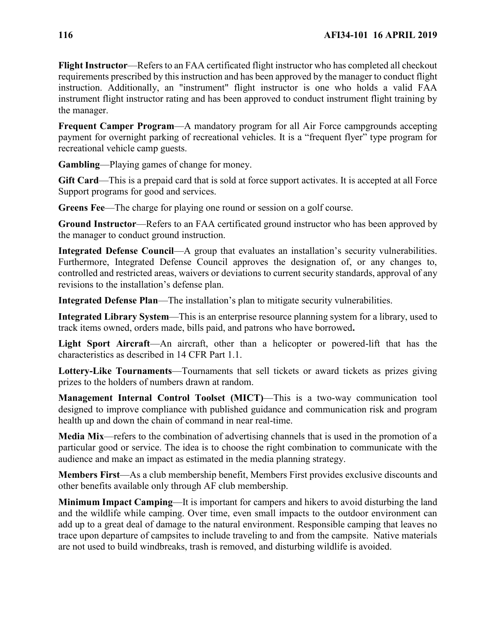**Flight Instructor**—Refers to an FAA certificated flight instructor who has completed all checkout requirements prescribed by this instruction and has been approved by the manager to conduct flight instruction. Additionally, an "instrument" flight instructor is one who holds a valid FAA instrument flight instructor rating and has been approved to conduct instrument flight training by the manager.

**Frequent Camper Program**—A mandatory program for all Air Force campgrounds accepting payment for overnight parking of recreational vehicles. It is a "frequent flyer" type program for recreational vehicle camp guests.

**Gambling**—Playing games of change for money.

**Gift Card**—This is a prepaid card that is sold at force support activates. It is accepted at all Force Support programs for good and services.

**Greens Fee**—The charge for playing one round or session on a golf course.

**Ground Instructor**—Refers to an FAA certificated ground instructor who has been approved by the manager to conduct ground instruction.

**Integrated Defense Council—A** group that evaluates an installation's security vulnerabilities. Furthermore, Integrated Defense Council approves the designation of, or any changes to, controlled and restricted areas, waivers or deviations to current security standards, approval of any revisions to the installation's defense plan.

**Integrated Defense Plan**—The installation's plan to mitigate security vulnerabilities.

**Integrated Library System**—This is an enterprise resource planning system for a library, used to track items owned, orders made, bills paid, and patrons who have borrowed**.**

Light Sport Aircraft—An aircraft, other than a helicopter or powered-lift that has the characteristics as described in 14 CFR Part 1.1.

**Lottery-Like Tournaments**—Tournaments that sell tickets or award tickets as prizes giving prizes to the holders of numbers drawn at random.

**Management Internal Control Toolset (MICT)**—This is a two-way communication tool designed to improve compliance with published guidance and communication risk and program health up and down the chain of command in near real-time.

**Media Mix**—refers to the combination of advertising channels that is used in the promotion of a particular good or service. The idea is to choose the right combination to communicate with the audience and make an impact as estimated in the media planning strategy.

**Members First**—As a club membership benefit, Members First provides exclusive discounts and other benefits available only through AF club membership.

**Minimum Impact Camping**—It is important for campers and hikers to avoid disturbing the land and the wildlife while camping. Over time, even small impacts to the outdoor environment can add up to a great deal of damage to the natural environment. Responsible camping that leaves no trace upon departure of campsites to include traveling to and from the campsite. Native materials are not used to build windbreaks, trash is removed, and disturbing wildlife is avoided.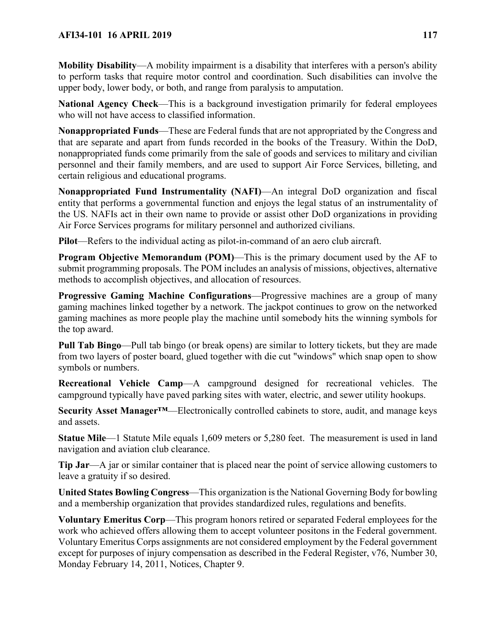**Mobility Disability**—A mobility impairment is a disability that interferes with a person's ability to perform tasks that require motor control and coordination. Such disabilities can involve the upper body, lower body, or both, and range from paralysis to amputation.

**National Agency Check**—This is a background investigation primarily for federal employees who will not have access to classified information.

**Nonappropriated Funds**—These are Federal funds that are not appropriated by the Congress and that are separate and apart from funds recorded in the books of the Treasury. Within the DoD, nonappropriated funds come primarily from the sale of goods and services to military and civilian personnel and their family members, and are used to support Air Force Services, billeting, and certain religious and educational programs.

**Nonappropriated Fund Instrumentality (NAFI)**—An integral DoD organization and fiscal entity that performs a governmental function and enjoys the legal status of an instrumentality of the US. NAFIs act in their own name to provide or assist other DoD organizations in providing Air Force Services programs for military personnel and authorized civilians.

**Pilot**—Refers to the individual acting as pilot-in-command of an aero club aircraft.

**Program Objective Memorandum (POM)—This is the primary document used by the AF to** submit programming proposals. The POM includes an analysis of missions, objectives, alternative methods to accomplish objectives, and allocation of resources.

**Progressive Gaming Machine Configurations**—Progressive machines are a group of many gaming machines linked together by a network. The jackpot continues to grow on the networked gaming machines as more people play the machine until somebody hits the winning symbols for the top award.

**Pull Tab Bingo**—Pull tab bingo (or break opens) are similar to lottery tickets, but they are made from two layers of poster board, glued together with die cut "windows" which snap open to show symbols or numbers.

**Recreational Vehicle Camp**—A campground designed for recreational vehicles. The campground typically have paved parking sites with water, electric, and sewer utility hookups.

**Security Asset Manager™**—Electronically controlled cabinets to store, audit, and manage keys and assets.

**Statue Mile**—1 Statute Mile equals 1,609 meters or 5,280 feet. The measurement is used in land navigation and aviation club clearance.

**Tip Jar**—A jar or similar container that is placed near the point of service allowing customers to leave a gratuity if so desired.

**United States Bowling Congress**—This organization is the National Governing Body for bowling and a membership organization that provides standardized rules, regulations and benefits.

**Voluntary Emeritus Corp**—This program honors retired or separated Federal employees for the work who achieved offers allowing them to accept volunteer positons in the Federal government. Voluntary Emeritus Corps assignments are not considered employment by the Federal government except for purposes of injury compensation as described in the Federal Register, v76, Number 30, Monday February 14, 2011, Notices, Chapter 9.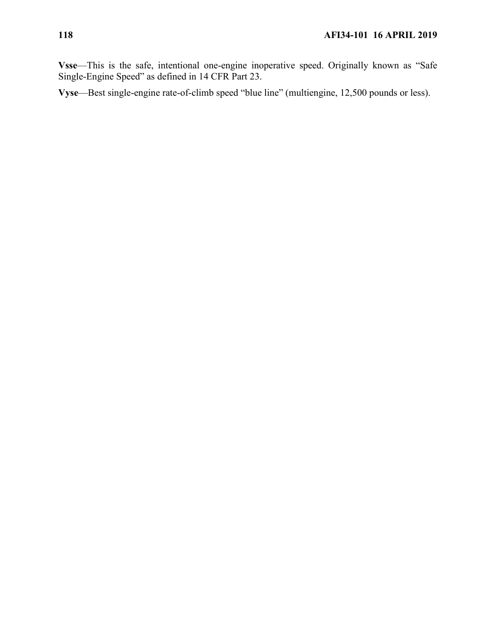**Vsse**—This is the safe, intentional one-engine inoperative speed. Originally known as "Safe Single-Engine Speed" as defined in 14 CFR Part 23.

**Vyse**—Best single-engine rate-of-climb speed "blue line" (multiengine, 12,500 pounds or less).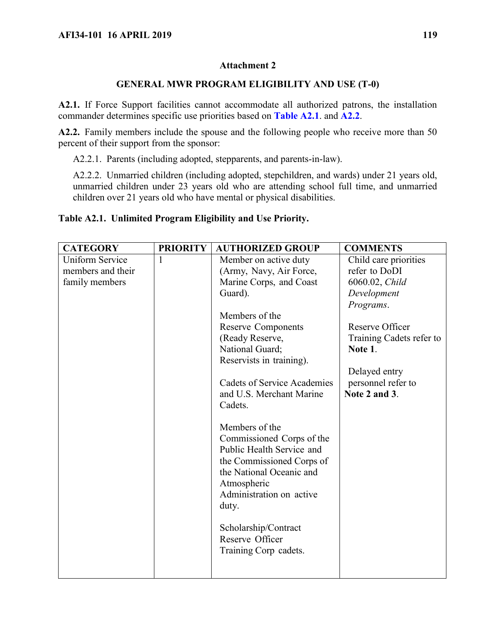## **Attachment 2**

## **GENERAL MWR PROGRAM ELIGIBILITY AND USE (T-0)**

**A2.1.** If Force Support facilities cannot accommodate all authorized patrons, the installation commander determines specific use priorities based on **Table [A2.1](#page-118-0)**. and **[A2.2](#page-121-0)**.

**A2.2.** Family members include the spouse and the following people who receive more than 50 percent of their support from the sponsor:

A2.2.1. Parents (including adopted, stepparents, and parents-in-law).

A2.2.2. Unmarried children (including adopted, stepchildren, and wards) under 21 years old, unmarried children under 23 years old who are attending school full time, and unmarried children over 21 years old who have mental or physical disabilities.

### <span id="page-118-0"></span>**Table A2.1. Unlimited Program Eligibility and Use Priority.**

| <b>CATEGORY</b>        | <b>PRIORITY</b> | <b>AUTHORIZED GROUP</b>            | <b>COMMENTS</b>          |
|------------------------|-----------------|------------------------------------|--------------------------|
| <b>Uniform Service</b> | 1               | Member on active duty              | Child care priorities    |
| members and their      |                 | (Army, Navy, Air Force,            | refer to DoDI            |
| family members         |                 | Marine Corps, and Coast            | 6060.02, Child           |
|                        |                 | Guard).                            | Development              |
|                        |                 |                                    | Programs.                |
|                        |                 | Members of the                     |                          |
|                        |                 | <b>Reserve Components</b>          | Reserve Officer          |
|                        |                 | (Ready Reserve,                    | Training Cadets refer to |
|                        |                 | National Guard;                    | Note 1.                  |
|                        |                 | Reservists in training).           |                          |
|                        |                 |                                    | Delayed entry            |
|                        |                 | <b>Cadets of Service Academies</b> | personnel refer to       |
|                        |                 | and U.S. Merchant Marine           | Note 2 and 3.            |
|                        |                 | Cadets.                            |                          |
|                        |                 |                                    |                          |
|                        |                 | Members of the                     |                          |
|                        |                 | Commissioned Corps of the          |                          |
|                        |                 | Public Health Service and          |                          |
|                        |                 | the Commissioned Corps of          |                          |
|                        |                 | the National Oceanic and           |                          |
|                        |                 | Atmospheric                        |                          |
|                        |                 | Administration on active           |                          |
|                        |                 | duty.                              |                          |
|                        |                 |                                    |                          |
|                        |                 | Scholarship/Contract               |                          |
|                        |                 | Reserve Officer                    |                          |
|                        |                 | Training Corp cadets.              |                          |
|                        |                 |                                    |                          |
|                        |                 |                                    |                          |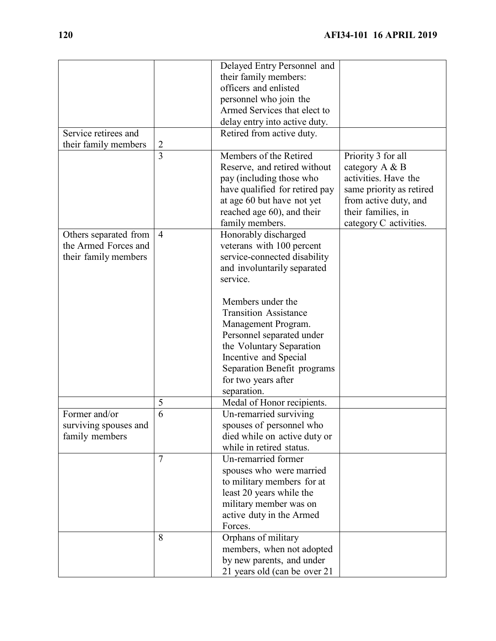|                       |                | Delayed Entry Personnel and         |                          |
|-----------------------|----------------|-------------------------------------|--------------------------|
|                       |                | their family members:               |                          |
|                       |                | officers and enlisted               |                          |
|                       |                | personnel who join the              |                          |
|                       |                | Armed Services that elect to        |                          |
|                       |                | delay entry into active duty.       |                          |
| Service retirees and  |                | Retired from active duty.           |                          |
| their family members  | $\overline{2}$ |                                     |                          |
|                       | $\overline{3}$ | Members of the Retired              | Priority 3 for all       |
|                       |                | Reserve, and retired without        | category A & B           |
|                       |                | pay (including those who            | activities. Have the     |
|                       |                | have qualified for retired pay      | same priority as retired |
|                       |                | at age 60 but have not yet          | from active duty, and    |
|                       |                | reached age 60), and their          | their families, in       |
|                       |                | family members.                     | category C activities.   |
| Others separated from | $\overline{4}$ | Honorably discharged                |                          |
| the Armed Forces and  |                | veterans with 100 percent           |                          |
| their family members  |                | service-connected disability        |                          |
|                       |                | and involuntarily separated         |                          |
|                       |                | service.                            |                          |
|                       |                |                                     |                          |
|                       |                | Members under the                   |                          |
|                       |                | <b>Transition Assistance</b>        |                          |
|                       |                | Management Program.                 |                          |
|                       |                | Personnel separated under           |                          |
|                       |                | the Voluntary Separation            |                          |
|                       |                | Incentive and Special               |                          |
|                       |                | Separation Benefit programs         |                          |
|                       |                | for two years after                 |                          |
|                       |                | separation.                         |                          |
|                       | 5              | Medal of Honor recipients.          |                          |
| Former and/or         | 6              | Un-remarried surviving              |                          |
| surviving spouses and |                | spouses of personnel who            |                          |
| family members        |                | died while on active duty or        |                          |
|                       |                | while in retired status.            |                          |
|                       | $\overline{7}$ | Un-remarried former                 |                          |
|                       |                | spouses who were married            |                          |
|                       |                | to military members for at          |                          |
|                       |                | least 20 years while the            |                          |
|                       |                | military member was on              |                          |
|                       |                |                                     |                          |
|                       |                | active duty in the Armed<br>Forces. |                          |
|                       | 8              |                                     |                          |
|                       |                | Orphans of military                 |                          |
|                       |                | members, when not adopted           |                          |
|                       |                | by new parents, and under           |                          |
|                       |                | 21 years old (can be over 21        |                          |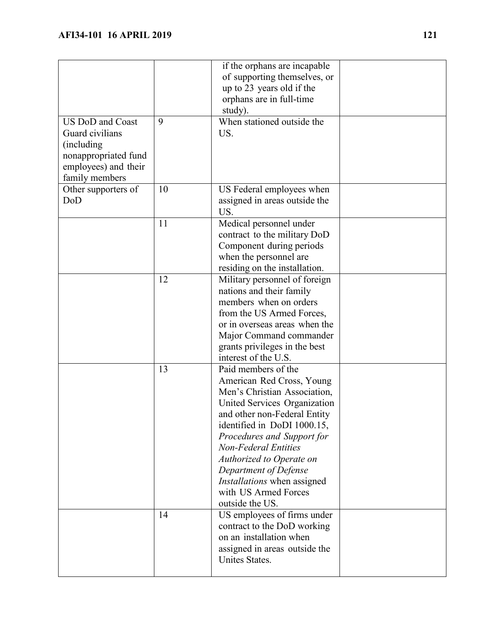|                                                                                                                             |    | if the orphans are incapable<br>of supporting themselves, or<br>up to 23 years old if the<br>orphans are in full-time<br>study).                                                                                                                                                                                                                                            |  |
|-----------------------------------------------------------------------------------------------------------------------------|----|-----------------------------------------------------------------------------------------------------------------------------------------------------------------------------------------------------------------------------------------------------------------------------------------------------------------------------------------------------------------------------|--|
| <b>US DoD</b> and Coast<br>Guard civilians<br>(including)<br>nonappropriated fund<br>employees) and their<br>family members | 9  | When stationed outside the<br>US.                                                                                                                                                                                                                                                                                                                                           |  |
| Other supporters of<br>DoD                                                                                                  | 10 | US Federal employees when<br>assigned in areas outside the<br>US.                                                                                                                                                                                                                                                                                                           |  |
|                                                                                                                             | 11 | Medical personnel under<br>contract to the military DoD<br>Component during periods<br>when the personnel are<br>residing on the installation.                                                                                                                                                                                                                              |  |
|                                                                                                                             | 12 | Military personnel of foreign<br>nations and their family<br>members when on orders<br>from the US Armed Forces,<br>or in overseas areas when the<br>Major Command commander<br>grants privileges in the best<br>interest of the U.S.                                                                                                                                       |  |
|                                                                                                                             | 13 | Paid members of the<br>American Red Cross, Young<br>Men's Christian Association,<br>United Services Organization<br>and other non-Federal Entity<br>identified in DoDI 1000.15,<br>Procedures and Support for<br><b>Non-Federal Entities</b><br>Authorized to Operate on<br>Department of Defense<br>Installations when assigned<br>with US Armed Forces<br>outside the US. |  |
|                                                                                                                             | 14 | US employees of firms under<br>contract to the DoD working<br>on an installation when<br>assigned in areas outside the<br>Unites States.                                                                                                                                                                                                                                    |  |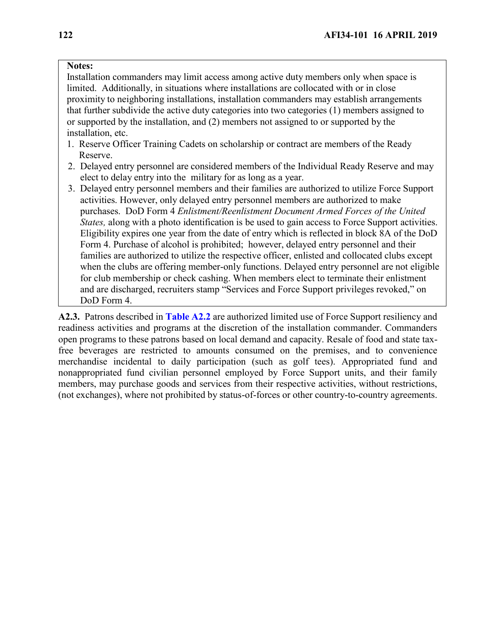## **Notes:**

Installation commanders may limit access among active duty members only when space is limited. Additionally, in situations where installations are collocated with or in close proximity to neighboring installations, installation commanders may establish arrangements that further subdivide the active duty categories into two categories (1) members assigned to or supported by the installation, and (2) members not assigned to or supported by the installation, etc.

- 1. Reserve Officer Training Cadets on scholarship or contract are members of the Ready Reserve.
- 2. Delayed entry personnel are considered members of the Individual Ready Reserve and may elect to delay entry into the military for as long as a year.
- 3. Delayed entry personnel members and their families are authorized to utilize Force Support activities. However, only delayed entry personnel members are authorized to make purchases. DoD Form 4 *Enlistment/Reenlistment Document Armed Forces of the United States,* along with a photo identification is be used to gain access to Force Support activities. Eligibility expires one year from the date of entry which is reflected in block 8A of the DoD Form 4. Purchase of alcohol is prohibited; however, delayed entry personnel and their families are authorized to utilize the respective officer, enlisted and collocated clubs except when the clubs are offering member-only functions. Delayed entry personnel are not eligible for club membership or check cashing. When members elect to terminate their enlistment and are discharged, recruiters stamp "Services and Force Support privileges revoked," on DoD Form 4.

<span id="page-121-0"></span>**A2.3.** Patrons described in **[Table A2.2](#page-121-0)** are authorized limited use of Force Support resiliency and readiness activities and programs at the discretion of the installation commander. Commanders open programs to these patrons based on local demand and capacity. Resale of food and state taxfree beverages are restricted to amounts consumed on the premises, and to convenience merchandise incidental to daily participation (such as golf tees). Appropriated fund and nonappropriated fund civilian personnel employed by Force Support units, and their family members, may purchase goods and services from their respective activities, without restrictions, (not exchanges), where not prohibited by status-of-forces or other country-to-country agreements.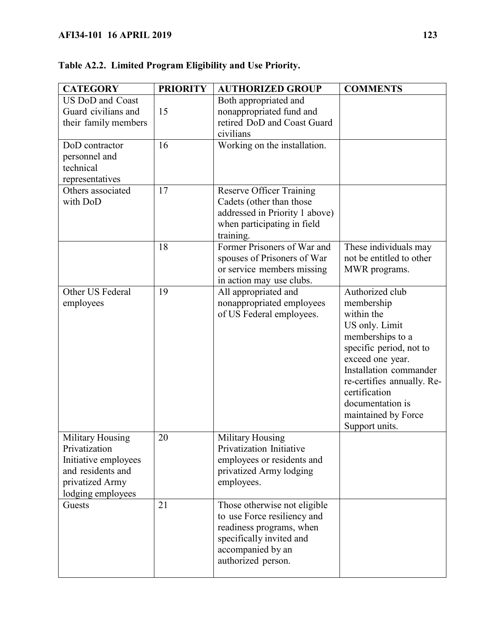| <b>CATEGORY</b>                                                                                                               | <b>PRIORITY</b> | <b>AUTHORIZED GROUP</b>                                                                                                                                        | <b>COMMENTS</b>                                                                                                                                                                                                                                                        |
|-------------------------------------------------------------------------------------------------------------------------------|-----------------|----------------------------------------------------------------------------------------------------------------------------------------------------------------|------------------------------------------------------------------------------------------------------------------------------------------------------------------------------------------------------------------------------------------------------------------------|
| <b>US DoD and Coast</b><br>Guard civilians and<br>their family members                                                        | 15              | Both appropriated and<br>nonappropriated fund and<br>retired DoD and Coast Guard<br>civilians                                                                  |                                                                                                                                                                                                                                                                        |
| DoD contractor<br>personnel and<br>technical<br>representatives                                                               | 16              | Working on the installation.                                                                                                                                   |                                                                                                                                                                                                                                                                        |
| Others associated<br>with DoD                                                                                                 | 17              | <b>Reserve Officer Training</b><br>Cadets (other than those<br>addressed in Priority 1 above)<br>when participating in field<br>training.                      |                                                                                                                                                                                                                                                                        |
|                                                                                                                               | 18              | Former Prisoners of War and<br>spouses of Prisoners of War<br>or service members missing<br>in action may use clubs.                                           | These individuals may<br>not be entitled to other<br>MWR programs.                                                                                                                                                                                                     |
| Other US Federal<br>employees                                                                                                 | 19              | All appropriated and<br>nonappropriated employees<br>of US Federal employees.                                                                                  | Authorized club<br>membership<br>within the<br>US only. Limit<br>memberships to a<br>specific period, not to<br>exceed one year.<br>Installation commander<br>re-certifies annually. Re-<br>certification<br>documentation is<br>maintained by Force<br>Support units. |
| <b>Military Housing</b><br>Privatization<br>Initiative employees<br>and residents and<br>privatized Army<br>lodging employees | 20              | <b>Military Housing</b><br>Privatization Initiative<br>employees or residents and<br>privatized Army lodging<br>employees.                                     |                                                                                                                                                                                                                                                                        |
| Guests                                                                                                                        | 21              | Those otherwise not eligible<br>to use Force resiliency and<br>readiness programs, when<br>specifically invited and<br>accompanied by an<br>authorized person. |                                                                                                                                                                                                                                                                        |

# **Table A2.2. Limited Program Eligibility and Use Priority.**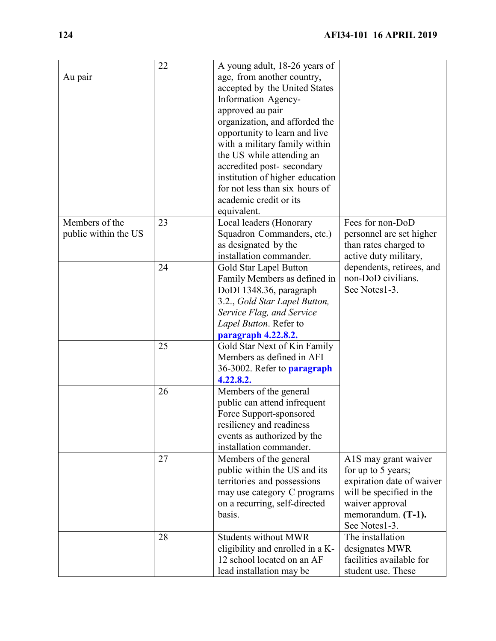| Au pair                                | 22 | A young adult, 18-26 years of<br>age, from another country,<br>accepted by the United States<br>Information Agency-<br>approved au pair<br>organization, and afforded the<br>opportunity to learn and live<br>with a military family within<br>the US while attending an<br>accredited post-secondary<br>institution of higher education<br>for not less than six hours of<br>academic credit or its<br>equivalent. |                                                                                                                                                               |
|----------------------------------------|----|---------------------------------------------------------------------------------------------------------------------------------------------------------------------------------------------------------------------------------------------------------------------------------------------------------------------------------------------------------------------------------------------------------------------|---------------------------------------------------------------------------------------------------------------------------------------------------------------|
| Members of the<br>public within the US | 23 | Local leaders (Honorary<br>Squadron Commanders, etc.)<br>as designated by the<br>installation commander.                                                                                                                                                                                                                                                                                                            | Fees for non-DoD<br>personnel are set higher<br>than rates charged to<br>active duty military,                                                                |
|                                        | 24 | Gold Star Lapel Button<br>Family Members as defined in<br>DoDI 1348.36, paragraph<br>3.2., Gold Star Lapel Button,<br>Service Flag, and Service<br>Lapel Button. Refer to<br>paragraph 4.22.8.2.                                                                                                                                                                                                                    | dependents, retirees, and<br>non-DoD civilians.<br>See Notes1-3.                                                                                              |
|                                        | 25 | Gold Star Next of Kin Family<br>Members as defined in AFI<br>36-3002. Refer to <b>paragraph</b><br>4.22.8.2.                                                                                                                                                                                                                                                                                                        |                                                                                                                                                               |
|                                        | 26 | Members of the general<br>public can attend infrequent<br>Force Support-sponsored<br>resiliency and readiness<br>events as authorized by the<br>installation commander.                                                                                                                                                                                                                                             |                                                                                                                                                               |
|                                        | 27 | Members of the general<br>public within the US and its<br>territories and possessions<br>may use category C programs<br>on a recurring, self-directed<br>basis.                                                                                                                                                                                                                                                     | A1S may grant waiver<br>for up to 5 years;<br>expiration date of waiver<br>will be specified in the<br>waiver approval<br>memorandum. (T-1).<br>See Notes1-3. |
|                                        | 28 | <b>Students without MWR</b><br>eligibility and enrolled in a K-<br>12 school located on an AF<br>lead installation may be                                                                                                                                                                                                                                                                                           | The installation<br>designates MWR<br>facilities available for<br>student use. These                                                                          |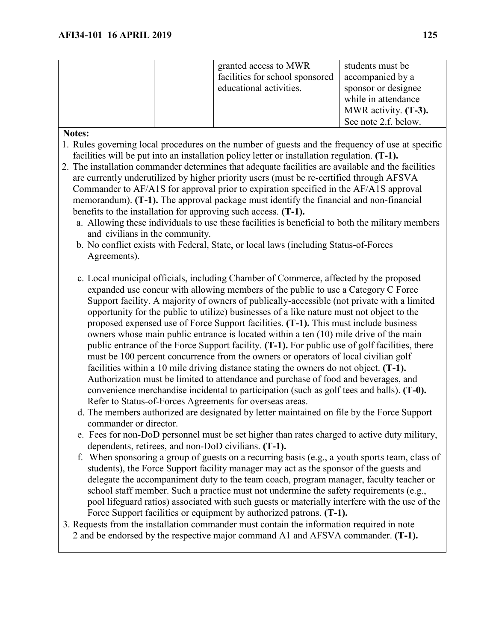| granted access to MWR<br>facilities for school sponsored<br>educational activities. | students must be<br>accompanied by a<br>sponsor or designee<br>while in attendance<br>MWR activity. $(T-3)$ . |
|-------------------------------------------------------------------------------------|---------------------------------------------------------------------------------------------------------------|
|                                                                                     | See note 2.f. below.                                                                                          |

## **Notes:**

- 1. Rules governing local procedures on the number of guests and the frequency of use at specific facilities will be put into an installation policy letter or installation regulation. **(T-1).**
- 2. The installation commander determines that adequate facilities are available and the facilities are currently underutilized by higher priority users (must be re-certified through AFSVA Commander to AF/A1S for approval prior to expiration specified in the AF/A1S approval memorandum). **(T-1).** The approval package must identify the financial and non-financial benefits to the installation for approving such access. **(T-1).**
	- a. Allowing these individuals to use these facilities is beneficial to both the military members and civilians in the community.
	- b. No conflict exists with Federal, State, or local laws (including Status-of-Forces Agreements).
	- c. Local municipal officials, including Chamber of Commerce, affected by the proposed expanded use concur with allowing members of the public to use a Category C Force Support facility. A majority of owners of publically-accessible (not private with a limited opportunity for the public to utilize) businesses of a like nature must not object to the proposed expensed use of Force Support facilities. **(T-1).** This must include business owners whose main public entrance is located within a ten (10) mile drive of the main public entrance of the Force Support facility. **(T-1).** For public use of golf facilities, there must be 100 percent concurrence from the owners or operators of local civilian golf facilities within a 10 mile driving distance stating the owners do not object. **(T-1).**  Authorization must be limited to attendance and purchase of food and beverages, and convenience merchandise incidental to participation (such as golf tees and balls). **(T-0).** Refer to Status-of-Forces Agreements for overseas areas.
	- d. The members authorized are designated by letter maintained on file by the Force Support commander or director.
	- e. Fees for non-DoD personnel must be set higher than rates charged to active duty military, dependents, retirees, and non-DoD civilians. **(T-1).**
	- f. When sponsoring a group of guests on a recurring basis (e.g., a youth sports team, class of students), the Force Support facility manager may act as the sponsor of the guests and delegate the accompaniment duty to the team coach, program manager, faculty teacher or school staff member. Such a practice must not undermine the safety requirements (e.g., pool lifeguard ratios) associated with such guests or materially interfere with the use of the Force Support facilities or equipment by authorized patrons. **(T-1).**
- 3. Requests from the installation commander must contain the information required in note 2 and be endorsed by the respective major command A1 and AFSVA commander. **(T-1).**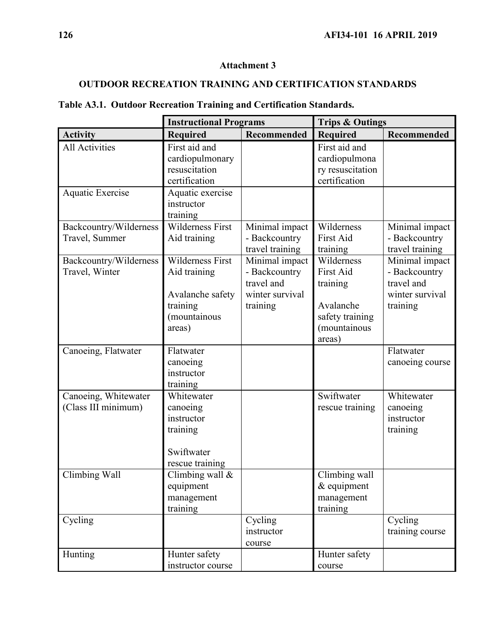## **Attachment 3**

# **OUTDOOR RECREATION TRAINING AND CERTIFICATION STANDARDS**

|                         | <b>Instructional Programs</b> |                             | <b>Trips &amp; Outings</b> |                             |
|-------------------------|-------------------------------|-----------------------------|----------------------------|-----------------------------|
| <b>Activity</b>         | <b>Required</b>               | Recommended                 | <b>Required</b>            | Recommended                 |
| All Activities          | First aid and                 |                             | First aid and              |                             |
|                         | cardiopulmonary               |                             | cardiopulmona              |                             |
|                         | resuscitation                 |                             | ry resuscitation           |                             |
|                         | certification                 |                             | certification              |                             |
| <b>Aquatic Exercise</b> | Aquatic exercise              |                             |                            |                             |
|                         | instructor                    |                             |                            |                             |
|                         | training                      |                             |                            |                             |
| Backcountry/Wilderness  | <b>Wilderness First</b>       | Minimal impact              | Wilderness                 | Minimal impact              |
| Travel, Summer          | Aid training                  | - Backcountry               | First Aid                  | - Backcountry               |
|                         |                               | travel training             | training                   | travel training             |
| Backcountry/Wilderness  | Wilderness First              | Minimal impact              | Wilderness                 | Minimal impact              |
| Travel, Winter          | Aid training                  | - Backcountry<br>travel and | <b>First Aid</b>           | - Backcountry<br>travel and |
|                         |                               | winter survival             | training                   | winter survival             |
|                         | Avalanche safety<br>training  | training                    | Avalanche                  | training                    |
|                         | (mountainous                  |                             | safety training            |                             |
|                         | areas)                        |                             | (mountainous               |                             |
|                         |                               |                             | areas)                     |                             |
| Canoeing, Flatwater     | Flatwater                     |                             |                            | Flatwater                   |
|                         | canoeing                      |                             |                            | canoeing course             |
|                         | instructor                    |                             |                            |                             |
|                         | training                      |                             |                            |                             |
| Canoeing, Whitewater    | Whitewater                    |                             | Swiftwater                 | Whitewater                  |
| (Class III minimum)     | canoeing                      |                             | rescue training            | canoeing                    |
|                         | instructor                    |                             |                            | instructor                  |
|                         | training                      |                             |                            | training                    |
|                         |                               |                             |                            |                             |
|                         | Swiftwater                    |                             |                            |                             |
|                         | rescue training               |                             |                            |                             |
| Climbing Wall           | Climbing wall $&$             |                             | Climbing wall              |                             |
|                         | equipment                     |                             | $&$ equipment              |                             |
|                         | management                    |                             | management                 |                             |
|                         | training                      |                             | training                   |                             |
| Cycling                 |                               | Cycling<br>instructor       |                            | Cycling<br>training course  |
|                         |                               | course                      |                            |                             |
| Hunting                 | Hunter safety                 |                             | Hunter safety              |                             |
|                         | instructor course             |                             | course                     |                             |
|                         |                               |                             |                            |                             |

# **Table A3.1. Outdoor Recreation Training and Certification Standards.**